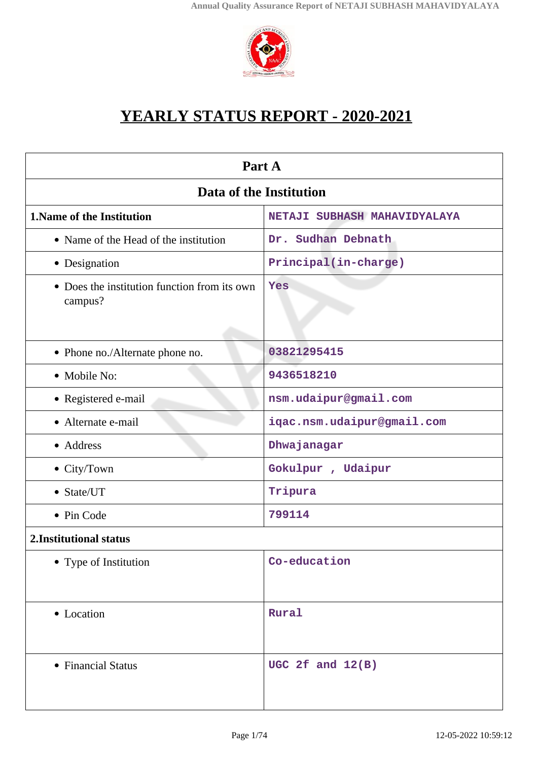

# **YEARLY STATUS REPORT - 2020-2021**

| Part A                                                            |                            |  |
|-------------------------------------------------------------------|----------------------------|--|
| Data of the Institution                                           |                            |  |
| <b>1. Name of the Institution</b><br>NETAJI SUBHASH MAHAVIDYALAYA |                            |  |
| • Name of the Head of the institution                             | Dr. Sudhan Debnath         |  |
| • Designation                                                     | Principal(in-charge)       |  |
| • Does the institution function from its own<br>campus?           | Yes                        |  |
| • Phone no./Alternate phone no.                                   | 03821295415                |  |
| • Mobile No:                                                      | 9436518210                 |  |
| • Registered e-mail                                               | nsm.udaipur@gmail.com      |  |
| • Alternate e-mail                                                | iqac.nsm.udaipur@gmail.com |  |
| • Address                                                         | Dhwajanagar                |  |
| • City/Town                                                       | Gokulpur, Udaipur          |  |
| • State/UT                                                        | Tripura                    |  |
| • Pin Code                                                        | 799114                     |  |
| 2. Institutional status                                           |                            |  |
| • Type of Institution                                             | Co-education               |  |
| • Location                                                        | Rural                      |  |
| • Financial Status                                                | UGC 2f and $12(B)$         |  |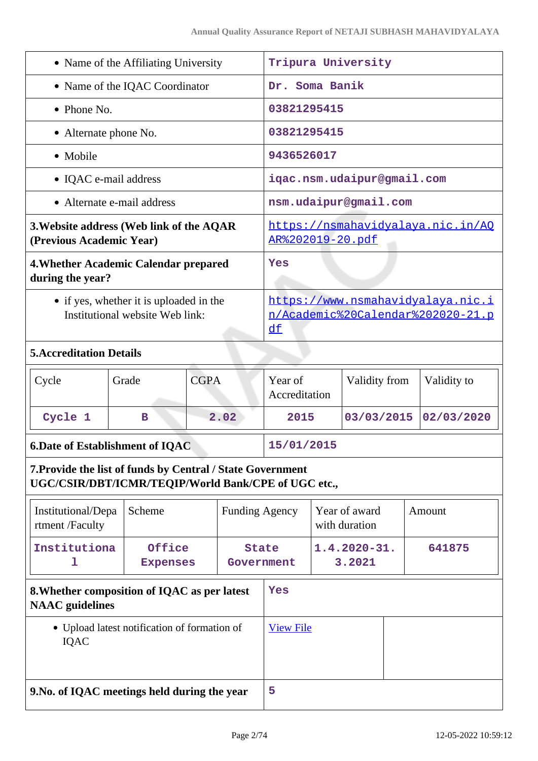| • Name of the Affiliating University                                       | Tripura University                                                           |
|----------------------------------------------------------------------------|------------------------------------------------------------------------------|
| • Name of the IQAC Coordinator                                             | Dr. Soma Banik                                                               |
| • Phone No.                                                                | 03821295415                                                                  |
| • Alternate phone No.                                                      | 03821295415                                                                  |
| • Mobile                                                                   | 9436526017                                                                   |
| • IQAC e-mail address                                                      | iqac.nsm.udaipur@gmail.com                                                   |
| • Alternate e-mail address                                                 | nsm.udaipur@gmail.com                                                        |
| 3. Website address (Web link of the AQAR<br>(Previous Academic Year)       | https://nsmahavidyalaya.nic.in/AQ<br><u>AR%202019-20.pdf</u>                 |
| 4. Whether Academic Calendar prepared<br>during the year?                  | Yes                                                                          |
| • if yes, whether it is uploaded in the<br>Institutional website Web link: | https://www.nsmahavidyalaya.nic.i<br>n/Academic%20Calendar%202020-21.p<br>df |
| <b>5. Accreditation Details</b>                                            |                                                                              |
|                                                                            |                                                                              |

|                      | Validity from<br>Validity to<br>Year of<br>Accreditation |
|----------------------|----------------------------------------------------------|
| Cycle 1<br>2.02<br>в | 03/03/2015 02/03/2020<br>2015                            |

# **6.Date of Establishment of IQAC 15/01/2015 7.Provide the list of funds by Central / State Government**

**UGC/CSIR/DBT/ICMR/TEQIP/World Bank/CPE of UGC etc.,**

| Institutional/Depa<br>rtment/Faculty                                   | Scheme                    | <b>Funding Agency</b>      |   | Year of award<br>with duration | Amount |
|------------------------------------------------------------------------|---------------------------|----------------------------|---|--------------------------------|--------|
| Institutiona<br>ı                                                      | Office<br><b>Expenses</b> | <b>State</b><br>Government |   | $1.4.2020 - 31.$<br>3.2021     | 641875 |
| 8. Whether composition of IQAC as per latest<br><b>NAAC</b> guidelines |                           | Yes                        |   |                                |        |
| • Upload latest notification of formation of<br><b>IOAC</b>            |                           | <b>View File</b>           |   |                                |        |
| 9. No. of IQAC meetings held during the year                           |                           |                            | 5 |                                |        |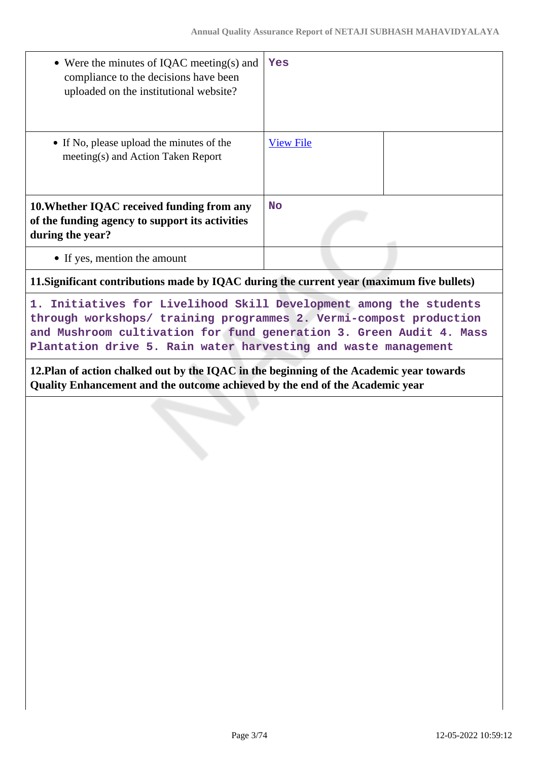| • Were the minutes of IQAC meeting(s) and<br>compliance to the decisions have been<br>uploaded on the institutional website?                                                                                                                                                      | Yes              |  |  |
|-----------------------------------------------------------------------------------------------------------------------------------------------------------------------------------------------------------------------------------------------------------------------------------|------------------|--|--|
| • If No, please upload the minutes of the<br>meeting(s) and Action Taken Report                                                                                                                                                                                                   | <b>View File</b> |  |  |
| 10. Whether IQAC received funding from any<br>of the funding agency to support its activities<br>during the year?                                                                                                                                                                 | <b>No</b>        |  |  |
| • If yes, mention the amount                                                                                                                                                                                                                                                      |                  |  |  |
| 11. Significant contributions made by IQAC during the current year (maximum five bullets)                                                                                                                                                                                         |                  |  |  |
| 1. Initiatives for Livelihood Skill Development among the students<br>through workshops/ training programmes 2. Vermi-compost production<br>and Mushroom cultivation for fund generation 3. Green Audit 4. Mass<br>Plantation drive 5. Rain water harvesting and waste management |                  |  |  |
| 12. Plan of action chalked out by the IQAC in the beginning of the Academic year towards<br>Quality Enhancement and the outcome achieved by the end of the Academic year                                                                                                          |                  |  |  |
| v<br>an menganjung<br>医肠囊膜膜 计编辑 医尿道 医神经性 医心包 医心包 医心包 医心包 医心包 医心包 医心包 医心包<br><b>少年科学文化人民科学文学科研究科学科研究所研究研究科学</b> 学科学学科学研究学科学研究学研究研究学研究学研究                                                                                                                                           |                  |  |  |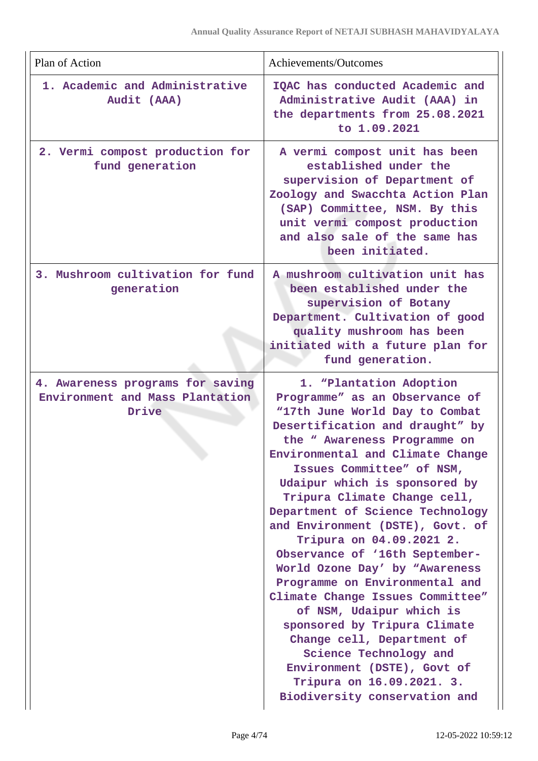| Plan of Action                                                               | Achievements/Outcomes                                                                                                                                                                                                                                                                                                                                                                                                                                                                                                                                                                                                                                                                                                                                           |
|------------------------------------------------------------------------------|-----------------------------------------------------------------------------------------------------------------------------------------------------------------------------------------------------------------------------------------------------------------------------------------------------------------------------------------------------------------------------------------------------------------------------------------------------------------------------------------------------------------------------------------------------------------------------------------------------------------------------------------------------------------------------------------------------------------------------------------------------------------|
| 1. Academic and Administrative<br>Audit (AAA)                                | IQAC has conducted Academic and<br>Administrative Audit (AAA) in<br>the departments from 25.08.2021<br>to 1.09.2021                                                                                                                                                                                                                                                                                                                                                                                                                                                                                                                                                                                                                                             |
| 2. Vermi compost production for<br>fund generation                           | A vermi compost unit has been<br>established under the<br>supervision of Department of<br>Zoology and Swacchta Action Plan<br>(SAP) Committee, NSM. By this<br>unit vermi compost production<br>and also sale of the same has<br>been initiated.                                                                                                                                                                                                                                                                                                                                                                                                                                                                                                                |
| 3. Mushroom cultivation for fund<br>generation                               | A mushroom cultivation unit has<br>been established under the<br>supervision of Botany<br>Department. Cultivation of good<br>quality mushroom has been<br>initiated with a future plan for<br>fund generation.                                                                                                                                                                                                                                                                                                                                                                                                                                                                                                                                                  |
| 4. Awareness programs for saving<br>Environment and Mass Plantation<br>Drive | 1. "Plantation Adoption<br>Programme" as an Observance of<br>"17th June World Day to Combat<br>Desertification and draught" by<br>the " Awareness Programme on<br>Environmental and Climate Change<br>Issues Committee" of NSM,<br>Udaipur which is sponsored by<br>Tripura Climate Change cell,<br>Department of Science Technology<br>and Environment (DSTE), Govt. of<br>Tripura on 04.09.2021 2.<br>Observance of '16th September-<br>World Ozone Day' by "Awareness<br>Programme on Environmental and<br>Climate Change Issues Committee"<br>of NSM, Udaipur which is<br>sponsored by Tripura Climate<br>Change cell, Department of<br>Science Technology and<br>Environment (DSTE), Govt of<br>Tripura on 16.09.2021. 3.<br>Biodiversity conservation and |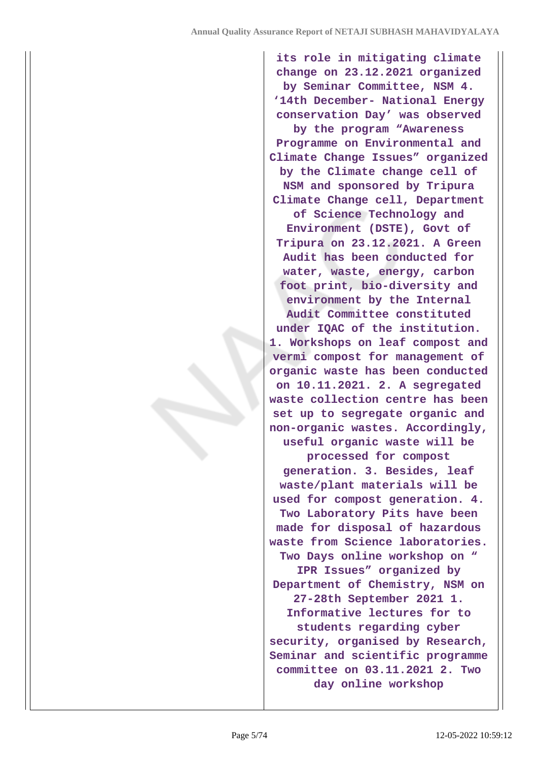**its role in mitigating climate change on 23.12.2021 organized by Seminar Committee, NSM 4. '14th December- National Energy conservation Day' was observed by the program "Awareness Programme on Environmental and Climate Change Issues" organized by the Climate change cell of NSM and sponsored by Tripura Climate Change cell, Department of Science Technology and Environment (DSTE), Govt of Tripura on 23.12.2021. A Green Audit has been conducted for water, waste, energy, carbon foot print, bio-diversity and environment by the Internal Audit Committee constituted under IQAC of the institution. 1. Workshops on leaf compost and vermi compost for management of organic waste has been conducted on 10.11.2021. 2. A segregated waste collection centre has been set up to segregate organic and non-organic wastes. Accordingly, useful organic waste will be processed for compost generation. 3. Besides, leaf waste/plant materials will be used for compost generation. 4. Two Laboratory Pits have been made for disposal of hazardous waste from Science laboratories. Two Days online workshop on " IPR Issues" organized by Department of Chemistry, NSM on 27-28th September 2021 1. Informative lectures for to students regarding cyber security, organised by Research, Seminar and scientific programme committee on 03.11.2021 2. Two day online workshop**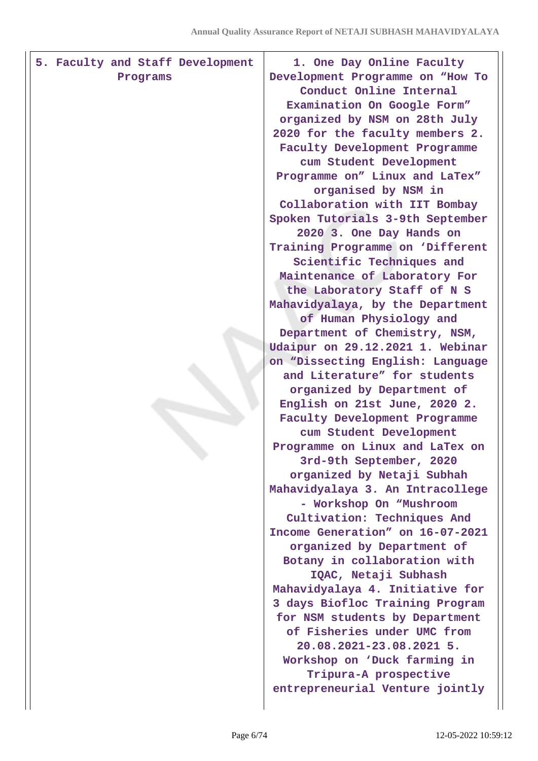| Programs | 5. Faculty and Staff Development | 1. One Day Online Faculty<br>Development Programme on "How To<br>Conduct Online Internal<br>Examination On Google Form"<br>organized by NSM on 28th July<br>2020 for the faculty members 2.<br>Faculty Development Programme<br>cum Student Development<br>Programme on" Linux and LaTex"<br>organised by NSM in<br>Collaboration with IIT Bombay<br>Spoken Tutorials 3-9th September<br>2020 3. One Day Hands on<br>Training Programme on 'Different<br>Scientific Techniques and<br>Maintenance of Laboratory For<br>the Laboratory Staff of N S<br>Mahavidyalaya, by the Department<br>of Human Physiology and<br>Department of Chemistry, NSM,<br>Udaipur on 29.12.2021 1. Webinar<br>on "Dissecting English: Language<br>and Literature" for students<br>organized by Department of<br>English on 21st June, 2020 2.<br>Faculty Development Programme<br>cum Student Development<br>Programme on Linux and LaTex on<br>3rd-9th September, 2020<br>organized by Netaji Subhah<br>Mahavidyalaya 3. An Intracollege<br>- Workshop On "Mushroom<br>Cultivation: Techniques And<br>Income Generation" on 16-07-2021<br>organized by Department of<br>Botany in collaboration with<br>IQAC, Netaji Subhash<br>Mahavidyalaya 4. Initiative for<br>3 days Biofloc Training Program<br>for NSM students by Department<br>of Fisheries under UMC from<br>20.08.2021-23.08.2021 5. |
|----------|----------------------------------|------------------------------------------------------------------------------------------------------------------------------------------------------------------------------------------------------------------------------------------------------------------------------------------------------------------------------------------------------------------------------------------------------------------------------------------------------------------------------------------------------------------------------------------------------------------------------------------------------------------------------------------------------------------------------------------------------------------------------------------------------------------------------------------------------------------------------------------------------------------------------------------------------------------------------------------------------------------------------------------------------------------------------------------------------------------------------------------------------------------------------------------------------------------------------------------------------------------------------------------------------------------------------------------------------------------------------------------------------------------------------|
|          |                                  | Workshop on 'Duck farming in<br>Tripura-A prospective<br>entrepreneurial Venture jointly                                                                                                                                                                                                                                                                                                                                                                                                                                                                                                                                                                                                                                                                                                                                                                                                                                                                                                                                                                                                                                                                                                                                                                                                                                                                                     |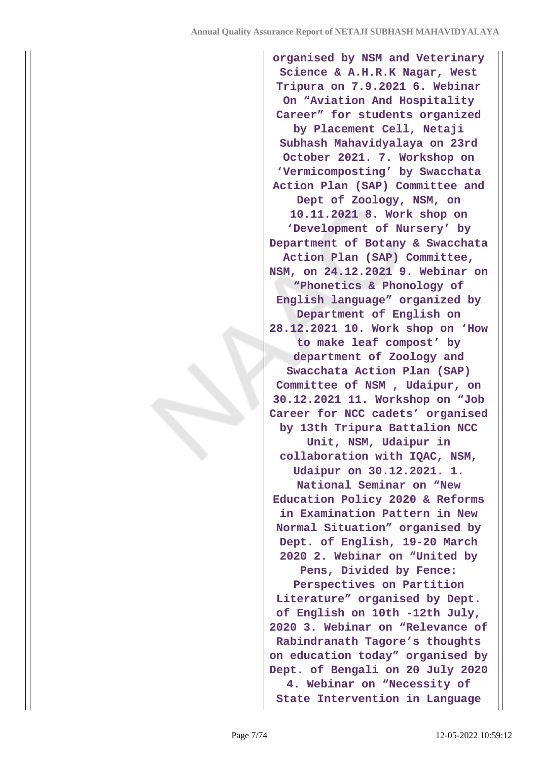**organised by NSM and Veterinary Science & A.H.R.K Nagar, West Tripura on 7.9.2021 6. Webinar On "Aviation And Hospitality Career" for students organized by Placement Cell, Netaji Subhash Mahavidyalaya on 23rd October 2021. 7. Workshop on 'Vermicomposting' by Swacchata Action Plan (SAP) Committee and Dept of Zoology, NSM, on 10.11.2021 8. Work shop on 'Development of Nursery' by Department of Botany & Swacchata Action Plan (SAP) Committee, NSM, on 24.12.2021 9. Webinar on "Phonetics & Phonology of English language" organized by Department of English on 28.12.2021 10. Work shop on 'How to make leaf compost' by department of Zoology and Swacchata Action Plan (SAP) Committee of NSM , Udaipur, on 30.12.2021 11. Workshop on "Job Career for NCC cadets' organised by 13th Tripura Battalion NCC Unit, NSM, Udaipur in collaboration with IQAC, NSM, Udaipur on 30.12.2021. 1. National Seminar on "New Education Policy 2020 & Reforms in Examination Pattern in New Normal Situation" organised by Dept. of English, 19-20 March 2020 2. Webinar on "United by Pens, Divided by Fence: Perspectives on Partition Literature" organised by Dept. of English on 10th -12th July, 2020 3. Webinar on "Relevance of Rabindranath Tagore's thoughts on education today" organised by Dept. of Bengali on 20 July 2020 4. Webinar on "Necessity of State Intervention in Language**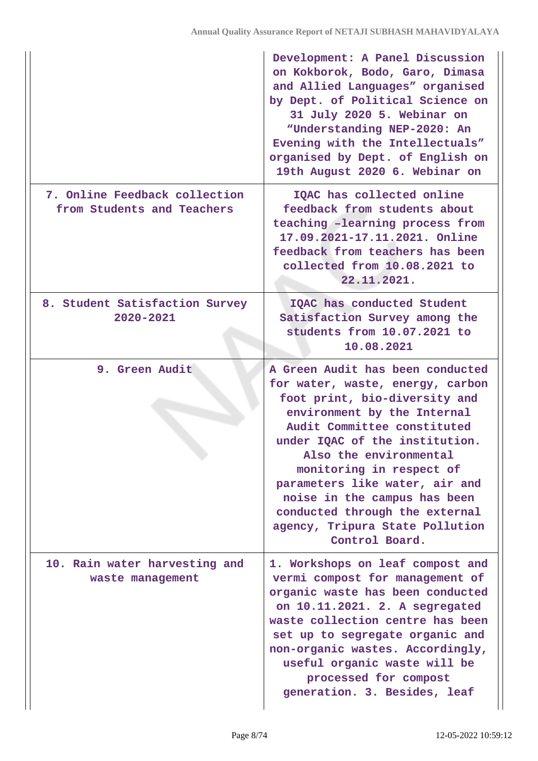|                                                             | Development: A Panel Discussion<br>on Kokborok, Bodo, Garo, Dimasa<br>and Allied Languages" organised<br>by Dept. of Political Science on<br>31 July 2020 5. Webinar on<br>"Understanding NEP-2020: An<br>Evening with the Intellectuals"<br>organised by Dept. of English on<br>19th August 2020 6. Webinar on                                                                                                      |
|-------------------------------------------------------------|----------------------------------------------------------------------------------------------------------------------------------------------------------------------------------------------------------------------------------------------------------------------------------------------------------------------------------------------------------------------------------------------------------------------|
| 7. Online Feedback collection<br>from Students and Teachers | IQAC has collected online<br>feedback from students about<br>teaching -learning process from<br>17.09.2021-17.11.2021. Online<br>feedback from teachers has been<br>collected from 10.08.2021 to<br>22.11.2021.                                                                                                                                                                                                      |
| 8. Student Satisfaction Survey<br>2020-2021                 | IQAC has conducted Student<br>Satisfaction Survey among the<br>students from 10.07.2021 to<br>10.08.2021                                                                                                                                                                                                                                                                                                             |
| 9. Green Audit                                              | A Green Audit has been conducted<br>for water, waste, energy, carbon<br>foot print, bio-diversity and<br>environment by the Internal<br>Audit Committee constituted<br>under IQAC of the institution.<br>Also the environmental<br>monitoring in respect of<br>parameters like water, air and<br>noise in the campus has been<br>conducted through the external<br>agency, Tripura State Pollution<br>Control Board. |
| 10. Rain water harvesting and<br>waste management           | 1. Workshops on leaf compost and<br>vermi compost for management of<br>organic waste has been conducted<br>on 10.11.2021. 2. A segregated<br>waste collection centre has been<br>set up to segregate organic and<br>non-organic wastes. Accordingly,<br>useful organic waste will be<br>processed for compost<br>generation. 3. Besides, leaf                                                                        |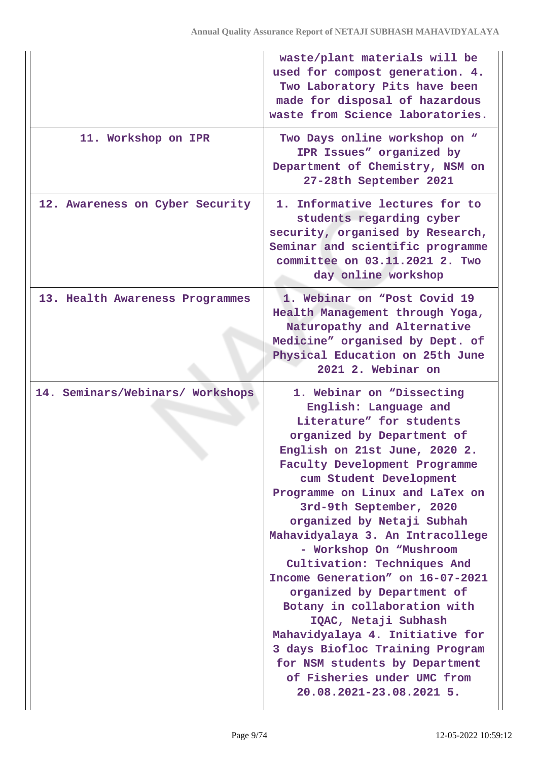|                                  | waste/plant materials will be<br>used for compost generation. 4.<br>Two Laboratory Pits have been<br>made for disposal of hazardous<br>waste from Science laboratories.                                                                                                                                                                                                                                                                                                                                                                                                                                                                                                                          |
|----------------------------------|--------------------------------------------------------------------------------------------------------------------------------------------------------------------------------------------------------------------------------------------------------------------------------------------------------------------------------------------------------------------------------------------------------------------------------------------------------------------------------------------------------------------------------------------------------------------------------------------------------------------------------------------------------------------------------------------------|
| 11. Workshop on IPR              | Two Days online workshop on "<br>IPR Issues" organized by<br>Department of Chemistry, NSM on<br>27-28th September 2021                                                                                                                                                                                                                                                                                                                                                                                                                                                                                                                                                                           |
| 12. Awareness on Cyber Security  | 1. Informative lectures for to<br>students regarding cyber<br>security, organised by Research,<br>Seminar and scientific programme<br>committee on 03.11.2021 2. Two<br>day online workshop                                                                                                                                                                                                                                                                                                                                                                                                                                                                                                      |
| 13. Health Awareness Programmes  | 1. Webinar on "Post Covid 19<br>Health Management through Yoga,<br>Naturopathy and Alternative<br>Medicine" organised by Dept. of<br>Physical Education on 25th June<br>2021 2. Webinar on                                                                                                                                                                                                                                                                                                                                                                                                                                                                                                       |
| 14. Seminars/Webinars/ Workshops | 1. Webinar on "Dissecting<br>English: Language and<br>Literature" for students<br>organized by Department of<br>English on 21st June, 2020 2.<br>Faculty Development Programme<br>cum Student Development<br>Programme on Linux and LaTex on<br>3rd-9th September, 2020<br>organized by Netaji Subhah<br>Mahavidyalaya 3. An Intracollege<br>- Workshop On "Mushroom<br>Cultivation: Techniques And<br>Income Generation" on 16-07-2021<br>organized by Department of<br>Botany in collaboration with<br>IQAC, Netaji Subhash<br>Mahavidyalaya 4. Initiative for<br>3 days Biofloc Training Program<br>for NSM students by Department<br>of Fisheries under UMC from<br>20.08.2021-23.08.2021 5. |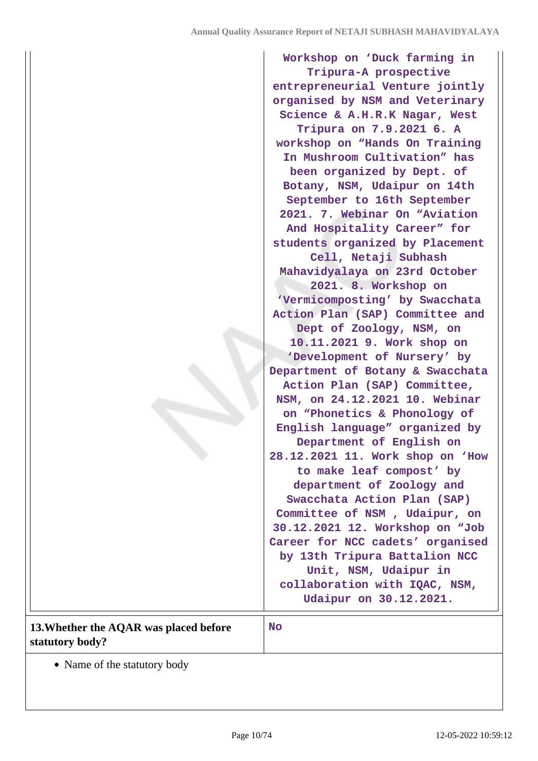| 13. Whether the AQAR was placed before | Tripura on 7.9.2021 6. A<br>workshop on "Hands On Training<br>In Mushroom Cultivation" has<br>been organized by Dept. of<br>Botany, NSM, Udaipur on 14th<br>September to 16th September<br>2021. 7. Webinar On "Aviation<br>And Hospitality Career" for<br>students organized by Placement<br>Cell, Netaji Subhash<br>Mahavidyalaya on 23rd October<br>2021. 8. Workshop on<br>'Vermicomposting' by Swacchata<br>Action Plan (SAP) Committee and<br>Dept of Zoology, NSM, on<br>10.11.2021 9. Work shop on<br>'Development of Nursery' by<br>Department of Botany & Swacchata<br>Action Plan (SAP) Committee,<br>NSM, on 24.12.2021 10. Webinar<br>on "Phonetics & Phonology of<br>English language" organized by<br>Department of English on<br>28.12.2021 11. Work shop on 'How<br>to make leaf compost' by<br>department of Zoology and<br>Swacchata Action Plan (SAP)<br>Committee of NSM, Udaipur, on<br>30.12.2021 12. Workshop on "Job<br>Career for NCC cadets' organised<br>by 13th Tripura Battalion NCC<br>Unit, NSM, Udaipur in<br>collaboration with IQAC, NSM,<br>Udaipur on 30.12.2021.<br><b>No</b> |
|----------------------------------------|---------------------------------------------------------------------------------------------------------------------------------------------------------------------------------------------------------------------------------------------------------------------------------------------------------------------------------------------------------------------------------------------------------------------------------------------------------------------------------------------------------------------------------------------------------------------------------------------------------------------------------------------------------------------------------------------------------------------------------------------------------------------------------------------------------------------------------------------------------------------------------------------------------------------------------------------------------------------------------------------------------------------------------------------------------------------------------------------------------------------|
| statutory body?                        |                                                                                                                                                                                                                                                                                                                                                                                                                                                                                                                                                                                                                                                                                                                                                                                                                                                                                                                                                                                                                                                                                                                     |

• Name of the statutory body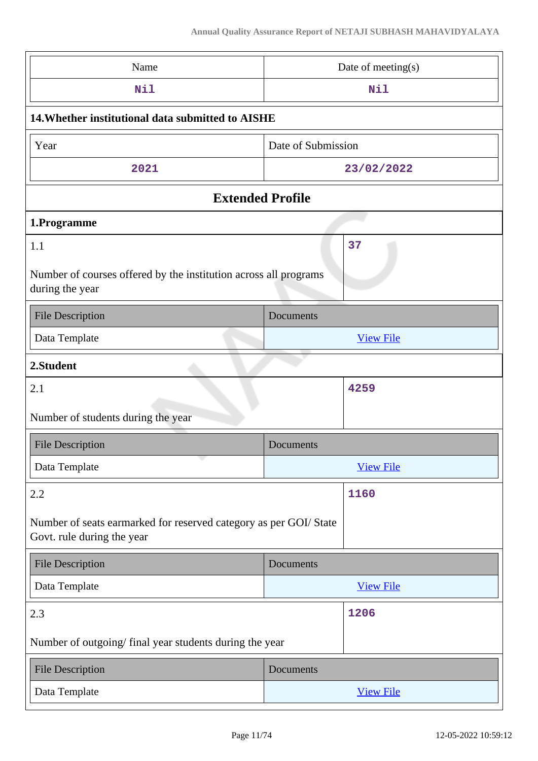| Name                                                                                             | Date of meeting(s) |  |  |
|--------------------------------------------------------------------------------------------------|--------------------|--|--|
| Nil                                                                                              | Nil                |  |  |
| 14. Whether institutional data submitted to AISHE                                                |                    |  |  |
| Year                                                                                             | Date of Submission |  |  |
| 2021                                                                                             | 23/02/2022         |  |  |
| <b>Extended Profile</b>                                                                          |                    |  |  |
| 1.Programme                                                                                      |                    |  |  |
| 37<br>1.1<br>Number of courses offered by the institution across all programs<br>during the year |                    |  |  |
| <b>File Description</b>                                                                          | Documents          |  |  |
| Data Template                                                                                    | <b>View File</b>   |  |  |
| 2.Student                                                                                        |                    |  |  |
| 2.1                                                                                              | 4259               |  |  |
| Number of students during the year                                                               |                    |  |  |
| <b>File Description</b>                                                                          | Documents          |  |  |
| Data Template                                                                                    | <b>View File</b>   |  |  |
| 2.2                                                                                              | 1160               |  |  |
| Number of seats earmarked for reserved category as per GOI/State<br>Govt. rule during the year   |                    |  |  |
| <b>File Description</b>                                                                          | Documents          |  |  |
| Data Template                                                                                    | <b>View File</b>   |  |  |
| 2.3                                                                                              | 1206               |  |  |
| Number of outgoing/final year students during the year                                           |                    |  |  |
| <b>File Description</b>                                                                          | Documents          |  |  |
| Data Template                                                                                    | <b>View File</b>   |  |  |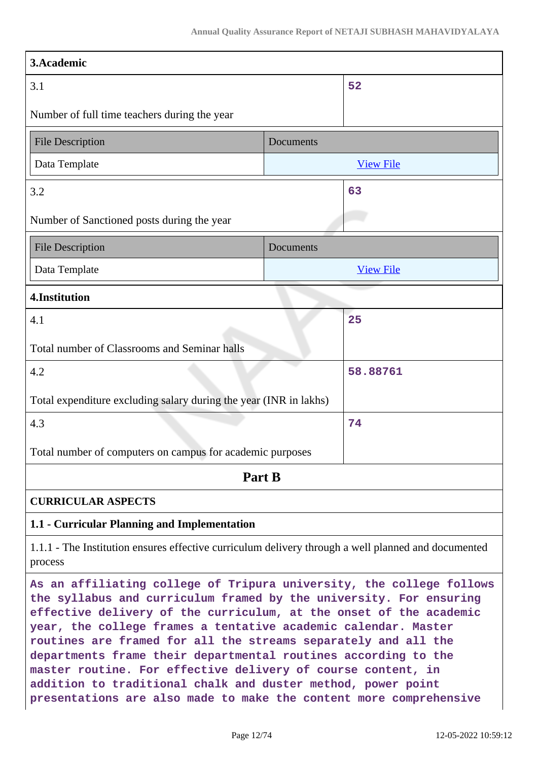| 3.Academic                                                                                                                                                                                                                                                                                                                                                                                                                                                                                                                                             |           |                  |  |
|--------------------------------------------------------------------------------------------------------------------------------------------------------------------------------------------------------------------------------------------------------------------------------------------------------------------------------------------------------------------------------------------------------------------------------------------------------------------------------------------------------------------------------------------------------|-----------|------------------|--|
| 3.1                                                                                                                                                                                                                                                                                                                                                                                                                                                                                                                                                    |           | 52               |  |
| Number of full time teachers during the year                                                                                                                                                                                                                                                                                                                                                                                                                                                                                                           |           |                  |  |
| <b>File Description</b>                                                                                                                                                                                                                                                                                                                                                                                                                                                                                                                                | Documents |                  |  |
| Data Template                                                                                                                                                                                                                                                                                                                                                                                                                                                                                                                                          |           | <b>View File</b> |  |
| 3.2                                                                                                                                                                                                                                                                                                                                                                                                                                                                                                                                                    |           | 63               |  |
| Number of Sanctioned posts during the year                                                                                                                                                                                                                                                                                                                                                                                                                                                                                                             |           |                  |  |
| <b>File Description</b>                                                                                                                                                                                                                                                                                                                                                                                                                                                                                                                                | Documents |                  |  |
| Data Template                                                                                                                                                                                                                                                                                                                                                                                                                                                                                                                                          |           | <b>View File</b> |  |
| 4.Institution                                                                                                                                                                                                                                                                                                                                                                                                                                                                                                                                          |           |                  |  |
| 4.1                                                                                                                                                                                                                                                                                                                                                                                                                                                                                                                                                    |           | 25               |  |
| Total number of Classrooms and Seminar halls                                                                                                                                                                                                                                                                                                                                                                                                                                                                                                           |           |                  |  |
| 4.2                                                                                                                                                                                                                                                                                                                                                                                                                                                                                                                                                    |           | 58.88761         |  |
| Total expenditure excluding salary during the year (INR in lakhs)                                                                                                                                                                                                                                                                                                                                                                                                                                                                                      |           |                  |  |
| 4.3                                                                                                                                                                                                                                                                                                                                                                                                                                                                                                                                                    |           | 74               |  |
| Total number of computers on campus for academic purposes                                                                                                                                                                                                                                                                                                                                                                                                                                                                                              |           |                  |  |
| Part B                                                                                                                                                                                                                                                                                                                                                                                                                                                                                                                                                 |           |                  |  |
| <b>CURRICULAR ASPECTS</b>                                                                                                                                                                                                                                                                                                                                                                                                                                                                                                                              |           |                  |  |
| 1.1 - Curricular Planning and Implementation                                                                                                                                                                                                                                                                                                                                                                                                                                                                                                           |           |                  |  |
| 1.1.1 - The Institution ensures effective curriculum delivery through a well planned and documented<br>process                                                                                                                                                                                                                                                                                                                                                                                                                                         |           |                  |  |
| As an affiliating college of Tripura university, the college follows<br>the syllabus and curriculum framed by the university. For ensuring<br>effective delivery of the curriculum, at the onset of the academic<br>year, the college frames a tentative academic calendar. Master<br>routines are framed for all the streams separately and all the<br>departments frame their departmental routines according to the<br>master routine. For effective delivery of course content, in<br>addition to traditional chalk and duster method, power point |           |                  |  |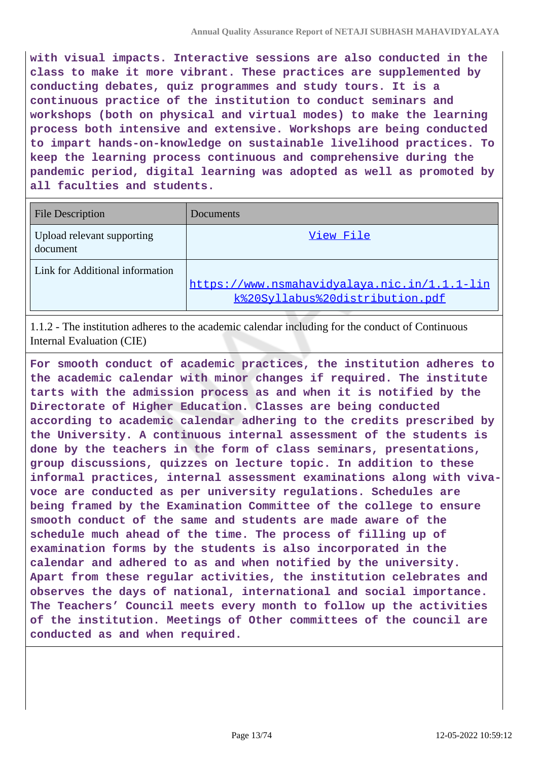**with visual impacts. Interactive sessions are also conducted in the class to make it more vibrant. These practices are supplemented by conducting debates, quiz programmes and study tours. It is a continuous practice of the institution to conduct seminars and workshops (both on physical and virtual modes) to make the learning process both intensive and extensive. Workshops are being conducted to impart hands-on-knowledge on sustainable livelihood practices. To keep the learning process continuous and comprehensive during the pandemic period, digital learning was adopted as well as promoted by all faculties and students.**

| <b>File Description</b>                | Documents                                                                       |
|----------------------------------------|---------------------------------------------------------------------------------|
| Upload relevant supporting<br>document | View File                                                                       |
| Link for Additional information        | https://www.nsmahavidyalaya.nic.in/1.1.1-lin<br>k%20Syllabus%20distribution.pdf |

1.1.2 - The institution adheres to the academic calendar including for the conduct of Continuous Internal Evaluation (CIE)

**For smooth conduct of academic practices, the institution adheres to the academic calendar with minor changes if required. The institute tarts with the admission process as and when it is notified by the Directorate of Higher Education. Classes are being conducted according to academic calendar adhering to the credits prescribed by the University. A continuous internal assessment of the students is done by the teachers in the form of class seminars, presentations, group discussions, quizzes on lecture topic. In addition to these informal practices, internal assessment examinations along with vivavoce are conducted as per university regulations. Schedules are being framed by the Examination Committee of the college to ensure smooth conduct of the same and students are made aware of the schedule much ahead of the time. The process of filling up of examination forms by the students is also incorporated in the calendar and adhered to as and when notified by the university. Apart from these regular activities, the institution celebrates and observes the days of national, international and social importance. The Teachers' Council meets every month to follow up the activities of the institution. Meetings of Other committees of the council are conducted as and when required.**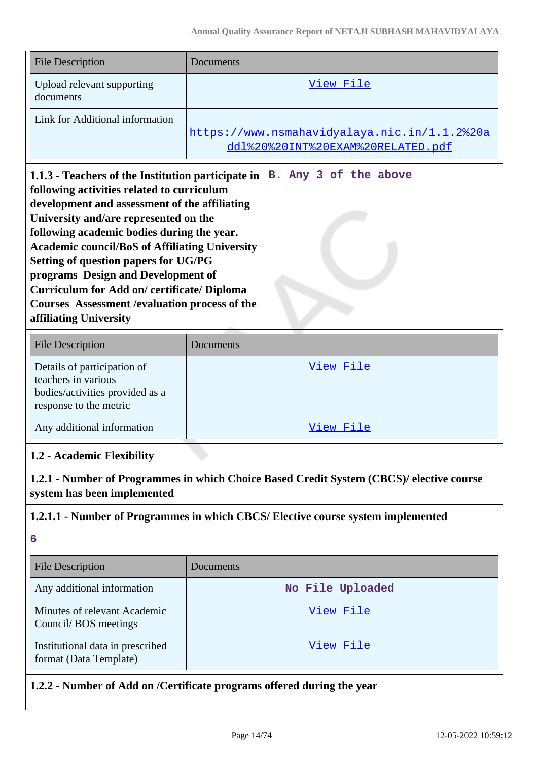| View File                                                                         |
|-----------------------------------------------------------------------------------|
| https://www.nsmahavidyalaya.nic.in/1.1.2%20a<br>ddl%20%20INT%20EXAM%20RELATED.pdf |
|                                                                                   |

| 1.1.3 - Teachers of the Institution participate in    |  |  | B. Any 3 of the above |  |
|-------------------------------------------------------|--|--|-----------------------|--|
| following activities related to curriculum            |  |  |                       |  |
| development and assessment of the affiliating         |  |  |                       |  |
| University and/are represented on the                 |  |  |                       |  |
| following academic bodies during the year.            |  |  |                       |  |
| <b>Academic council/BoS of Affiliating University</b> |  |  |                       |  |
| Setting of question papers for UG/PG                  |  |  |                       |  |
| programs Design and Development of                    |  |  |                       |  |
| <b>Curriculum for Add on/ certificate/ Diploma</b>    |  |  |                       |  |
| Courses Assessment / evaluation process of the        |  |  |                       |  |
| affiliating University                                |  |  |                       |  |

| <b>File Description</b>                                                                                         | Documents |
|-----------------------------------------------------------------------------------------------------------------|-----------|
| Details of participation of<br>teachers in various<br>bodies/activities provided as a<br>response to the metric | View File |
| Any additional information                                                                                      | View File |

# **1.2 - Academic Flexibility**

**1.2.1 - Number of Programmes in which Choice Based Credit System (CBCS)/ elective course system has been implemented**

## **1.2.1.1 - Number of Programmes in which CBCS/ Elective course system implemented**

**6**

| <b>File Description</b>                                    | Documents        |
|------------------------------------------------------------|------------------|
| Any additional information                                 | No File Uploaded |
| Minutes of relevant Academic<br>Council/BOS meetings       | View File        |
| Institutional data in prescribed<br>format (Data Template) | View File        |

**1.2.2 - Number of Add on /Certificate programs offered during the year**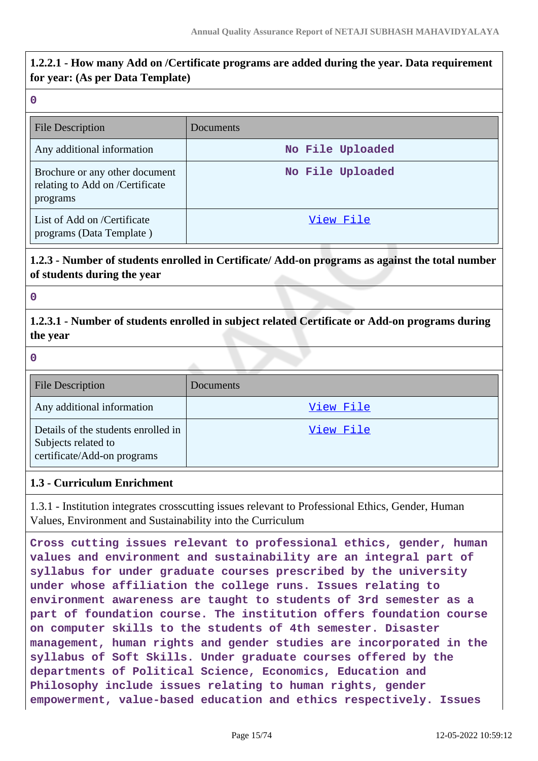# **1.2.2.1 - How many Add on /Certificate programs are added during the year. Data requirement for year: (As per Data Template)**

#### **0**

| <b>File Description</b>                                                       | Documents        |
|-------------------------------------------------------------------------------|------------------|
| Any additional information                                                    | No File Uploaded |
| Brochure or any other document<br>relating to Add on /Certificate<br>programs | No File Uploaded |
| List of Add on /Certificate<br>programs (Data Template)                       | View File        |

# **1.2.3 - Number of students enrolled in Certificate/ Add-on programs as against the total number of students during the year**

#### **0**

**1.2.3.1 - Number of students enrolled in subject related Certificate or Add-on programs during the year**

**0**

| <b>File Description</b>                                                                   | <b>Documents</b> |
|-------------------------------------------------------------------------------------------|------------------|
| Any additional information                                                                | View File        |
| Details of the students enrolled in<br>Subjects related to<br>certificate/Add-on programs | View File        |

#### **1.3 - Curriculum Enrichment**

1.3.1 - Institution integrates crosscutting issues relevant to Professional Ethics, Gender, Human Values, Environment and Sustainability into the Curriculum

**Cross cutting issues relevant to professional ethics, gender, human values and environment and sustainability are an integral part of syllabus for under graduate courses prescribed by the university under whose affiliation the college runs. Issues relating to environment awareness are taught to students of 3rd semester as a part of foundation course. The institution offers foundation course on computer skills to the students of 4th semester. Disaster management, human rights and gender studies are incorporated in the syllabus of Soft Skills. Under graduate courses offered by the departments of Political Science, Economics, Education and Philosophy include issues relating to human rights, gender empowerment, value-based education and ethics respectively. Issues**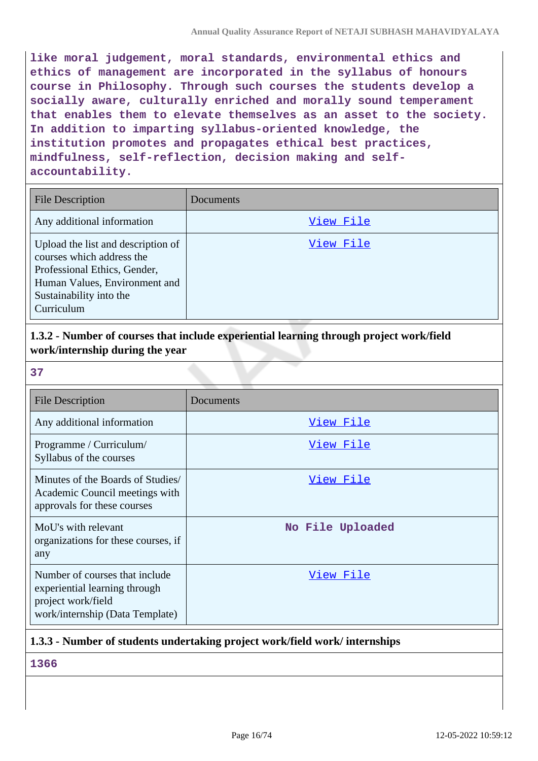**like moral judgement, moral standards, environmental ethics and ethics of management are incorporated in the syllabus of honours course in Philosophy. Through such courses the students develop a socially aware, culturally enriched and morally sound temperament that enables them to elevate themselves as an asset to the society. In addition to imparting syllabus-oriented knowledge, the institution promotes and propagates ethical best practices, mindfulness, self-reflection, decision making and selfaccountability.**

| <b>File Description</b>                                                                                                                                                   | Documents |
|---------------------------------------------------------------------------------------------------------------------------------------------------------------------------|-----------|
| Any additional information                                                                                                                                                | View File |
| Upload the list and description of<br>courses which address the<br>Professional Ethics, Gender,<br>Human Values, Environment and<br>Sustainability into the<br>Curriculum | View File |

# **1.3.2 - Number of courses that include experiential learning through project work/field work/internship during the year**

**37**

| <b>File Description</b>                                                                                                  | Documents        |
|--------------------------------------------------------------------------------------------------------------------------|------------------|
| Any additional information                                                                                               | View File        |
| Programme / Curriculum/<br>Syllabus of the courses                                                                       | View File        |
| Minutes of the Boards of Studies/<br>Academic Council meetings with<br>approvals for these courses                       | View File        |
| MoU's with relevant<br>organizations for these courses, if<br>any                                                        | No File Uploaded |
| Number of courses that include<br>experiential learning through<br>project work/field<br>work/internship (Data Template) | View File        |

# **1.3.3 - Number of students undertaking project work/field work/ internships**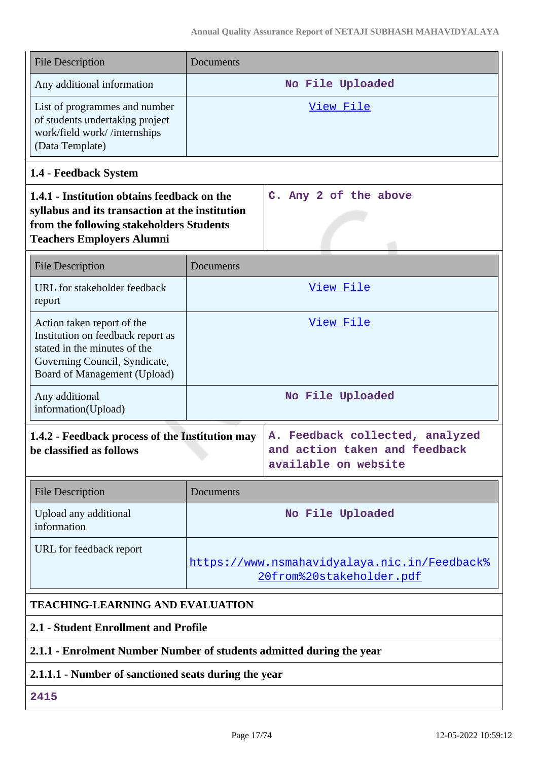| <b>File Description</b>                                                                                                                                                        | Documents                                                                                                                                   |                       |  |  |
|--------------------------------------------------------------------------------------------------------------------------------------------------------------------------------|---------------------------------------------------------------------------------------------------------------------------------------------|-----------------------|--|--|
| Any additional information                                                                                                                                                     | No File Uploaded                                                                                                                            |                       |  |  |
| List of programmes and number<br>of students undertaking project<br>work/field work//internships<br>(Data Template)                                                            | View File                                                                                                                                   |                       |  |  |
| 1.4 - Feedback System                                                                                                                                                          |                                                                                                                                             |                       |  |  |
| 1.4.1 - Institution obtains feedback on the<br>syllabus and its transaction at the institution<br>from the following stakeholders Students<br><b>Teachers Employers Alumni</b> |                                                                                                                                             | C. Any 2 of the above |  |  |
| <b>File Description</b>                                                                                                                                                        | Documents                                                                                                                                   |                       |  |  |
| URL for stakeholder feedback<br>report                                                                                                                                         |                                                                                                                                             | View File             |  |  |
| Action taken report of the<br>Institution on feedback report as<br>stated in the minutes of the<br>Governing Council, Syndicate,<br>Board of Management (Upload)               |                                                                                                                                             | View File             |  |  |
| Any additional<br>information(Upload)                                                                                                                                          |                                                                                                                                             | No File Uploaded      |  |  |
| be classified as follows                                                                                                                                                       | 1.4.2 - Feedback process of the Institution may<br>A. Feedback collected, analyzed<br>and action taken and feedback<br>available on website |                       |  |  |
| <b>File Description</b>                                                                                                                                                        | Documents                                                                                                                                   |                       |  |  |
| Upload any additional<br>information                                                                                                                                           |                                                                                                                                             | No File Uploaded      |  |  |
| URL for feedback report                                                                                                                                                        | https://www.nsmahavidyalaya.nic.in/Feedback%<br>20from%20stakeholder.pdf                                                                    |                       |  |  |
| <b>TEACHING-LEARNING AND EVALUATION</b>                                                                                                                                        |                                                                                                                                             |                       |  |  |
| 2.1 - Student Enrollment and Profile                                                                                                                                           |                                                                                                                                             |                       |  |  |

# **2.1.1 - Enrolment Number Number of students admitted during the year**

# **2.1.1.1 - Number of sanctioned seats during the year**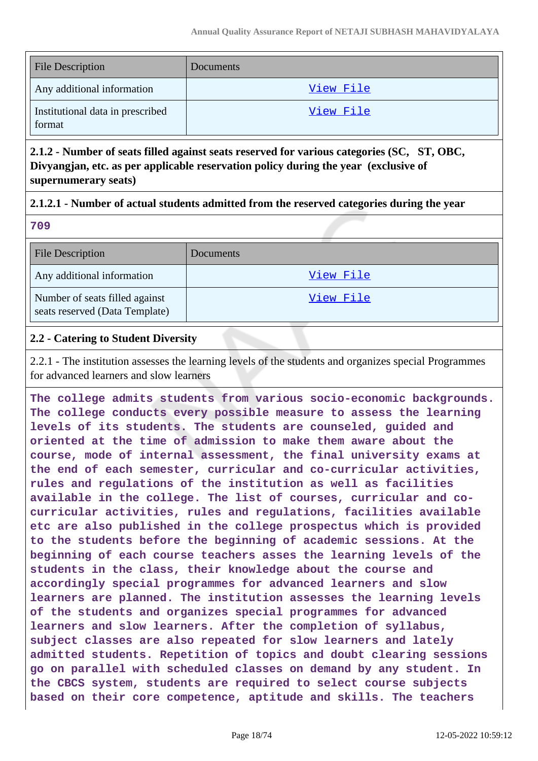| <b>File Description</b>                    | <b>Documents</b> |
|--------------------------------------------|------------------|
| Any additional information                 | View File        |
| Institutional data in prescribed<br>format | View File        |

**2.1.2 - Number of seats filled against seats reserved for various categories (SC, ST, OBC, Divyangjan, etc. as per applicable reservation policy during the year (exclusive of supernumerary seats)**

### **2.1.2.1 - Number of actual students admitted from the reserved categories during the year**

**709**

| <b>File Description</b>                                          | <b>Documents</b> |
|------------------------------------------------------------------|------------------|
| Any additional information                                       | View File        |
| Number of seats filled against<br>seats reserved (Data Template) | View File        |

## **2.2 - Catering to Student Diversity**

2.2.1 - The institution assesses the learning levels of the students and organizes special Programmes for advanced learners and slow learners

**The college admits students from various socio-economic backgrounds. The college conducts every possible measure to assess the learning levels of its students. The students are counseled, guided and oriented at the time of admission to make them aware about the course, mode of internal assessment, the final university exams at the end of each semester, curricular and co-curricular activities, rules and regulations of the institution as well as facilities available in the college. The list of courses, curricular and cocurricular activities, rules and regulations, facilities available etc are also published in the college prospectus which is provided to the students before the beginning of academic sessions. At the beginning of each course teachers asses the learning levels of the students in the class, their knowledge about the course and accordingly special programmes for advanced learners and slow learners are planned. The institution assesses the learning levels of the students and organizes special programmes for advanced learners and slow learners. After the completion of syllabus, subject classes are also repeated for slow learners and lately admitted students. Repetition of topics and doubt clearing sessions go on parallel with scheduled classes on demand by any student. In the CBCS system, students are required to select course subjects based on their core competence, aptitude and skills. The teachers**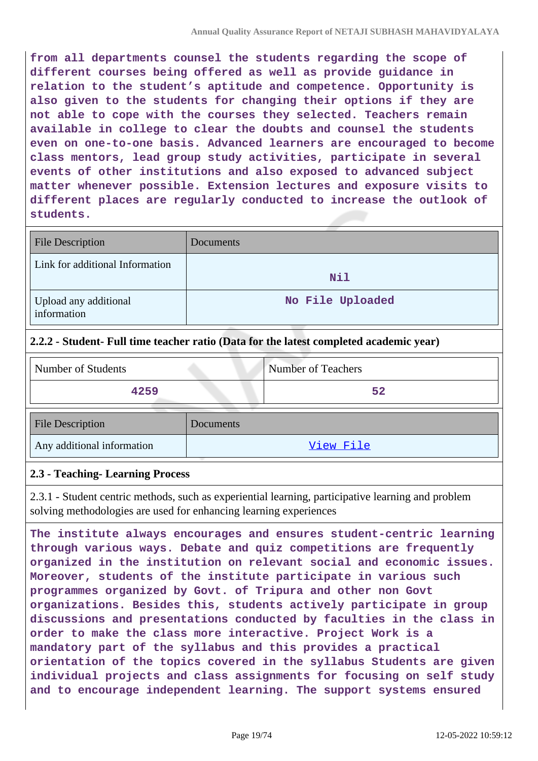**from all departments counsel the students regarding the scope of different courses being offered as well as provide guidance in relation to the student's aptitude and competence. Opportunity is also given to the students for changing their options if they are not able to cope with the courses they selected. Teachers remain available in college to clear the doubts and counsel the students even on one-to-one basis. Advanced learners are encouraged to become class mentors, lead group study activities, participate in several events of other institutions and also exposed to advanced subject matter whenever possible. Extension lectures and exposure visits to different places are regularly conducted to increase the outlook of students.**

| <b>File Description</b>              | Documents        |
|--------------------------------------|------------------|
| Link for additional Information      | Nil              |
| Upload any additional<br>information | No File Uploaded |

### **2.2.2 - Student- Full time teacher ratio (Data for the latest completed academic year)**

| Number of Students         |           | <b>Number of Teachers</b> |
|----------------------------|-----------|---------------------------|
| 4259                       |           | 52                        |
| <b>File Description</b>    | Documents |                           |
| Any additional information |           | View File                 |

#### **2.3 - Teaching- Learning Process**

2.3.1 - Student centric methods, such as experiential learning, participative learning and problem solving methodologies are used for enhancing learning experiences

**The institute always encourages and ensures student-centric learning through various ways. Debate and quiz competitions are frequently organized in the institution on relevant social and economic issues. Moreover, students of the institute participate in various such programmes organized by Govt. of Tripura and other non Govt organizations. Besides this, students actively participate in group discussions and presentations conducted by faculties in the class in order to make the class more interactive. Project Work is a mandatory part of the syllabus and this provides a practical orientation of the topics covered in the syllabus Students are given individual projects and class assignments for focusing on self study and to encourage independent learning. The support systems ensured**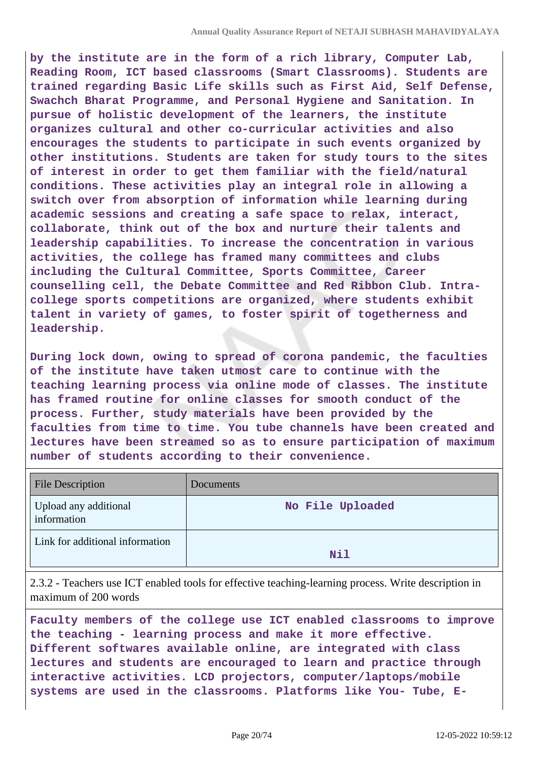**by the institute are in the form of a rich library, Computer Lab, Reading Room, ICT based classrooms (Smart Classrooms). Students are trained regarding Basic Life skills such as First Aid, Self Defense, Swachch Bharat Programme, and Personal Hygiene and Sanitation. In pursue of holistic development of the learners, the institute organizes cultural and other co-curricular activities and also encourages the students to participate in such events organized by other institutions. Students are taken for study tours to the sites of interest in order to get them familiar with the field/natural conditions. These activities play an integral role in allowing a switch over from absorption of information while learning during academic sessions and creating a safe space to relax, interact, collaborate, think out of the box and nurture their talents and leadership capabilities. To increase the concentration in various activities, the college has framed many committees and clubs including the Cultural Committee, Sports Committee, Career counselling cell, the Debate Committee and Red Ribbon Club. Intracollege sports competitions are organized, where students exhibit talent in variety of games, to foster spirit of togetherness and leadership.**

**During lock down, owing to spread of corona pandemic, the faculties of the institute have taken utmost care to continue with the teaching learning process via online mode of classes. The institute has framed routine for online classes for smooth conduct of the process. Further, study materials have been provided by the faculties from time to time. You tube channels have been created and lectures have been streamed so as to ensure participation of maximum number of students according to their convenience.**

| File Description                     | Documents        |
|--------------------------------------|------------------|
| Upload any additional<br>information | No File Uploaded |
| Link for additional information      | Nil              |

2.3.2 - Teachers use ICT enabled tools for effective teaching-learning process. Write description in maximum of 200 words

**Faculty members of the college use ICT enabled classrooms to improve the teaching - learning process and make it more effective. Different softwares available online, are integrated with class lectures and students are encouraged to learn and practice through interactive activities. LCD projectors, computer/laptops/mobile systems are used in the classrooms. Platforms like You- Tube, E-**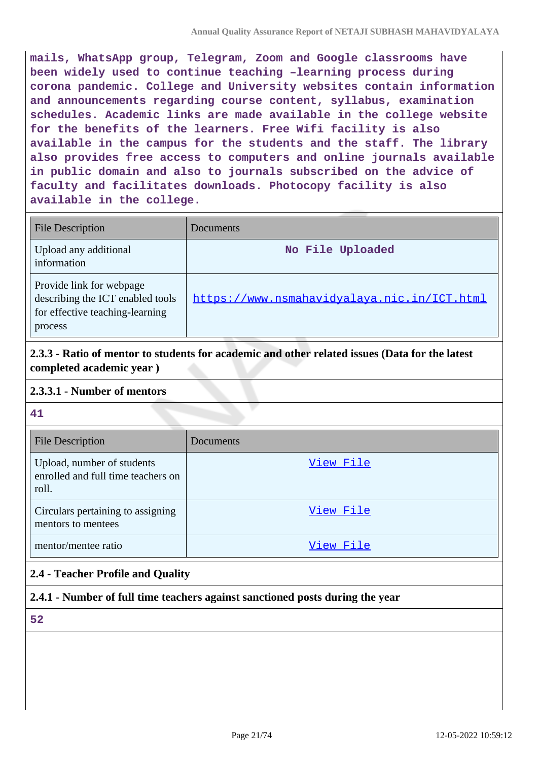**mails, WhatsApp group, Telegram, Zoom and Google classrooms have been widely used to continue teaching –learning process during corona pandemic. College and University websites contain information and announcements regarding course content, syllabus, examination schedules. Academic links are made available in the college website for the benefits of the learners. Free Wifi facility is also available in the campus for the students and the staff. The library also provides free access to computers and online journals available in public domain and also to journals subscribed on the advice of faculty and facilitates downloads. Photocopy facility is also available in the college.**

| <b>File Description</b>                                                                                    | Documents                                   |
|------------------------------------------------------------------------------------------------------------|---------------------------------------------|
| Upload any additional<br>information                                                                       | No File Uploaded                            |
| Provide link for webpage<br>describing the ICT enabled tools<br>for effective teaching-learning<br>process | https://www.nsmahavidyalaya.nic.in/ICT.html |

**2.3.3 - Ratio of mentor to students for academic and other related issues (Data for the latest completed academic year )**

### **2.3.3.1 - Number of mentors**

**41**

| <b>File Description</b>                                                   | <b>Documents</b> |
|---------------------------------------------------------------------------|------------------|
| Upload, number of students<br>enrolled and full time teachers on<br>roll. | View File        |
| Circulars pertaining to assigning<br>mentors to mentees                   | View File        |
| mentor/mentee ratio                                                       | View File        |

# **2.4 - Teacher Profile and Quality**

# **2.4.1 - Number of full time teachers against sanctioned posts during the year**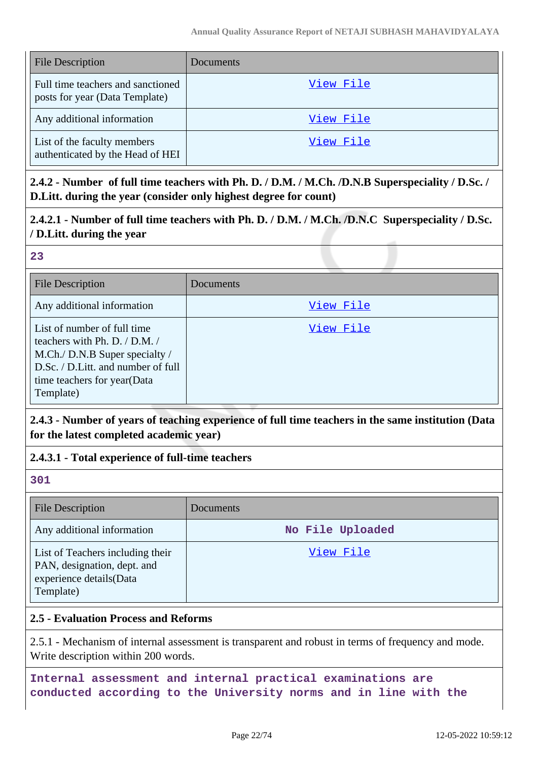| <b>File Description</b>                                             | Documents |
|---------------------------------------------------------------------|-----------|
| Full time teachers and sanctioned<br>posts for year (Data Template) | View File |
| Any additional information                                          | View File |
| List of the faculty members<br>authenticated by the Head of HEI     | View File |

**2.4.2 - Number of full time teachers with Ph. D. / D.M. / M.Ch. /D.N.B Superspeciality / D.Sc. / D.Litt. during the year (consider only highest degree for count)**

# **2.4.2.1 - Number of full time teachers with Ph. D. / D.M. / M.Ch. /D.N.C Superspeciality / D.Sc. / D.Litt. during the year**

### **23**

| <b>File Description</b>                                                                                                                                                          | Documents |
|----------------------------------------------------------------------------------------------------------------------------------------------------------------------------------|-----------|
| Any additional information                                                                                                                                                       | View File |
| List of number of full time<br>teachers with Ph. D. / D.M. /<br>M.Ch./ D.N.B Super specialty /<br>D.Sc. / D.Litt. and number of full<br>time teachers for year(Data<br>Template) | View File |

# **2.4.3 - Number of years of teaching experience of full time teachers in the same institution (Data for the latest completed academic year)**

# **2.4.3.1 - Total experience of full-time teachers**

#### **301**

| <b>File Description</b>                                                                                 | Documents        |
|---------------------------------------------------------------------------------------------------------|------------------|
| Any additional information                                                                              | No File Uploaded |
| List of Teachers including their<br>PAN, designation, dept. and<br>experience details(Data<br>Template) | View File        |

# **2.5 - Evaluation Process and Reforms**

2.5.1 - Mechanism of internal assessment is transparent and robust in terms of frequency and mode. Write description within 200 words.

**Internal assessment and internal practical examinations are conducted according to the University norms and in line with the**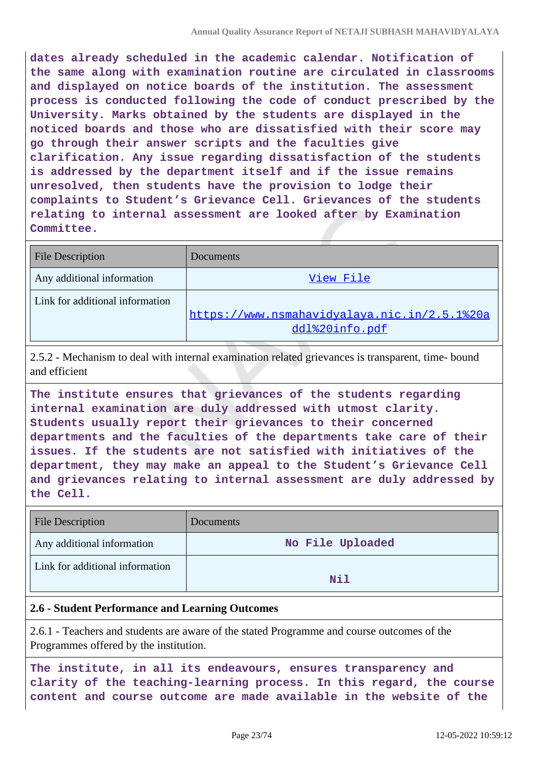**dates already scheduled in the academic calendar. Notification of the same along with examination routine are circulated in classrooms and displayed on notice boards of the institution. The assessment process is conducted following the code of conduct prescribed by the University. Marks obtained by the students are displayed in the noticed boards and those who are dissatisfied with their score may go through their answer scripts and the faculties give clarification. Any issue regarding dissatisfaction of the students is addressed by the department itself and if the issue remains unresolved, then students have the provision to lodge their complaints to Student's Grievance Cell. Grievances of the students relating to internal assessment are looked after by Examination Committee.**

| <b>File Description</b>         | Documents                                    |
|---------------------------------|----------------------------------------------|
| Any additional information      | View File                                    |
| Link for additional information |                                              |
|                                 | https://www.nsmahavidyalaya.nic.in/2.5.1%20a |
|                                 | ddl%20info.pdf                               |

2.5.2 - Mechanism to deal with internal examination related grievances is transparent, time- bound and efficient

**The institute ensures that grievances of the students regarding internal examination are duly addressed with utmost clarity. Students usually report their grievances to their concerned departments and the faculties of the departments take care of their issues. If the students are not satisfied with initiatives of the department, they may make an appeal to the Student's Grievance Cell and grievances relating to internal assessment are duly addressed by the Cell.**

| <b>File Description</b>         | Documents        |
|---------------------------------|------------------|
| Any additional information      | No File Uploaded |
| Link for additional information | Nil              |

### **2.6 - Student Performance and Learning Outcomes**

2.6.1 - Teachers and students are aware of the stated Programme and course outcomes of the Programmes offered by the institution.

**The institute, in all its endeavours, ensures transparency and clarity of the teaching-learning process. In this regard, the course content and course outcome are made available in the website of the**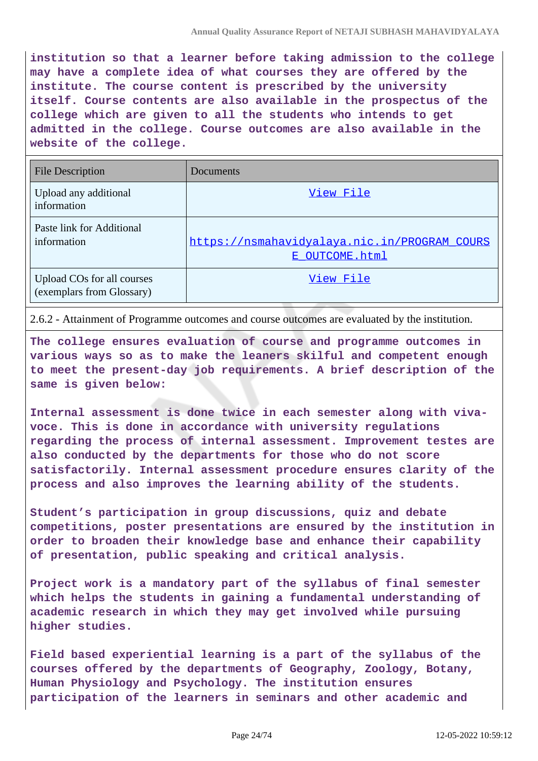**institution so that a learner before taking admission to the college may have a complete idea of what courses they are offered by the institute. The course content is prescribed by the university itself. Course contents are also available in the prospectus of the college which are given to all the students who intends to get admitted in the college. Course outcomes are also available in the website of the college.**

| <b>File Description</b>                                 | Documents                                                      |
|---------------------------------------------------------|----------------------------------------------------------------|
| Upload any additional<br>information                    | View File                                                      |
| Paste link for Additional<br>information                | https://nsmahavidyalaya.nic.in/PROGRAM_COURS<br>E OUTCOME.html |
| Upload COs for all courses<br>(exemplars from Glossary) | View File                                                      |

2.6.2 - Attainment of Programme outcomes and course outcomes are evaluated by the institution.

**The college ensures evaluation of course and programme outcomes in various ways so as to make the leaners skilful and competent enough to meet the present-day job requirements. A brief description of the same is given below:**

**Internal assessment is done twice in each semester along with vivavoce. This is done in accordance with university regulations regarding the process of internal assessment. Improvement testes are also conducted by the departments for those who do not score satisfactorily. Internal assessment procedure ensures clarity of the process and also improves the learning ability of the students.**

**Student's participation in group discussions, quiz and debate competitions, poster presentations are ensured by the institution in order to broaden their knowledge base and enhance their capability of presentation, public speaking and critical analysis.**

**Project work is a mandatory part of the syllabus of final semester which helps the students in gaining a fundamental understanding of academic research in which they may get involved while pursuing higher studies.**

**Field based experiential learning is a part of the syllabus of the courses offered by the departments of Geography, Zoology, Botany, Human Physiology and Psychology. The institution ensures participation of the learners in seminars and other academic and**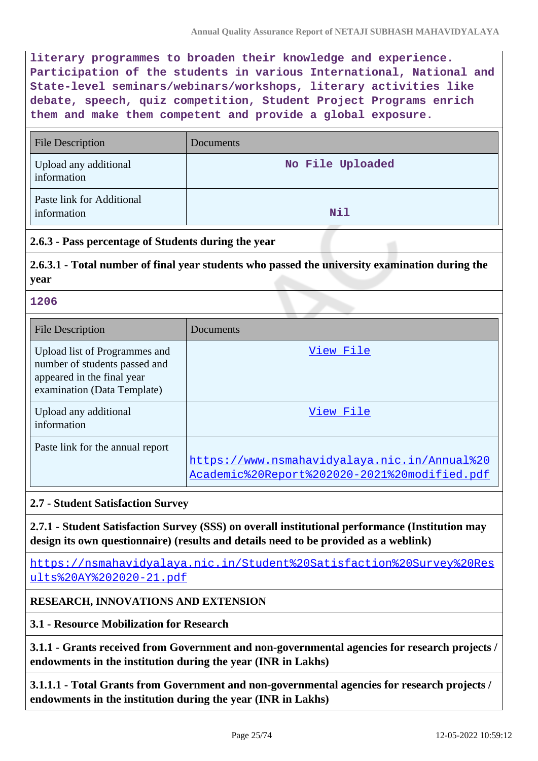**literary programmes to broaden their knowledge and experience. Participation of the students in various International, National and State-level seminars/webinars/workshops, literary activities like debate, speech, quiz competition, Student Project Programs enrich them and make them competent and provide a global exposure.**

| <b>File Description</b>                  | Documents        |
|------------------------------------------|------------------|
| Upload any additional<br>information     | No File Uploaded |
| Paste link for Additional<br>information | Nil              |

## **2.6.3 - Pass percentage of Students during the year**

**2.6.3.1 - Total number of final year students who passed the university examination during the year**

#### **1206**

| <b>File Description</b>                                                                                                     | Documents                                                                                    |
|-----------------------------------------------------------------------------------------------------------------------------|----------------------------------------------------------------------------------------------|
| Upload list of Programmes and<br>number of students passed and<br>appeared in the final year<br>examination (Data Template) | View File                                                                                    |
| Upload any additional<br>information                                                                                        | View File                                                                                    |
| Paste link for the annual report                                                                                            | https://www.nsmahavidyalaya.nic.in/Annual%20<br>Academic%20Report%202020-2021%20modified.pdf |

### **2.7 - Student Satisfaction Survey**

**2.7.1 - Student Satisfaction Survey (SSS) on overall institutional performance (Institution may design its own questionnaire) (results and details need to be provided as a weblink)**

[https://nsmahavidyalaya.nic.in/Student%20Satisfaction%20Survey%20Res](https://nsmahavidyalaya.nic.in/Student%20Satisfaction%20Survey%20Results%20AY%202020-21.pdf) [ults%20AY%202020-21.pdf](https://nsmahavidyalaya.nic.in/Student%20Satisfaction%20Survey%20Results%20AY%202020-21.pdf)

### **RESEARCH, INNOVATIONS AND EXTENSION**

### **3.1 - Resource Mobilization for Research**

**3.1.1 - Grants received from Government and non-governmental agencies for research projects / endowments in the institution during the year (INR in Lakhs)**

**3.1.1.1 - Total Grants from Government and non-governmental agencies for research projects / endowments in the institution during the year (INR in Lakhs)**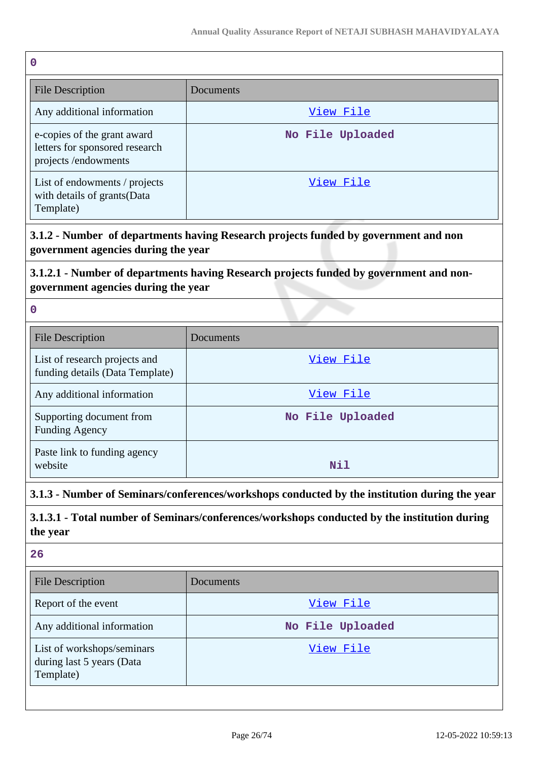| $\mathbf 0$                                                                                                                   |                                                                                              |
|-------------------------------------------------------------------------------------------------------------------------------|----------------------------------------------------------------------------------------------|
| <b>File Description</b>                                                                                                       | Documents                                                                                    |
| Any additional information                                                                                                    | <u>View File</u>                                                                             |
| e-copies of the grant award<br>letters for sponsored research<br>projects /endowments                                         | No File Uploaded                                                                             |
| List of endowments / projects<br>with details of grants(Data<br>Template)                                                     | View File                                                                                    |
| 3.1.2 - Number of departments having Research projects funded by government and non<br>government agencies during the year    |                                                                                              |
| 3.1.2.1 - Number of departments having Research projects funded by government and non-<br>government agencies during the year |                                                                                              |
| $\mathbf 0$                                                                                                                   |                                                                                              |
| <b>File Description</b>                                                                                                       | Documents                                                                                    |
| List of research projects and<br>funding details (Data Template)                                                              | View File                                                                                    |
| Any additional information                                                                                                    | View File                                                                                    |
| Supporting document from<br><b>Funding Agency</b>                                                                             | No File Uploaded                                                                             |
| Paste link to funding agency<br>website                                                                                       | Nil                                                                                          |
| 3.1.3 - Number of Seminars/conferences/workshops conducted by the institution during the year                                 |                                                                                              |
| the year                                                                                                                      | 3.1.3.1 - Total number of Seminars/conferences/workshops conducted by the institution during |

| <b>File Description</b>                                              | <b>Documents</b> |
|----------------------------------------------------------------------|------------------|
| Report of the event                                                  | View File        |
| Any additional information                                           | No File Uploaded |
| List of workshops/seminars<br>during last 5 years (Data<br>Template) | View File        |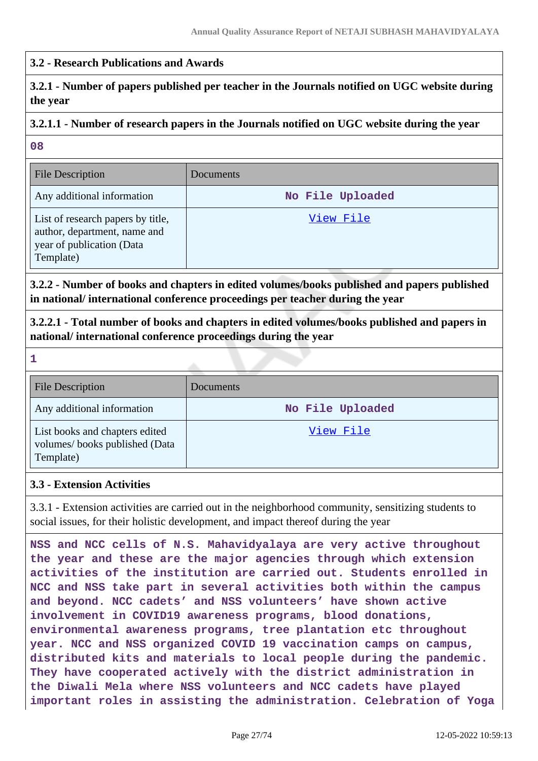## **3.2 - Research Publications and Awards**

# **3.2.1 - Number of papers published per teacher in the Journals notified on UGC website during the year**

# **3.2.1.1 - Number of research papers in the Journals notified on UGC website during the year**

**08**

| File Description                                                                                            | <b>Documents</b> |
|-------------------------------------------------------------------------------------------------------------|------------------|
| Any additional information                                                                                  | No File Uploaded |
| List of research papers by title,<br>author, department, name and<br>year of publication (Data<br>Template) | View File        |

**3.2.2 - Number of books and chapters in edited volumes/books published and papers published in national/ international conference proceedings per teacher during the year**

**3.2.2.1 - Total number of books and chapters in edited volumes/books published and papers in national/ international conference proceedings during the year**

**1** File Description Documents Any additional information **No File Uploaded** List books and chapters edited volumes/ books published (Data Template) [View File](https://assessmentonline.naac.gov.in/storage/app/public/aqar/15666/15666_33_73.xlsx?1652376550)

#### **3.3 - Extension Activities**

3.3.1 - Extension activities are carried out in the neighborhood community, sensitizing students to social issues, for their holistic development, and impact thereof during the year

**NSS and NCC cells of N.S. Mahavidyalaya are very active throughout the year and these are the major agencies through which extension activities of the institution are carried out. Students enrolled in NCC and NSS take part in several activities both within the campus and beyond. NCC cadets' and NSS volunteers' have shown active involvement in COVID19 awareness programs, blood donations, environmental awareness programs, tree plantation etc throughout year. NCC and NSS organized COVID 19 vaccination camps on campus, distributed kits and materials to local people during the pandemic. They have cooperated actively with the district administration in the Diwali Mela where NSS volunteers and NCC cadets have played important roles in assisting the administration. Celebration of Yoga**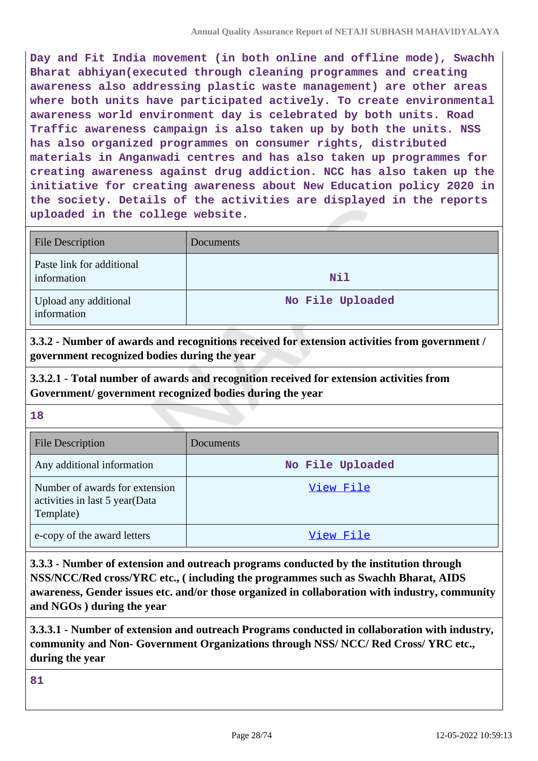**Day and Fit India movement (in both online and offline mode), Swachh Bharat abhiyan(executed through cleaning programmes and creating awareness also addressing plastic waste management) are other areas where both units have participated actively. To create environmental awareness world environment day is celebrated by both units. Road Traffic awareness campaign is also taken up by both the units. NSS has also organized programmes on consumer rights, distributed materials in Anganwadi centres and has also taken up programmes for creating awareness against drug addiction. NCC has also taken up the initiative for creating awareness about New Education policy 2020 in the society. Details of the activities are displayed in the reports uploaded in the college website.**

| <b>File Description</b>                  | Documents        |
|------------------------------------------|------------------|
| Paste link for additional<br>information | Nil              |
| Upload any additional<br>information     | No File Uploaded |

**3.3.2 - Number of awards and recognitions received for extension activities from government / government recognized bodies during the year**

**3.3.2.1 - Total number of awards and recognition received for extension activities from Government/ government recognized bodies during the year**

**18**

| <b>File Description</b>                                                       | Documents        |
|-------------------------------------------------------------------------------|------------------|
| Any additional information                                                    | No File Uploaded |
| Number of awards for extension<br>activities in last 5 year(Data<br>Template) | View File        |
| e-copy of the award letters                                                   | View File        |

**3.3.3 - Number of extension and outreach programs conducted by the institution through NSS/NCC/Red cross/YRC etc., ( including the programmes such as Swachh Bharat, AIDS awareness, Gender issues etc. and/or those organized in collaboration with industry, community and NGOs ) during the year**

**3.3.3.1 - Number of extension and outreach Programs conducted in collaboration with industry, community and Non- Government Organizations through NSS/ NCC/ Red Cross/ YRC etc., during the year**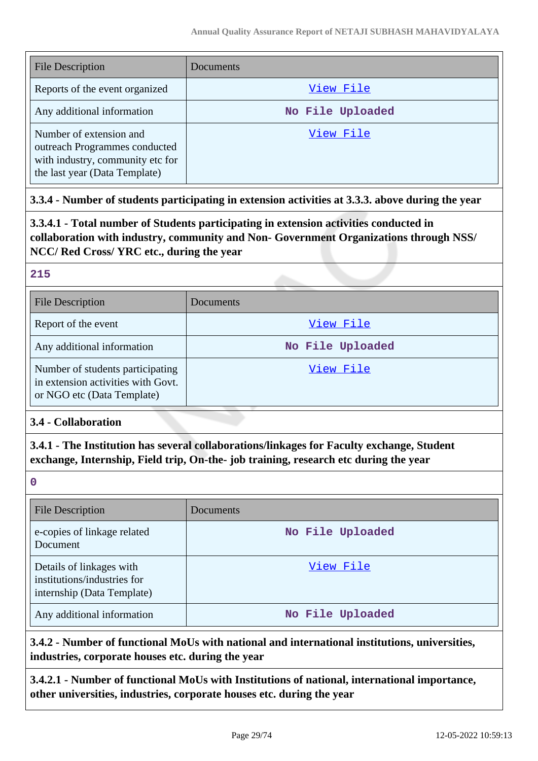| <b>File Description</b>                                                                                                       | Documents        |
|-------------------------------------------------------------------------------------------------------------------------------|------------------|
| Reports of the event organized                                                                                                | View File        |
| Any additional information                                                                                                    | No File Uploaded |
| Number of extension and<br>outreach Programmes conducted<br>with industry, community etc for<br>the last year (Data Template) | View File        |

# **3.3.4 - Number of students participating in extension activities at 3.3.3. above during the year**

**3.3.4.1 - Total number of Students participating in extension activities conducted in collaboration with industry, community and Non- Government Organizations through NSS/ NCC/ Red Cross/ YRC etc., during the year**

#### **215**

| <b>File Description</b>                                                                              | Documents        |
|------------------------------------------------------------------------------------------------------|------------------|
| Report of the event                                                                                  | View File        |
| Any additional information                                                                           | No File Uploaded |
| Number of students participating<br>in extension activities with Govt.<br>or NGO etc (Data Template) | View File        |

### **3.4 - Collaboration**

**3.4.1 - The Institution has several collaborations/linkages for Faculty exchange, Student exchange, Internship, Field trip, On-the- job training, research etc during the year**

**0**

| <b>File Description</b>                                                               | Documents        |
|---------------------------------------------------------------------------------------|------------------|
| e-copies of linkage related<br>Document                                               | No File Uploaded |
| Details of linkages with<br>institutions/industries for<br>internship (Data Template) | View File        |
| Any additional information                                                            | No File Uploaded |

**3.4.2 - Number of functional MoUs with national and international institutions, universities, industries, corporate houses etc. during the year**

**3.4.2.1 - Number of functional MoUs with Institutions of national, international importance, other universities, industries, corporate houses etc. during the year**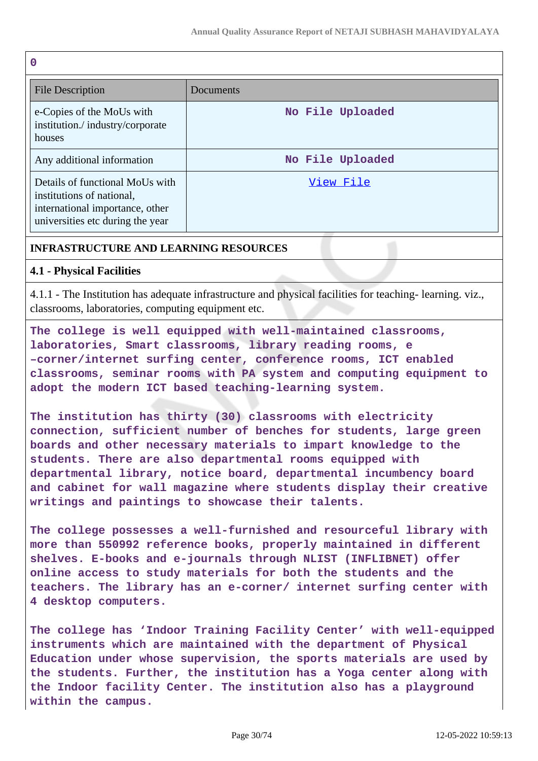| $\mathbf 0$                                                                                                                         |                  |
|-------------------------------------------------------------------------------------------------------------------------------------|------------------|
| File Description                                                                                                                    | Documents        |
| e-Copies of the MoUs with<br>institution./industry/corporate<br>houses                                                              | No File Uploaded |
| Any additional information                                                                                                          | No File Uploaded |
| Details of functional MoUs with<br>institutions of national,<br>international importance, other<br>universities etc during the year | View File        |

# **INFRASTRUCTURE AND LEARNING RESOURCES**

## **4.1 - Physical Facilities**

4.1.1 - The Institution has adequate infrastructure and physical facilities for teaching- learning. viz., classrooms, laboratories, computing equipment etc.

**The college is well equipped with well-maintained classrooms, laboratories, Smart classrooms, library reading rooms, e –corner/internet surfing center, conference rooms, ICT enabled classrooms, seminar rooms with PA system and computing equipment to adopt the modern ICT based teaching-learning system.**

**The institution has thirty (30) classrooms with electricity connection, sufficient number of benches for students, large green boards and other necessary materials to impart knowledge to the students. There are also departmental rooms equipped with departmental library, notice board, departmental incumbency board and cabinet for wall magazine where students display their creative writings and paintings to showcase their talents.**

**The college possesses a well-furnished and resourceful library with more than 550992 reference books, properly maintained in different shelves. E-books and e-journals through NLIST (INFLIBNET) offer online access to study materials for both the students and the teachers. The library has an e-corner/ internet surfing center with 4 desktop computers.**

**The college has 'Indoor Training Facility Center' with well-equipped instruments which are maintained with the department of Physical Education under whose supervision, the sports materials are used by the students. Further, the institution has a Yoga center along with the Indoor facility Center. The institution also has a playground within the campus.**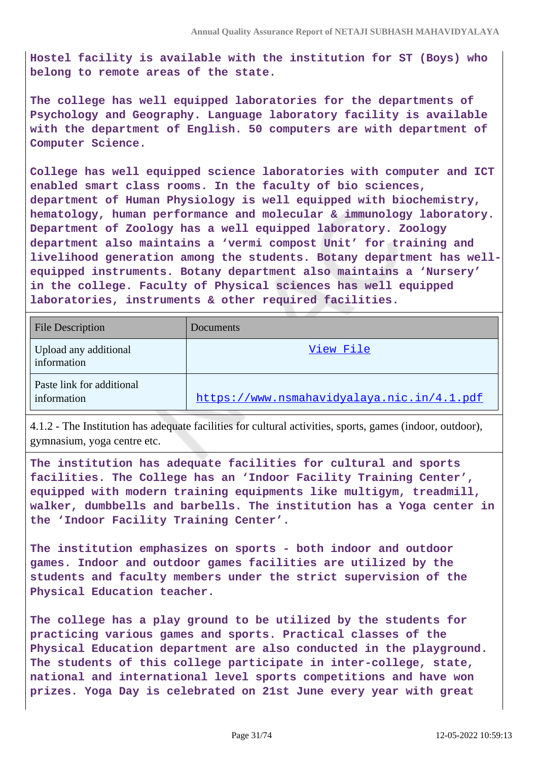**Hostel facility is available with the institution for ST (Boys) who belong to remote areas of the state.**

**The college has well equipped laboratories for the departments of Psychology and Geography. Language laboratory facility is available with the department of English. 50 computers are with department of Computer Science.**

**College has well equipped science laboratories with computer and ICT enabled smart class rooms. In the faculty of bio sciences, department of Human Physiology is well equipped with biochemistry, hematology, human performance and molecular & immunology laboratory. Department of Zoology has a well equipped laboratory. Zoology department also maintains a 'vermi compost Unit' for training and livelihood generation among the students. Botany department has wellequipped instruments. Botany department also maintains a 'Nursery' in the college. Faculty of Physical sciences has well equipped laboratories, instruments & other required facilities.**

| <b>File Description</b>                  | Documents                                  |
|------------------------------------------|--------------------------------------------|
| Upload any additional<br>information     | View File                                  |
| Paste link for additional<br>information | https://www.nsmahavidyalaya.nic.in/4.1.pdf |

4.1.2 - The Institution has adequate facilities for cultural activities, sports, games (indoor, outdoor), gymnasium, yoga centre etc.

**The institution has adequate facilities for cultural and sports facilities. The College has an 'Indoor Facility Training Center', equipped with modern training equipments like multigym, treadmill, walker, dumbbells and barbells. The institution has a Yoga center in the 'Indoor Facility Training Center'.**

**The institution emphasizes on sports - both indoor and outdoor games. Indoor and outdoor games facilities are utilized by the students and faculty members under the strict supervision of the Physical Education teacher.**

**The college has a play ground to be utilized by the students for practicing various games and sports. Practical classes of the Physical Education department are also conducted in the playground. The students of this college participate in inter-college, state, national and international level sports competitions and have won prizes. Yoga Day is celebrated on 21st June every year with great**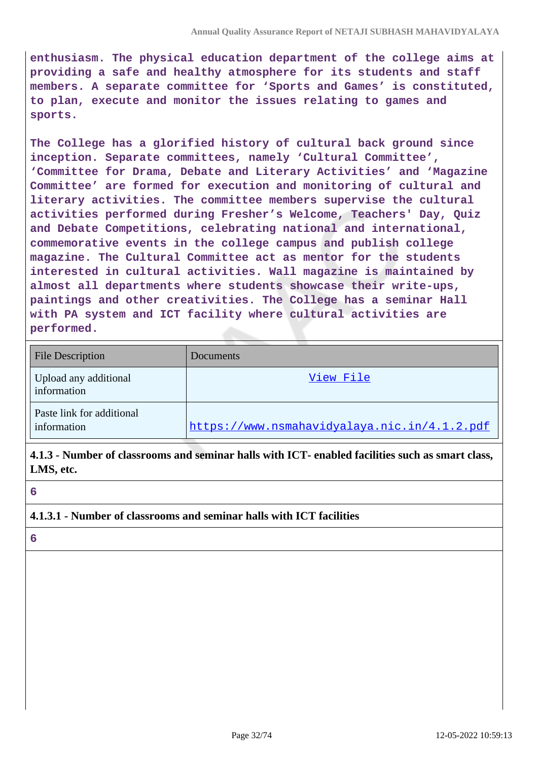**enthusiasm. The physical education department of the college aims at providing a safe and healthy atmosphere for its students and staff members. A separate committee for 'Sports and Games' is constituted, to plan, execute and monitor the issues relating to games and sports.**

**The College has a glorified history of cultural back ground since inception. Separate committees, namely 'Cultural Committee', 'Committee for Drama, Debate and Literary Activities' and 'Magazine Committee' are formed for execution and monitoring of cultural and literary activities. The committee members supervise the cultural activities performed during Fresher's Welcome, Teachers' Day, Quiz and Debate Competitions, celebrating national and international, commemorative events in the college campus and publish college magazine. The Cultural Committee act as mentor for the students interested in cultural activities. Wall magazine is maintained by almost all departments where students showcase their write-ups, paintings and other creativities. The College has a seminar Hall with PA system and ICT facility where cultural activities are performed.**

| <b>File Description</b>                  | Documents                                    |
|------------------------------------------|----------------------------------------------|
| Upload any additional<br>information     | View File                                    |
| Paste link for additional<br>information | https://www.nsmahavidyalaya.nic.in/4.1.2.pdf |

**4.1.3 - Number of classrooms and seminar halls with ICT- enabled facilities such as smart class, LMS, etc.**

**6**

### **4.1.3.1 - Number of classrooms and seminar halls with ICT facilities**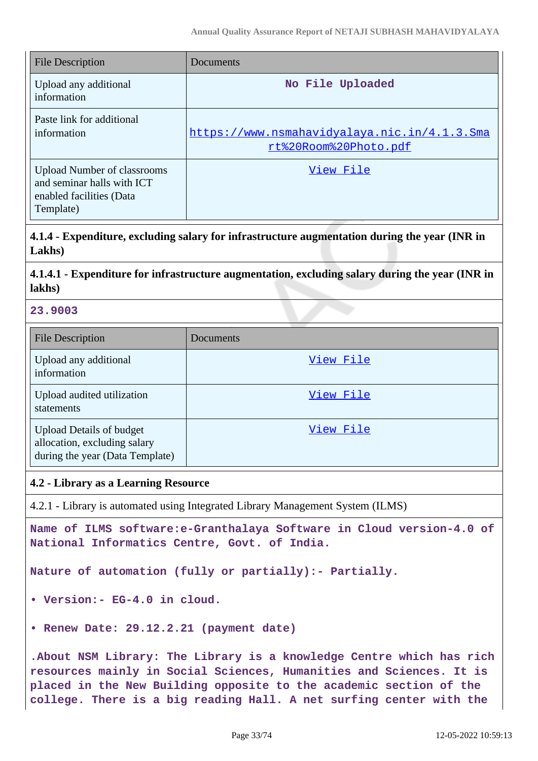| <b>File Description</b>                                                                                   | Documents                                                             |
|-----------------------------------------------------------------------------------------------------------|-----------------------------------------------------------------------|
| Upload any additional<br>information                                                                      | No File Uploaded                                                      |
| Paste link for additional<br>information                                                                  | https://www.nsmahavidyalaya.nic.in/4.1.3.Sma<br>rt%20Room%20Photo.pdf |
| <b>Upload Number of classrooms</b><br>and seminar halls with ICT<br>enabled facilities (Data<br>Template) | View File                                                             |

**4.1.4 - Expenditure, excluding salary for infrastructure augmentation during the year (INR in Lakhs)**

## **4.1.4.1 - Expenditure for infrastructure augmentation, excluding salary during the year (INR in lakhs)**

### **23.9003**

| <b>File Description</b>                                                                            | Documents |
|----------------------------------------------------------------------------------------------------|-----------|
| Upload any additional<br>information                                                               | View File |
| Upload audited utilization<br>statements                                                           | View File |
| <b>Upload Details of budget</b><br>allocation, excluding salary<br>during the year (Data Template) | View File |

#### **4.2 - Library as a Learning Resource**

4.2.1 - Library is automated using Integrated Library Management System (ILMS)

**Name of ILMS software:e-Granthalaya Software in Cloud version-4.0 of National Informatics Centre, Govt. of India.**

**Nature of automation (fully or partially):- Partially.**

- **Version:- EG-4.0 in cloud.**
- **Renew Date: 29.12.2.21 (payment date)**

**.About NSM Library: The Library is a knowledge Centre which has rich resources mainly in Social Sciences, Humanities and Sciences. It is placed in the New Building opposite to the academic section of the college. There is a big reading Hall. A net surfing center with the**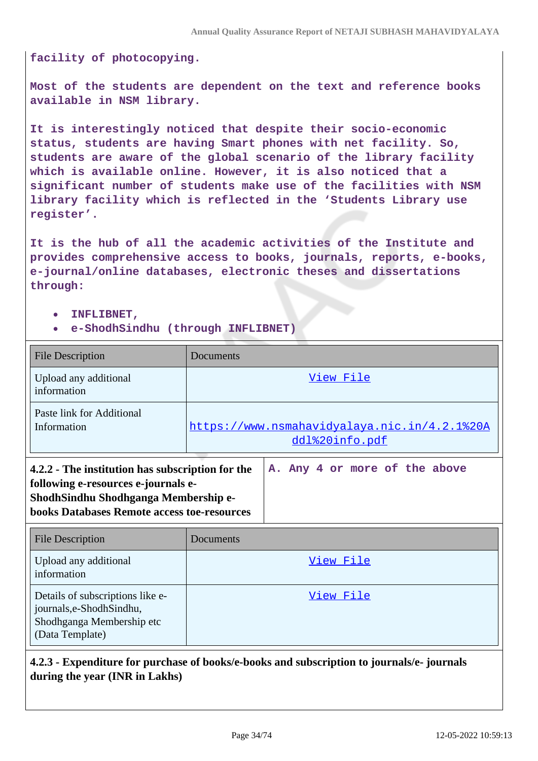**facility of photocopying.**

**Most of the students are dependent on the text and reference books available in NSM library.**

**It is interestingly noticed that despite their socio-economic status, students are having Smart phones with net facility. So, students are aware of the global scenario of the library facility which is available online. However, it is also noticed that a significant number of students make use of the facilities with NSM library facility which is reflected in the 'Students Library use register'.**

**It is the hub of all the academic activities of the Institute and provides comprehensive access to books, journals, reports, e-books, e-journal/online databases, electronic theses and dissertations through:**

**INFLIBNET,**

journals,e-ShodhSindhu, Shodhganga Membership etc

(Data Template)

**e-ShodhSindhu (through INFLIBNET)**

| <b>File Description</b>                                                                                                                                                               | Documents                                                             |
|---------------------------------------------------------------------------------------------------------------------------------------------------------------------------------------|-----------------------------------------------------------------------|
| Upload any additional<br>information                                                                                                                                                  | View File                                                             |
| Paste link for Additional<br>Information                                                                                                                                              | <u>https://www.nsmahavidyalaya.nic.in/4.2.1%20A</u><br>ddl%20info.pdf |
| 4.2.2 - The institution has subscription for the<br>following e-resources e-journals e-<br>ShodhSindhu Shodhganga Membership e-<br><b>books Databases Remote access toe-resources</b> | A. Any 4 or more of the above                                         |
| <b>File Description</b>                                                                                                                                                               | Documents                                                             |
| Upload any additional<br>information                                                                                                                                                  | View File                                                             |
| Details of subscriptions like e-                                                                                                                                                      | View File                                                             |

**4.2.3 - Expenditure for purchase of books/e-books and subscription to journals/e- journals during the year (INR in Lakhs)**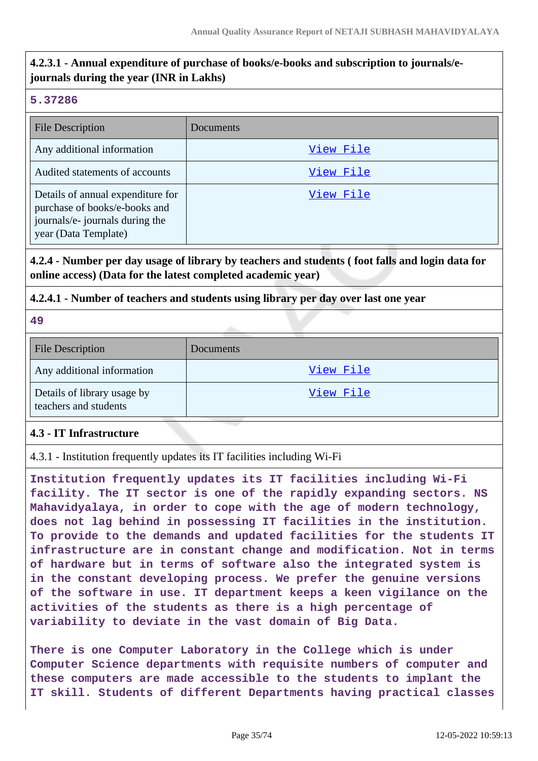# **4.2.3.1 - Annual expenditure of purchase of books/e-books and subscription to journals/ejournals during the year (INR in Lakhs)**

## **5.37286**

| <b>File Description</b>                                                                                                       | Documents |
|-------------------------------------------------------------------------------------------------------------------------------|-----------|
| Any additional information                                                                                                    | View File |
| Audited statements of accounts                                                                                                | View File |
| Details of annual expenditure for<br>purchase of books/e-books and<br>journals/e- journals during the<br>year (Data Template) | View File |

# **4.2.4 - Number per day usage of library by teachers and students ( foot falls and login data for online access) (Data for the latest completed academic year)**

# **4.2.4.1 - Number of teachers and students using library per day over last one year**

**49**

| <b>File Description</b>                              | <b>Documents</b> |
|------------------------------------------------------|------------------|
| Any additional information                           | View File        |
| Details of library usage by<br>teachers and students | View File        |

# **4.3 - IT Infrastructure**

4.3.1 - Institution frequently updates its IT facilities including Wi-Fi

**Institution frequently updates its IT facilities including Wi-Fi facility. The IT sector is one of the rapidly expanding sectors. NS Mahavidyalaya, in order to cope with the age of modern technology, does not lag behind in possessing IT facilities in the institution. To provide to the demands and updated facilities for the students IT infrastructure are in constant change and modification. Not in terms of hardware but in terms of software also the integrated system is in the constant developing process. We prefer the genuine versions of the software in use. IT department keeps a keen vigilance on the activities of the students as there is a high percentage of variability to deviate in the vast domain of Big Data.**

**There is one Computer Laboratory in the College which is under Computer Science departments with requisite numbers of computer and these computers are made accessible to the students to implant the IT skill. Students of different Departments having practical classes**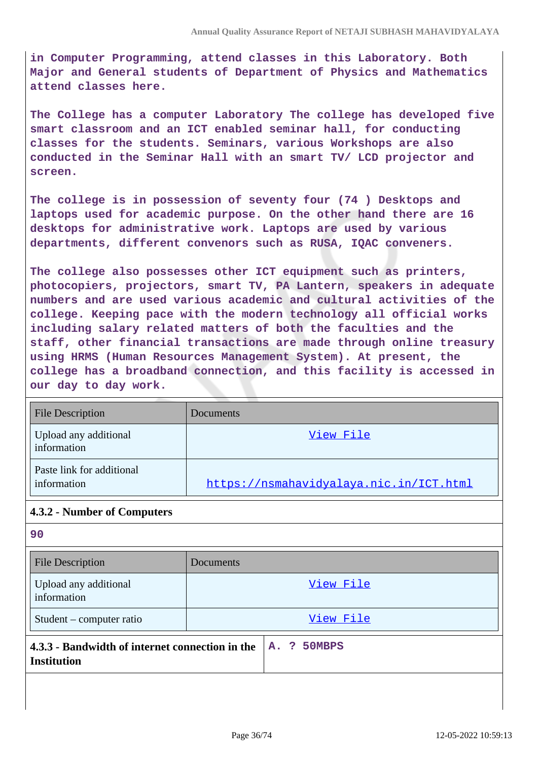**in Computer Programming, attend classes in this Laboratory. Both Major and General students of Department of Physics and Mathematics attend classes here.**

**The College has a computer Laboratory The college has developed five smart classroom and an ICT enabled seminar hall, for conducting classes for the students. Seminars, various Workshops are also conducted in the Seminar Hall with an smart TV/ LCD projector and screen.**

**The college is in possession of seventy four (74 ) Desktops and laptops used for academic purpose. On the other hand there are 16 desktops for administrative work. Laptops are used by various departments, different convenors such as RUSA, IQAC conveners.**

**The college also possesses other ICT equipment such as printers, photocopiers, projectors, smart TV, PA Lantern, speakers in adequate numbers and are used various academic and cultural activities of the college. Keeping pace with the modern technology all official works including salary related matters of both the faculties and the staff, other financial transactions are made through online treasury using HRMS (Human Resources Management System). At present, the college has a broadband connection, and this facility is accessed in our day to day work.**

| <b>File Description</b>                  | Documents                               |
|------------------------------------------|-----------------------------------------|
| Upload any additional<br>information     | View File                               |
| Paste link for additional<br>information | https://nsmahavidyalaya.nic.in/ICT.html |

# **4.3.2 - Number of Computers**

| <b>JU</b>                                                             |             |
|-----------------------------------------------------------------------|-------------|
| <b>File Description</b>                                               | Documents   |
| Upload any additional<br>information                                  | View File   |
| Student – computer ratio                                              | View File   |
| 4.3.3 - Bandwidth of internet connection in the<br><b>Institution</b> | A. ? 50MBPS |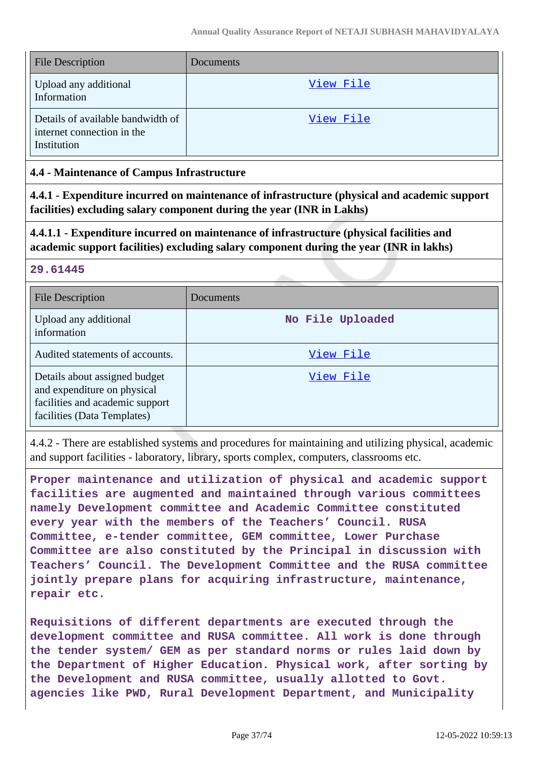| <b>File Description</b>                                                        | Documents |
|--------------------------------------------------------------------------------|-----------|
| Upload any additional<br>Information                                           | View File |
| Details of available bandwidth of<br>internet connection in the<br>Institution | View File |

## **4.4 - Maintenance of Campus Infrastructure**

**4.4.1 - Expenditure incurred on maintenance of infrastructure (physical and academic support facilities) excluding salary component during the year (INR in Lakhs)**

**4.4.1.1 - Expenditure incurred on maintenance of infrastructure (physical facilities and academic support facilities) excluding salary component during the year (INR in lakhs)**

# **29.61445**

| <b>File Description</b>                                                                                                        | Documents        |
|--------------------------------------------------------------------------------------------------------------------------------|------------------|
| Upload any additional<br>information                                                                                           | No File Uploaded |
| Audited statements of accounts.                                                                                                | View File        |
| Details about assigned budget<br>and expenditure on physical<br>facilities and academic support<br>facilities (Data Templates) | View File        |

4.4.2 - There are established systems and procedures for maintaining and utilizing physical, academic and support facilities - laboratory, library, sports complex, computers, classrooms etc.

**Proper maintenance and utilization of physical and academic support facilities are augmented and maintained through various committees namely Development committee and Academic Committee constituted every year with the members of the Teachers' Council. RUSA Committee, e-tender committee, GEM committee, Lower Purchase Committee are also constituted by the Principal in discussion with Teachers' Council. The Development Committee and the RUSA committee jointly prepare plans for acquiring infrastructure, maintenance, repair etc.**

**Requisitions of different departments are executed through the development committee and RUSA committee. All work is done through the tender system/ GEM as per standard norms or rules laid down by the Department of Higher Education. Physical work, after sorting by the Development and RUSA committee, usually allotted to Govt. agencies like PWD, Rural Development Department, and Municipality**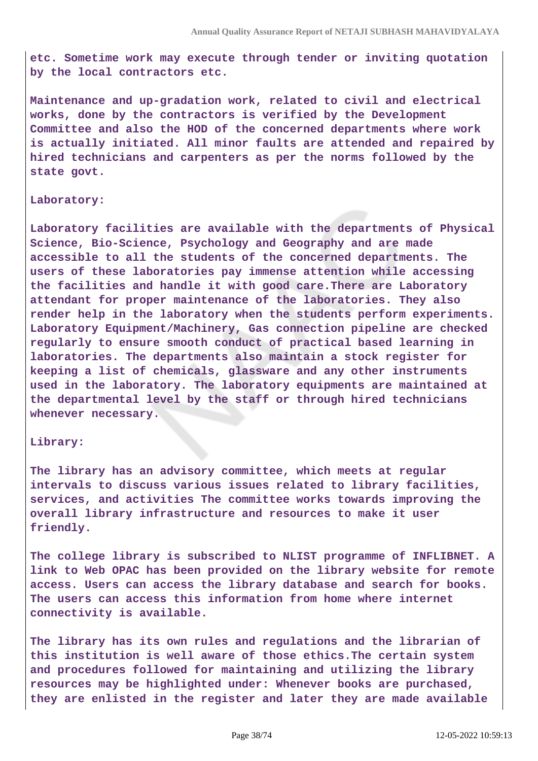**etc. Sometime work may execute through tender or inviting quotation by the local contractors etc.**

**Maintenance and up-gradation work, related to civil and electrical works, done by the contractors is verified by the Development Committee and also the HOD of the concerned departments where work is actually initiated. All minor faults are attended and repaired by hired technicians and carpenters as per the norms followed by the state govt.**

#### **Laboratory:**

**Laboratory facilities are available with the departments of Physical Science, Bio-Science, Psychology and Geography and are made accessible to all the students of the concerned departments. The users of these laboratories pay immense attention while accessing the facilities and handle it with good care.There are Laboratory attendant for proper maintenance of the laboratories. They also render help in the laboratory when the students perform experiments. Laboratory Equipment/Machinery, Gas connection pipeline are checked regularly to ensure smooth conduct of practical based learning in laboratories. The departments also maintain a stock register for keeping a list of chemicals, glassware and any other instruments used in the laboratory. The laboratory equipments are maintained at the departmental level by the staff or through hired technicians whenever necessary.**

#### **Library:**

**The library has an advisory committee, which meets at regular intervals to discuss various issues related to library facilities, services, and activities The committee works towards improving the overall library infrastructure and resources to make it user friendly.**

**The college library is subscribed to NLIST programme of INFLIBNET. A link to Web OPAC has been provided on the library website for remote access. Users can access the library database and search for books. The users can access this information from home where internet connectivity is available.**

**The library has its own rules and regulations and the librarian of this institution is well aware of those ethics.The certain system and procedures followed for maintaining and utilizing the library resources may be highlighted under: Whenever books are purchased, they are enlisted in the register and later they are made available**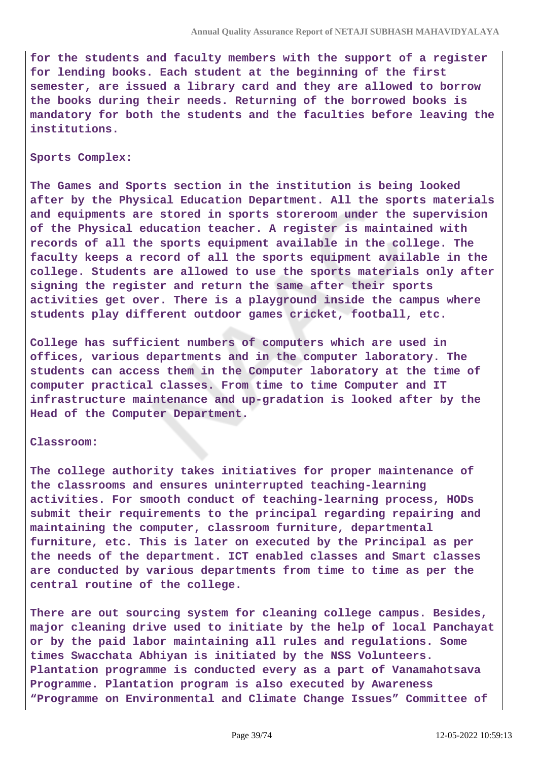**for the students and faculty members with the support of a register for lending books. Each student at the beginning of the first semester, are issued a library card and they are allowed to borrow the books during their needs. Returning of the borrowed books is mandatory for both the students and the faculties before leaving the institutions.**

#### **Sports Complex:**

**The Games and Sports section in the institution is being looked after by the Physical Education Department. All the sports materials and equipments are stored in sports storeroom under the supervision of the Physical education teacher. A register is maintained with records of all the sports equipment available in the college. The faculty keeps a record of all the sports equipment available in the college. Students are allowed to use the sports materials only after signing the register and return the same after their sports activities get over. There is a playground inside the campus where students play different outdoor games cricket, football, etc.**

**College has sufficient numbers of computers which are used in offices, various departments and in the computer laboratory. The students can access them in the Computer laboratory at the time of computer practical classes. From time to time Computer and IT infrastructure maintenance and up-gradation is looked after by the Head of the Computer Department.**

#### **Classroom:**

**The college authority takes initiatives for proper maintenance of the classrooms and ensures uninterrupted teaching-learning activities. For smooth conduct of teaching-learning process, HODs submit their requirements to the principal regarding repairing and maintaining the computer, classroom furniture, departmental furniture, etc. This is later on executed by the Principal as per the needs of the department. ICT enabled classes and Smart classes are conducted by various departments from time to time as per the central routine of the college.**

**There are out sourcing system for cleaning college campus. Besides, major cleaning drive used to initiate by the help of local Panchayat or by the paid labor maintaining all rules and regulations. Some times Swacchata Abhiyan is initiated by the NSS Volunteers. Plantation programme is conducted every as a part of Vanamahotsava Programme. Plantation program is also executed by Awareness "Programme on Environmental and Climate Change Issues" Committee of**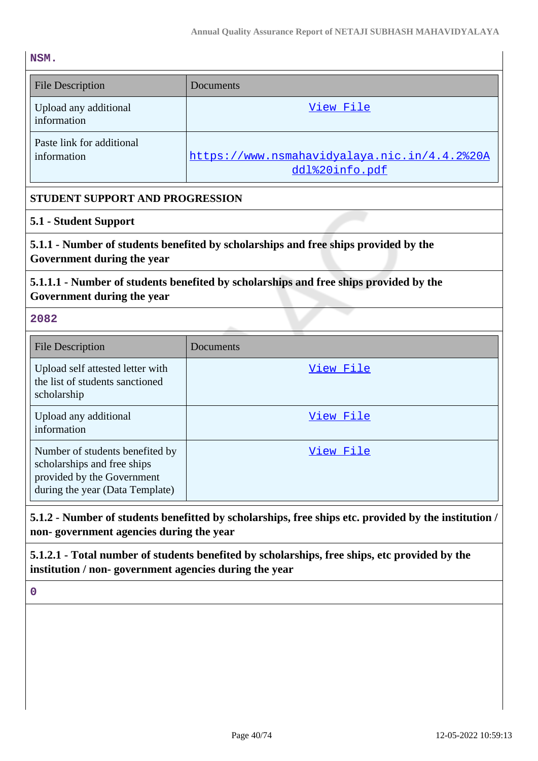$\mathbf{I}$ 

**NSM.**

| <b>File Description</b>                                                             | Documents                                                      |
|-------------------------------------------------------------------------------------|----------------------------------------------------------------|
| Upload any additional<br>information                                                | View File                                                      |
| Paste link for additional<br>information                                            | https://www.nsmahavidyalaya.nic.in/4.4.2%20A<br>ddl%20info.pdf |
| STUDENT SUPPORT AND PROGRESSION                                                     |                                                                |
| 5.1 - Student Support                                                               |                                                                |
| 5.1.1 - Number of students benefited by scholarships and free ships provided by the |                                                                |

**Government during the year**

# **5.1.1.1 - Number of students benefited by scholarships and free ships provided by the Government during the year**

**2082**

| <b>File Description</b>                                                                                                         | Documents |
|---------------------------------------------------------------------------------------------------------------------------------|-----------|
| Upload self attested letter with<br>the list of students sanctioned<br>scholarship                                              | View File |
| Upload any additional<br>information                                                                                            | View File |
| Number of students benefited by<br>scholarships and free ships<br>provided by the Government<br>during the year (Data Template) | View File |

# **5.1.2 - Number of students benefitted by scholarships, free ships etc. provided by the institution / non- government agencies during the year**

**5.1.2.1 - Total number of students benefited by scholarships, free ships, etc provided by the institution / non- government agencies during the year**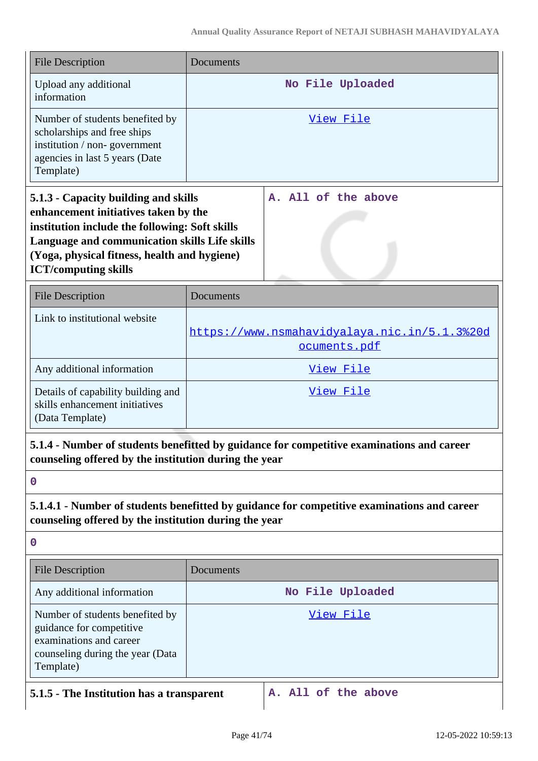| <b>File Description</b>                                                                                                                                                                                                                                        | Documents                                                                                   |
|----------------------------------------------------------------------------------------------------------------------------------------------------------------------------------------------------------------------------------------------------------------|---------------------------------------------------------------------------------------------|
| Upload any additional<br>information                                                                                                                                                                                                                           | No File Uploaded                                                                            |
| Number of students benefited by<br>scholarships and free ships<br>institution / non-government<br>agencies in last 5 years (Date<br>Template)                                                                                                                  | <u>View File</u>                                                                            |
| 5.1.3 - Capacity building and skills<br>enhancement initiatives taken by the<br>institution include the following: Soft skills<br>Language and communication skills Life skills<br>(Yoga, physical fitness, health and hygiene)<br><b>ICT/computing skills</b> | A. All of the above                                                                         |
| <b>File Description</b>                                                                                                                                                                                                                                        | Documents                                                                                   |
| Link to institutional website                                                                                                                                                                                                                                  | https://www.nsmahavidyalaya.nic.in/5.1.3%20d<br>ocuments.pdf                                |
| Any additional information                                                                                                                                                                                                                                     | View File                                                                                   |
| Details of capability building and<br>skills enhancement initiatives<br>(Data Template)                                                                                                                                                                        | <u>View File</u>                                                                            |
| counseling offered by the institution during the year                                                                                                                                                                                                          | 5.1.4 - Number of students benefitted by guidance for competitive examinations and career   |
| $\mathbf 0$                                                                                                                                                                                                                                                    |                                                                                             |
| counseling offered by the institution during the year                                                                                                                                                                                                          | 5.1.4.1 - Number of students benefitted by guidance for competitive examinations and career |
| $\boldsymbol{0}$                                                                                                                                                                                                                                               |                                                                                             |
| <b>File Description</b>                                                                                                                                                                                                                                        | Documents                                                                                   |
| Any additional information                                                                                                                                                                                                                                     | No File Uploaded                                                                            |
| Number of students benefited by<br>guidance for competitive<br>examinations and career<br>counseling during the year (Data<br>Template)                                                                                                                        | <u>View File</u>                                                                            |
| 5.1.5 - The Institution has a transparent                                                                                                                                                                                                                      | A. All of the above                                                                         |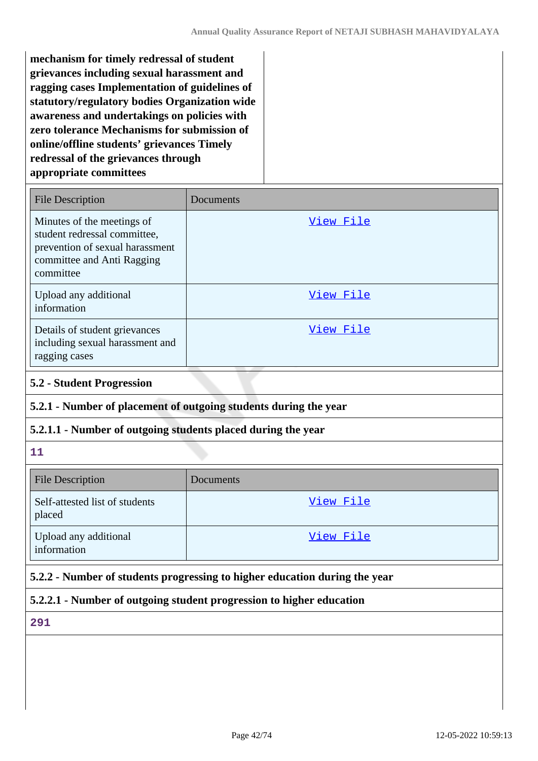**mechanism for timely redressal of student grievances including sexual harassment and ragging cases Implementation of guidelines of statutory/regulatory bodies Organization wide awareness and undertakings on policies with zero tolerance Mechanisms for submission of online/offline students' grievances Timely redressal of the grievances through appropriate committees**

| <b>File Description</b>                                                                                                                  | Documents |
|------------------------------------------------------------------------------------------------------------------------------------------|-----------|
| Minutes of the meetings of<br>student redressal committee,<br>prevention of sexual harassment<br>committee and Anti Ragging<br>committee | View File |
| Upload any additional<br>information                                                                                                     | View File |
| Details of student grievances<br>including sexual harassment and<br>ragging cases                                                        | View File |

### **5.2 - Student Progression**

# **5.2.1 - Number of placement of outgoing students during the year**

## **5.2.1.1 - Number of outgoing students placed during the year**

**11**

| <b>File Description</b>                  | Documents |
|------------------------------------------|-----------|
| Self-attested list of students<br>placed | View File |
| Upload any additional<br>information     | View File |

# **5.2.2 - Number of students progressing to higher education during the year**

## **5.2.2.1 - Number of outgoing student progression to higher education**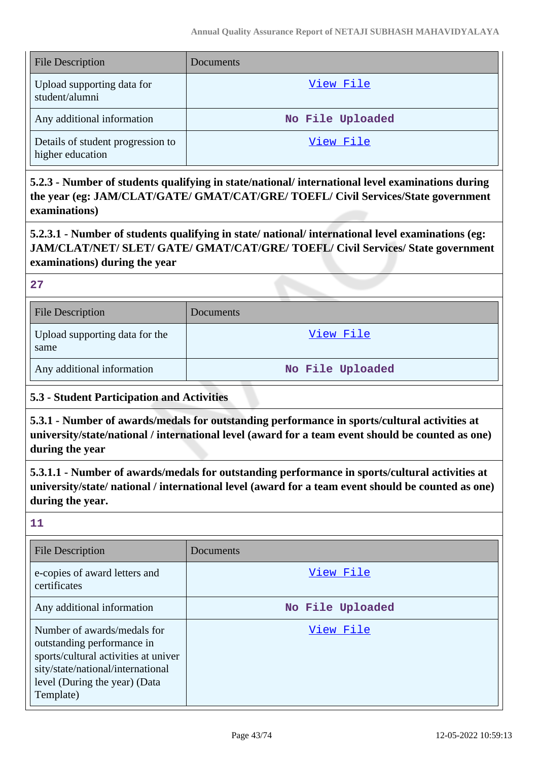| <b>File Description</b>                               | Documents        |
|-------------------------------------------------------|------------------|
| Upload supporting data for<br>student/alumni          | View File        |
| Any additional information                            | No File Uploaded |
| Details of student progression to<br>higher education | View File        |

**5.2.3 - Number of students qualifying in state/national/ international level examinations during the year (eg: JAM/CLAT/GATE/ GMAT/CAT/GRE/ TOEFL/ Civil Services/State government examinations)**

**5.2.3.1 - Number of students qualifying in state/ national/ international level examinations (eg: JAM/CLAT/NET/ SLET/ GATE/ GMAT/CAT/GRE/ TOEFL/ Civil Services/ State government examinations) during the year**

**27**

| <b>File Description</b>                | <b>Documents</b> |
|----------------------------------------|------------------|
| Upload supporting data for the<br>same | View File        |
| Any additional information             | No File Uploaded |

# **5.3 - Student Participation and Activities**

**5.3.1 - Number of awards/medals for outstanding performance in sports/cultural activities at university/state/national / international level (award for a team event should be counted as one) during the year**

**5.3.1.1 - Number of awards/medals for outstanding performance in sports/cultural activities at university/state/ national / international level (award for a team event should be counted as one) during the year.**

| <b>File Description</b>                                                                                                                                                              | Documents        |
|--------------------------------------------------------------------------------------------------------------------------------------------------------------------------------------|------------------|
| e-copies of award letters and<br>certificates                                                                                                                                        | View File        |
| Any additional information                                                                                                                                                           | No File Uploaded |
| Number of awards/medals for<br>outstanding performance in<br>sports/cultural activities at univer<br>sity/state/national/international<br>level (During the year) (Data<br>Template) | View File        |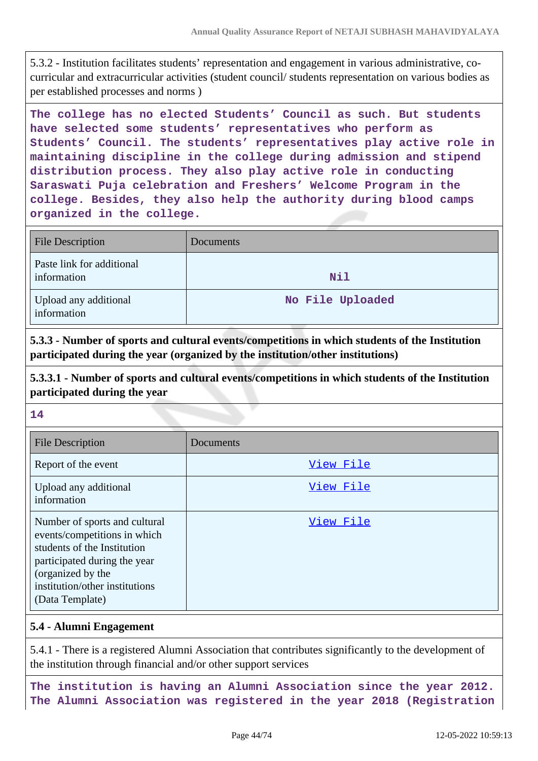5.3.2 - Institution facilitates students' representation and engagement in various administrative, cocurricular and extracurricular activities (student council/ students representation on various bodies as per established processes and norms )

**The college has no elected Students' Council as such. But students have selected some students' representatives who perform as Students' Council. The students' representatives play active role in maintaining discipline in the college during admission and stipend distribution process. They also play active role in conducting Saraswati Puja celebration and Freshers' Welcome Program in the college. Besides, they also help the authority during blood camps organized in the college.**

| <b>File Description</b>                  | Documents        |
|------------------------------------------|------------------|
| Paste link for additional<br>information | Nil              |
| Upload any additional<br>information     | No File Uploaded |

**5.3.3 - Number of sports and cultural events/competitions in which students of the Institution participated during the year (organized by the institution/other institutions)**

**5.3.3.1 - Number of sports and cultural events/competitions in which students of the Institution participated during the year**

**14**

| <b>File Description</b>                                                                                                                                                                                | Documents |
|--------------------------------------------------------------------------------------------------------------------------------------------------------------------------------------------------------|-----------|
| Report of the event                                                                                                                                                                                    | View File |
| Upload any additional<br>information                                                                                                                                                                   | View File |
| Number of sports and cultural<br>events/competitions in which<br>students of the Institution<br>participated during the year<br>(organized by the<br>institution/other institutions<br>(Data Template) | View File |

## **5.4 - Alumni Engagement**

5.4.1 - There is a registered Alumni Association that contributes significantly to the development of the institution through financial and/or other support services

**The institution is having an Alumni Association since the year 2012. The Alumni Association was registered in the year 2018 (Registration**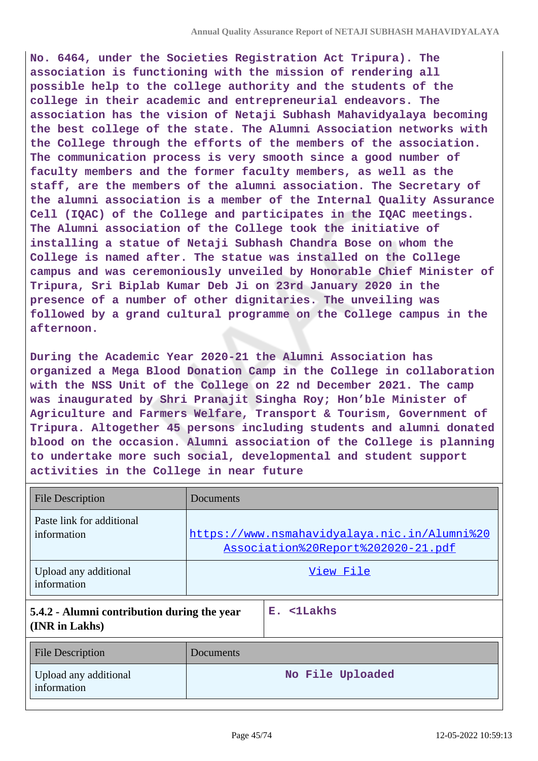**No. 6464, under the Societies Registration Act Tripura). The association is functioning with the mission of rendering all possible help to the college authority and the students of the college in their academic and entrepreneurial endeavors. The association has the vision of Netaji Subhash Mahavidyalaya becoming the best college of the state. The Alumni Association networks with the College through the efforts of the members of the association. The communication process is very smooth since a good number of faculty members and the former faculty members, as well as the staff, are the members of the alumni association. The Secretary of the alumni association is a member of the Internal Quality Assurance Cell (IQAC) of the College and participates in the IQAC meetings. The Alumni association of the College took the initiative of installing a statue of Netaji Subhash Chandra Bose on whom the College is named after. The statue was installed on the College campus and was ceremoniously unveiled by Honorable Chief Minister of Tripura, Sri Biplab Kumar Deb Ji on 23rd January 2020 in the presence of a number of other dignitaries. The unveiling was followed by a grand cultural programme on the College campus in the afternoon.**

**During the Academic Year 2020-21 the Alumni Association has organized a Mega Blood Donation Camp in the College in collaboration with the NSS Unit of the College on 22 nd December 2021. The camp was inaugurated by Shri Pranajit Singha Roy; Hon'ble Minister of Agriculture and Farmers Welfare, Transport & Tourism, Government of Tripura. Altogether 45 persons including students and alumni donated blood on the occasion. Alumni association of the College is planning to undertake more such social, developmental and student support activities in the College in near future**

| <b>File Description</b>                                       | Documents |                                                                                    |
|---------------------------------------------------------------|-----------|------------------------------------------------------------------------------------|
| Paste link for additional<br>information                      |           | https://www.nsmahavidyalaya.nic.in/Alumni%20<br>Association%20Report%202020-21.pdf |
| Upload any additional<br>information                          |           | View File                                                                          |
| 5.4.2 - Alumni contribution during the year<br>(INR in Lakhs) |           | $E.$ $\leq$ 1Lakhs                                                                 |
| <b>File Description</b>                                       | Documents |                                                                                    |
| Upload any additional<br>information                          |           | No File Uploaded                                                                   |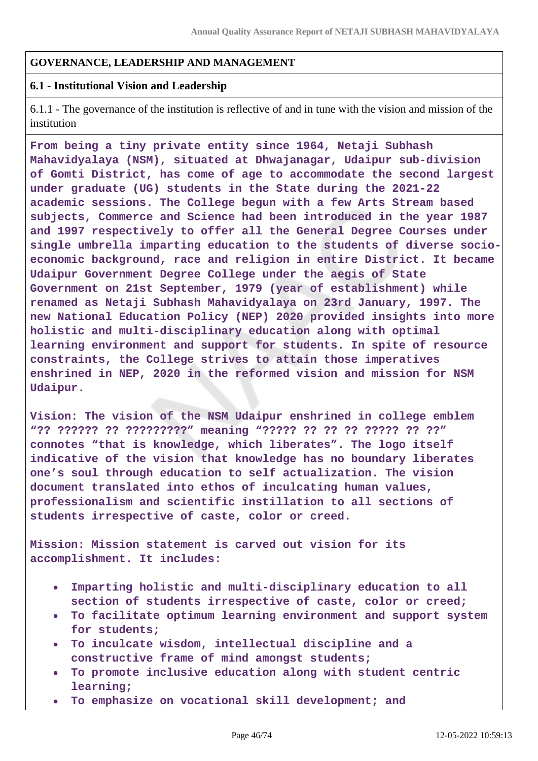### **GOVERNANCE, LEADERSHIP AND MANAGEMENT**

### **6.1 - Institutional Vision and Leadership**

6.1.1 - The governance of the institution is reflective of and in tune with the vision and mission of the institution

**From being a tiny private entity since 1964, Netaji Subhash Mahavidyalaya (NSM), situated at Dhwajanagar, Udaipur sub-division of Gomti District, has come of age to accommodate the second largest under graduate (UG) students in the State during the 2021-22 academic sessions. The College begun with a few Arts Stream based subjects, Commerce and Science had been introduced in the year 1987 and 1997 respectively to offer all the General Degree Courses under single umbrella imparting education to the students of diverse socioeconomic background, race and religion in entire District. It became Udaipur Government Degree College under the aegis of State Government on 21st September, 1979 (year of establishment) while renamed as Netaji Subhash Mahavidyalaya on 23rd January, 1997. The new National Education Policy (NEP) 2020 provided insights into more holistic and multi-disciplinary education along with optimal learning environment and support for students. In spite of resource constraints, the College strives to attain those imperatives enshrined in NEP, 2020 in the reformed vision and mission for NSM Udaipur.**

**Vision: The vision of the NSM Udaipur enshrined in college emblem "?? ?????? ?? ?????????" meaning "????? ?? ?? ?? ????? ?? ??" connotes "that is knowledge, which liberates". The logo itself indicative of the vision that knowledge has no boundary liberates one's soul through education to self actualization. The vision document translated into ethos of inculcating human values, professionalism and scientific instillation to all sections of students irrespective of caste, color or creed.**

**Mission: Mission statement is carved out vision for its accomplishment. It includes:**

- **Imparting holistic and multi-disciplinary education to all section of students irrespective of caste, color or creed;**
- **To facilitate optimum learning environment and support system for students;**
- **To inculcate wisdom, intellectual discipline and a constructive frame of mind amongst students;**
- **To promote inclusive education along with student centric**  $\bullet$ **learning;**
- **To emphasize on vocational skill development; and**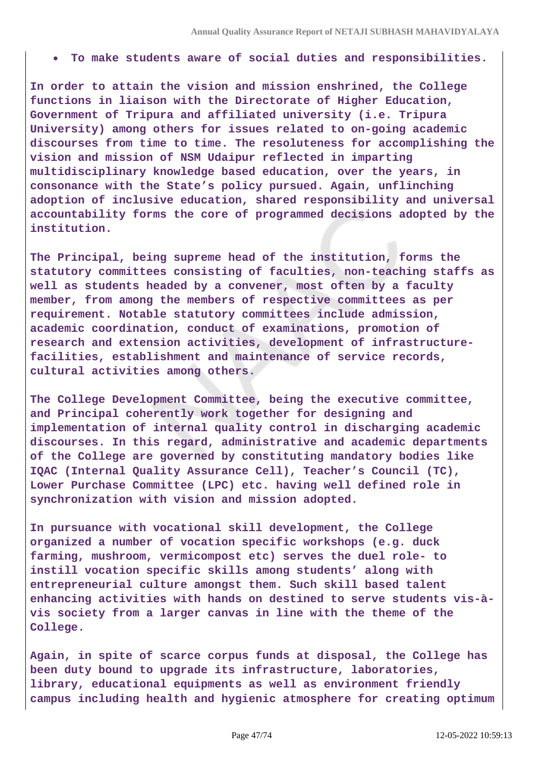**To make students aware of social duties and responsibilities.**

**In order to attain the vision and mission enshrined, the College functions in liaison with the Directorate of Higher Education, Government of Tripura and affiliated university (i.e. Tripura University) among others for issues related to on-going academic discourses from time to time. The resoluteness for accomplishing the vision and mission of NSM Udaipur reflected in imparting multidisciplinary knowledge based education, over the years, in consonance with the State's policy pursued. Again, unflinching adoption of inclusive education, shared responsibility and universal accountability forms the core of programmed decisions adopted by the institution.**

**The Principal, being supreme head of the institution, forms the statutory committees consisting of faculties, non-teaching staffs as well as students headed by a convener, most often by a faculty member, from among the members of respective committees as per requirement. Notable statutory committees include admission, academic coordination, conduct of examinations, promotion of research and extension activities, development of infrastructurefacilities, establishment and maintenance of service records, cultural activities among others.**

**The College Development Committee, being the executive committee, and Principal coherently work together for designing and implementation of internal quality control in discharging academic discourses. In this regard, administrative and academic departments of the College are governed by constituting mandatory bodies like IQAC (Internal Quality Assurance Cell), Teacher's Council (TC), Lower Purchase Committee (LPC) etc. having well defined role in synchronization with vision and mission adopted.**

**In pursuance with vocational skill development, the College organized a number of vocation specific workshops (e.g. duck farming, mushroom, vermicompost etc) serves the duel role- to instill vocation specific skills among students' along with entrepreneurial culture amongst them. Such skill based talent enhancing activities with hands on destined to serve students vis-àvis society from a larger canvas in line with the theme of the College.**

**Again, in spite of scarce corpus funds at disposal, the College has been duty bound to upgrade its infrastructure, laboratories, library, educational equipments as well as environment friendly campus including health and hygienic atmosphere for creating optimum**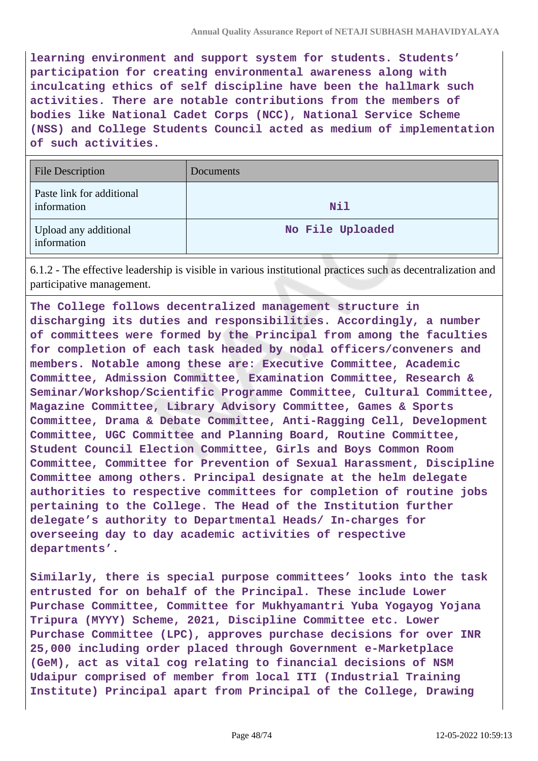**learning environment and support system for students. Students' participation for creating environmental awareness along with inculcating ethics of self discipline have been the hallmark such activities. There are notable contributions from the members of bodies like National Cadet Corps (NCC), National Service Scheme (NSS) and College Students Council acted as medium of implementation of such activities.**

| <b>File Description</b>                  | Documents        |
|------------------------------------------|------------------|
| Paste link for additional<br>information | Nil              |
| Upload any additional<br>information     | No File Uploaded |

6.1.2 - The effective leadership is visible in various institutional practices such as decentralization and participative management.

**The College follows decentralized management structure in discharging its duties and responsibilities. Accordingly, a number of committees were formed by the Principal from among the faculties for completion of each task headed by nodal officers/conveners and members. Notable among these are: Executive Committee, Academic Committee, Admission Committee, Examination Committee, Research & Seminar/Workshop/Scientific Programme Committee, Cultural Committee, Magazine Committee, Library Advisory Committee, Games & Sports Committee, Drama & Debate Committee, Anti-Ragging Cell, Development Committee, UGC Committee and Planning Board, Routine Committee, Student Council Election Committee, Girls and Boys Common Room Committee, Committee for Prevention of Sexual Harassment, Discipline Committee among others. Principal designate at the helm delegate authorities to respective committees for completion of routine jobs pertaining to the College. The Head of the Institution further delegate's authority to Departmental Heads/ In-charges for overseeing day to day academic activities of respective departments'.**

**Similarly, there is special purpose committees' looks into the task entrusted for on behalf of the Principal. These include Lower Purchase Committee, Committee for Mukhyamantri Yuba Yogayog Yojana Tripura (MYYY) Scheme, 2021, Discipline Committee etc. Lower Purchase Committee (LPC), approves purchase decisions for over INR 25,000 including order placed through Government e-Marketplace (GeM), act as vital cog relating to financial decisions of NSM Udaipur comprised of member from local ITI (Industrial Training Institute) Principal apart from Principal of the College, Drawing**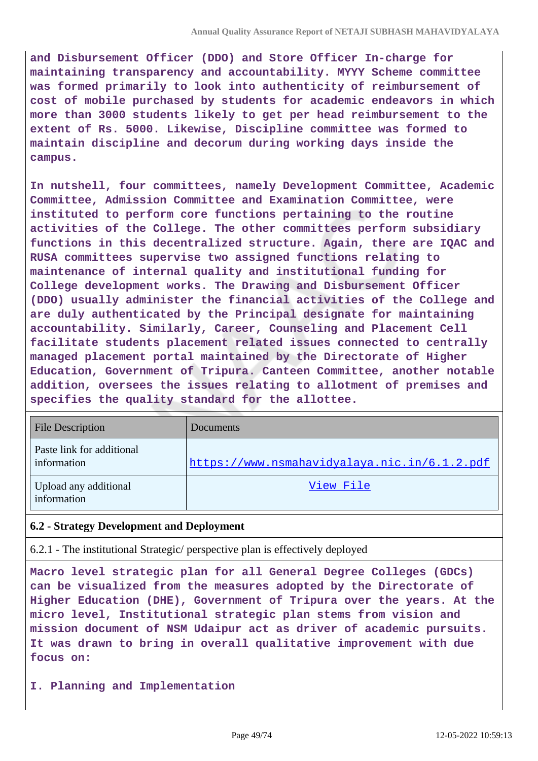**and Disbursement Officer (DDO) and Store Officer In-charge for maintaining transparency and accountability. MYYY Scheme committee was formed primarily to look into authenticity of reimbursement of cost of mobile purchased by students for academic endeavors in which more than 3000 students likely to get per head reimbursement to the extent of Rs. 5000. Likewise, Discipline committee was formed to maintain discipline and decorum during working days inside the campus.**

**In nutshell, four committees, namely Development Committee, Academic Committee, Admission Committee and Examination Committee, were instituted to perform core functions pertaining to the routine activities of the College. The other committees perform subsidiary functions in this decentralized structure. Again, there are IQAC and RUSA committees supervise two assigned functions relating to maintenance of internal quality and institutional funding for College development works. The Drawing and Disbursement Officer (DDO) usually administer the financial activities of the College and are duly authenticated by the Principal designate for maintaining accountability. Similarly, Career, Counseling and Placement Cell facilitate students placement related issues connected to centrally managed placement portal maintained by the Directorate of Higher Education, Government of Tripura. Canteen Committee, another notable addition, oversees the issues relating to allotment of premises and specifies the quality standard for the allottee.**

| <b>File Description</b>                  | Documents                                    |
|------------------------------------------|----------------------------------------------|
| Paste link for additional<br>information | https://www.nsmahavidyalaya.nic.in/6.1.2.pdf |
| Upload any additional<br>information     | View File                                    |

## **6.2 - Strategy Development and Deployment**

6.2.1 - The institutional Strategic/ perspective plan is effectively deployed

**Macro level strategic plan for all General Degree Colleges (GDCs) can be visualized from the measures adopted by the Directorate of Higher Education (DHE), Government of Tripura over the years. At the micro level, Institutional strategic plan stems from vision and mission document of NSM Udaipur act as driver of academic pursuits. It was drawn to bring in overall qualitative improvement with due focus on:**

**I. Planning and Implementation**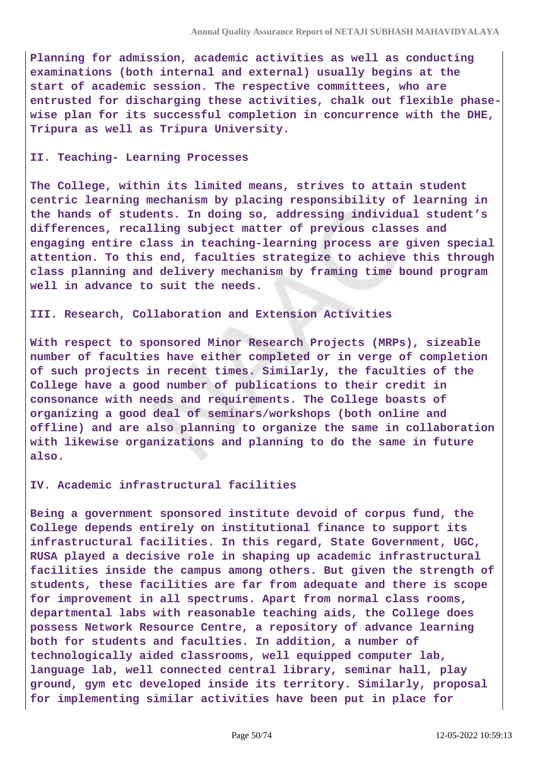**Planning for admission, academic activities as well as conducting examinations (both internal and external) usually begins at the start of academic session. The respective committees, who are entrusted for discharging these activities, chalk out flexible phasewise plan for its successful completion in concurrence with the DHE, Tripura as well as Tripura University.**

#### **II. Teaching- Learning Processes**

**The College, within its limited means, strives to attain student centric learning mechanism by placing responsibility of learning in the hands of students. In doing so, addressing individual student's differences, recalling subject matter of previous classes and engaging entire class in teaching-learning process are given special attention. To this end, faculties strategize to achieve this through class planning and delivery mechanism by framing time bound program well in advance to suit the needs.**

### **III. Research, Collaboration and Extension Activities**

**With respect to sponsored Minor Research Projects (MRPs), sizeable number of faculties have either completed or in verge of completion of such projects in recent times. Similarly, the faculties of the College have a good number of publications to their credit in consonance with needs and requirements. The College boasts of organizing a good deal of seminars/workshops (both online and offline) and are also planning to organize the same in collaboration with likewise organizations and planning to do the same in future also.**

### **IV. Academic infrastructural facilities**

**Being a government sponsored institute devoid of corpus fund, the College depends entirely on institutional finance to support its infrastructural facilities. In this regard, State Government, UGC, RUSA played a decisive role in shaping up academic infrastructural facilities inside the campus among others. But given the strength of students, these facilities are far from adequate and there is scope for improvement in all spectrums. Apart from normal class rooms, departmental labs with reasonable teaching aids, the College does possess Network Resource Centre, a repository of advance learning both for students and faculties. In addition, a number of technologically aided classrooms, well equipped computer lab, language lab, well connected central library, seminar hall, play ground, gym etc developed inside its territory. Similarly, proposal for implementing similar activities have been put in place for**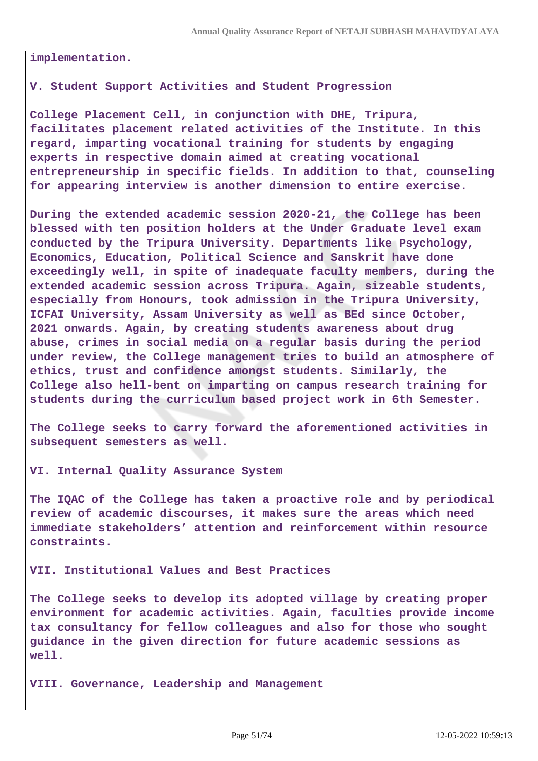**implementation.**

### **V. Student Support Activities and Student Progression**

**College Placement Cell, in conjunction with DHE, Tripura, facilitates placement related activities of the Institute. In this regard, imparting vocational training for students by engaging experts in respective domain aimed at creating vocational entrepreneurship in specific fields. In addition to that, counseling for appearing interview is another dimension to entire exercise.**

**During the extended academic session 2020-21, the College has been blessed with ten position holders at the Under Graduate level exam conducted by the Tripura University. Departments like Psychology, Economics, Education, Political Science and Sanskrit have done exceedingly well, in spite of inadequate faculty members, during the extended academic session across Tripura. Again, sizeable students, especially from Honours, took admission in the Tripura University, ICFAI University, Assam University as well as BEd since October, 2021 onwards. Again, by creating students awareness about drug abuse, crimes in social media on a regular basis during the period under review, the College management tries to build an atmosphere of ethics, trust and confidence amongst students. Similarly, the College also hell-bent on imparting on campus research training for students during the curriculum based project work in 6th Semester.**

**The College seeks to carry forward the aforementioned activities in subsequent semesters as well.**

**VI. Internal Quality Assurance System**

**The IQAC of the College has taken a proactive role and by periodical review of academic discourses, it makes sure the areas which need immediate stakeholders' attention and reinforcement within resource constraints.**

**VII. Institutional Values and Best Practices**

**The College seeks to develop its adopted village by creating proper environment for academic activities. Again, faculties provide income tax consultancy for fellow colleagues and also for those who sought guidance in the given direction for future academic sessions as well.**

**VIII. Governance, Leadership and Management**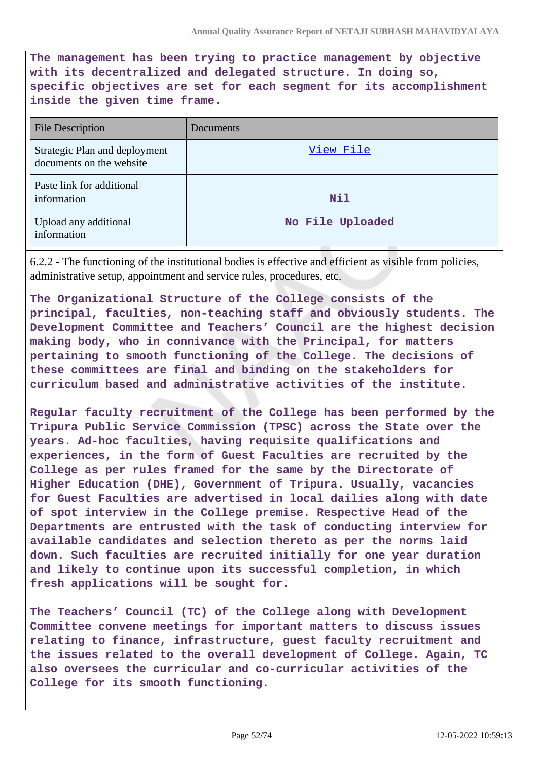**The management has been trying to practice management by objective with its decentralized and delegated structure. In doing so, specific objectives are set for each segment for its accomplishment inside the given time frame.**

| <b>File Description</b>                                   | Documents        |
|-----------------------------------------------------------|------------------|
| Strategic Plan and deployment<br>documents on the website | View File        |
| Paste link for additional<br>information                  | <b>Nil</b>       |
| Upload any additional<br>information                      | No File Uploaded |

6.2.2 - The functioning of the institutional bodies is effective and efficient as visible from policies, administrative setup, appointment and service rules, procedures, etc.

**The Organizational Structure of the College consists of the principal, faculties, non-teaching staff and obviously students. The Development Committee and Teachers' Council are the highest decision making body, who in connivance with the Principal, for matters pertaining to smooth functioning of the College. The decisions of these committees are final and binding on the stakeholders for curriculum based and administrative activities of the institute.**

**Regular faculty recruitment of the College has been performed by the Tripura Public Service Commission (TPSC) across the State over the years. Ad-hoc faculties, having requisite qualifications and experiences, in the form of Guest Faculties are recruited by the College as per rules framed for the same by the Directorate of Higher Education (DHE), Government of Tripura. Usually, vacancies for Guest Faculties are advertised in local dailies along with date of spot interview in the College premise. Respective Head of the Departments are entrusted with the task of conducting interview for available candidates and selection thereto as per the norms laid down. Such faculties are recruited initially for one year duration and likely to continue upon its successful completion, in which fresh applications will be sought for.**

**The Teachers' Council (TC) of the College along with Development Committee convene meetings for important matters to discuss issues relating to finance, infrastructure, guest faculty recruitment and the issues related to the overall development of College. Again, TC also oversees the curricular and co-curricular activities of the College for its smooth functioning.**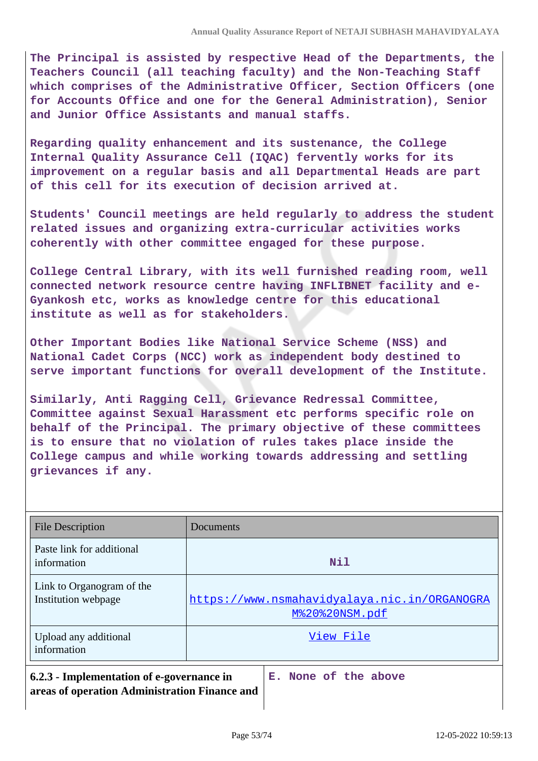**The Principal is assisted by respective Head of the Departments, the Teachers Council (all teaching faculty) and the Non-Teaching Staff which comprises of the Administrative Officer, Section Officers (one for Accounts Office and one for the General Administration), Senior and Junior Office Assistants and manual staffs.**

**Regarding quality enhancement and its sustenance, the College Internal Quality Assurance Cell (IQAC) fervently works for its improvement on a regular basis and all Departmental Heads are part of this cell for its execution of decision arrived at.**

**Students' Council meetings are held regularly to address the student related issues and organizing extra-curricular activities works coherently with other committee engaged for these purpose.**

**College Central Library, with its well furnished reading room, well connected network resource centre having INFLIBNET facility and e-Gyankosh etc, works as knowledge centre for this educational institute as well as for stakeholders.** 

**Other Important Bodies like National Service Scheme (NSS) and National Cadet Corps (NCC) work as independent body destined to serve important functions for overall development of the Institute.**

**Similarly, Anti Ragging Cell, Grievance Redressal Committee, Committee against Sexual Harassment etc performs specific role on behalf of the Principal. The primary objective of these committees is to ensure that no violation of rules takes place inside the College campus and while working towards addressing and settling grievances if any.**

| <b>File Description</b>                                                                                            | Documents                                                      |
|--------------------------------------------------------------------------------------------------------------------|----------------------------------------------------------------|
| Paste link for additional<br>information                                                                           | <b>Nil</b>                                                     |
| Link to Organogram of the<br>Institution webpage                                                                   | https://www.nsmahavidyalaya.nic.in/ORGANOGRA<br>M%20%20NSM.pdf |
| Upload any additional<br>information                                                                               | View File                                                      |
| 6.2.3 - Implementation of e-governance in<br>E. None of the above<br>areas of operation Administration Finance and |                                                                |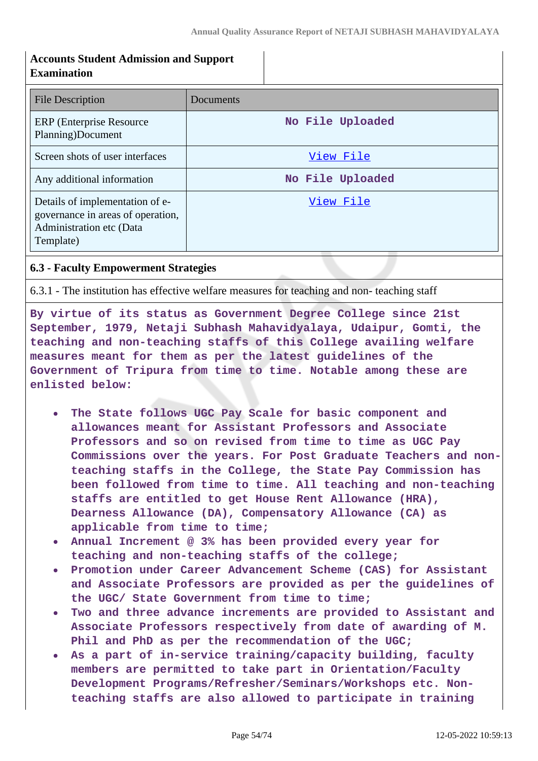| <b>Accounts Student Admission and Support</b><br><b>Examination</b>                                           |                  |
|---------------------------------------------------------------------------------------------------------------|------------------|
| <b>File Description</b>                                                                                       | Documents        |
| <b>ERP</b> (Enterprise Resource)<br>Planning)Document                                                         | No File Uploaded |
| Screen shots of user interfaces                                                                               | View File        |
| Any additional information                                                                                    | No File Uploaded |
| Details of implementation of e-<br>governance in areas of operation,<br>Administration etc (Data<br>Template) | View File        |

 $\mathbf{I}$ 

## **6.3 - Faculty Empowerment Strategies**

6.3.1 - The institution has effective welfare measures for teaching and non- teaching staff

**By virtue of its status as Government Degree College since 21st September, 1979, Netaji Subhash Mahavidyalaya, Udaipur, Gomti, the teaching and non-teaching staffs of this College availing welfare measures meant for them as per the latest guidelines of the Government of Tripura from time to time. Notable among these are enlisted below:**

- **The State follows UGC Pay Scale for basic component and allowances meant for Assistant Professors and Associate Professors and so on revised from time to time as UGC Pay Commissions over the years. For Post Graduate Teachers and nonteaching staffs in the College, the State Pay Commission has been followed from time to time. All teaching and non-teaching staffs are entitled to get House Rent Allowance (HRA), Dearness Allowance (DA), Compensatory Allowance (CA) as applicable from time to time;**
- **Annual Increment @ 3% has been provided every year for teaching and non-teaching staffs of the college;**
- **Promotion under Career Advancement Scheme (CAS) for Assistant and Associate Professors are provided as per the guidelines of the UGC/ State Government from time to time;**
- **Two and three advance increments are provided to Assistant and Associate Professors respectively from date of awarding of M. Phil and PhD as per the recommendation of the UGC;**
- **As a part of in-service training/capacity building, faculty members are permitted to take part in Orientation/Faculty Development Programs/Refresher/Seminars/Workshops etc. Nonteaching staffs are also allowed to participate in training**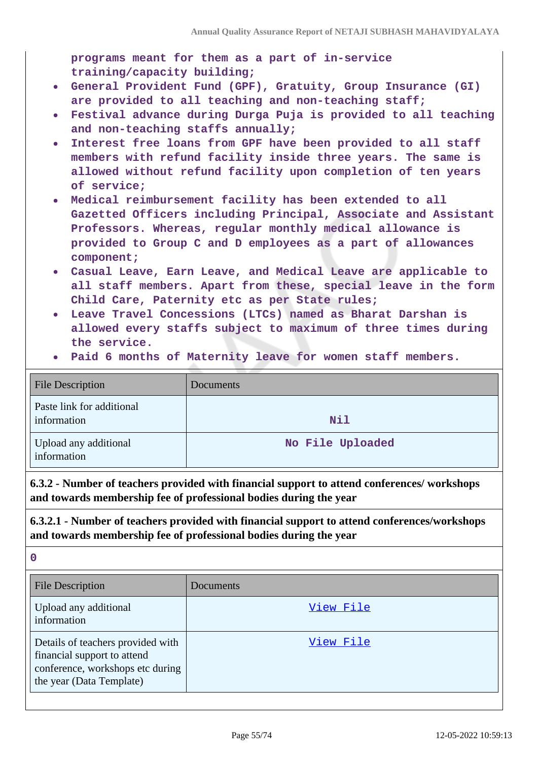**programs meant for them as a part of in-service training/capacity building;**

- **General Provident Fund (GPF), Gratuity, Group Insurance (GI)**  $\bullet$ **are provided to all teaching and non-teaching staff;**
- **Festival advance during Durga Puja is provided to all teaching and non-teaching staffs annually;**
- **Interest free loans from GPF have been provided to all staff members with refund facility inside three years. The same is allowed without refund facility upon completion of ten years of service;**
- **Medical reimbursement facility has been extended to all Gazetted Officers including Principal, Associate and Assistant Professors. Whereas, regular monthly medical allowance is provided to Group C and D employees as a part of allowances component;**
- **Casual Leave, Earn Leave, and Medical Leave are applicable to all staff members. Apart from these, special leave in the form Child Care, Paternity etc as per State rules;**
- **Leave Travel Concessions (LTCs) named as Bharat Darshan is allowed every staffs subject to maximum of three times during the service.**
- **Paid 6 months of Maternity leave for women staff members.**

| <b>File Description</b>                  | <b>Documents</b> |
|------------------------------------------|------------------|
| Paste link for additional<br>information | <b>Nil</b>       |
| Upload any additional<br>information     | No File Uploaded |

**6.3.2 - Number of teachers provided with financial support to attend conferences/ workshops and towards membership fee of professional bodies during the year**

**6.3.2.1 - Number of teachers provided with financial support to attend conferences/workshops and towards membership fee of professional bodies during the year**

| <b>File Description</b>                                                                                                          | Documents        |
|----------------------------------------------------------------------------------------------------------------------------------|------------------|
| Upload any additional<br>information                                                                                             | <u>View File</u> |
| Details of teachers provided with<br>financial support to attend<br>conference, workshops etc during<br>the year (Data Template) | View File        |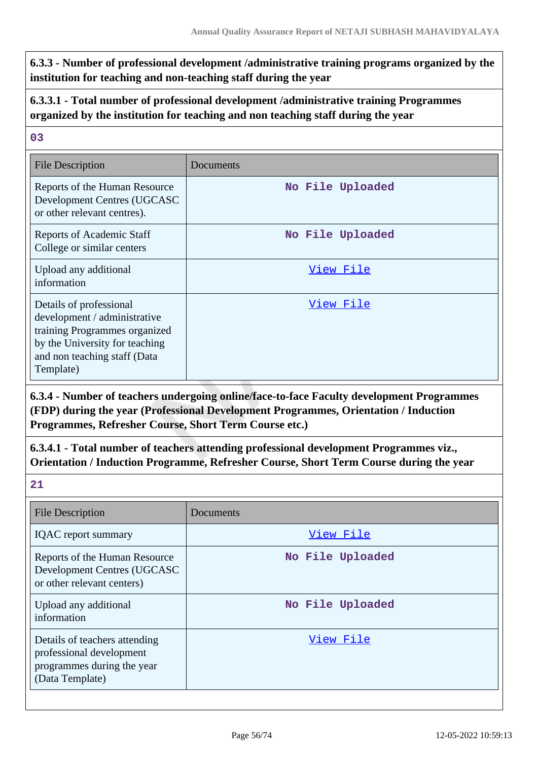**6.3.3 - Number of professional development /administrative training programs organized by the institution for teaching and non-teaching staff during the year**

# **6.3.3.1 - Total number of professional development /administrative training Programmes organized by the institution for teaching and non teaching staff during the year**

## **03**

| <b>File Description</b>                                                                                                                                                 | Documents        |
|-------------------------------------------------------------------------------------------------------------------------------------------------------------------------|------------------|
| Reports of the Human Resource<br>Development Centres (UGCASC<br>or other relevant centres).                                                                             | No File Uploaded |
| <b>Reports of Academic Staff</b><br>College or similar centers                                                                                                          | No File Uploaded |
| Upload any additional<br>information                                                                                                                                    | View File        |
| Details of professional<br>development / administrative<br>training Programmes organized<br>by the University for teaching<br>and non teaching staff (Data<br>Template) | View File        |

**6.3.4 - Number of teachers undergoing online/face-to-face Faculty development Programmes (FDP) during the year (Professional Development Programmes, Orientation / Induction Programmes, Refresher Course, Short Term Course etc.)**

**6.3.4.1 - Total number of teachers attending professional development Programmes viz., Orientation / Induction Programme, Refresher Course, Short Term Course during the year**

| <b>File Description</b>                                                                                    | Documents        |
|------------------------------------------------------------------------------------------------------------|------------------|
| <b>IQAC</b> report summary                                                                                 | View File        |
| Reports of the Human Resource<br>Development Centres (UGCASC<br>or other relevant centers)                 | No File Uploaded |
| Upload any additional<br>information                                                                       | No File Uploaded |
| Details of teachers attending<br>professional development<br>programmes during the year<br>(Data Template) | View File        |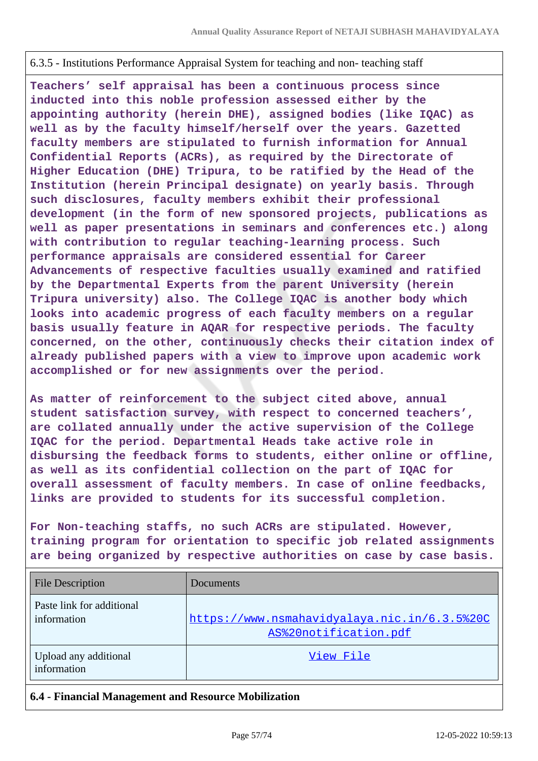### 6.3.5 - Institutions Performance Appraisal System for teaching and non- teaching staff

**Teachers' self appraisal has been a continuous process since inducted into this noble profession assessed either by the appointing authority (herein DHE), assigned bodies (like IQAC) as well as by the faculty himself/herself over the years. Gazetted faculty members are stipulated to furnish information for Annual Confidential Reports (ACRs), as required by the Directorate of Higher Education (DHE) Tripura, to be ratified by the Head of the Institution (herein Principal designate) on yearly basis. Through such disclosures, faculty members exhibit their professional development (in the form of new sponsored projects, publications as well as paper presentations in seminars and conferences etc.) along with contribution to regular teaching-learning process. Such performance appraisals are considered essential for Career Advancements of respective faculties usually examined and ratified by the Departmental Experts from the parent University (herein Tripura university) also. The College IQAC is another body which looks into academic progress of each faculty members on a regular basis usually feature in AQAR for respective periods. The faculty concerned, on the other, continuously checks their citation index of already published papers with a view to improve upon academic work accomplished or for new assignments over the period.**

**As matter of reinforcement to the subject cited above, annual student satisfaction survey, with respect to concerned teachers', are collated annually under the active supervision of the College IQAC for the period. Departmental Heads take active role in disbursing the feedback forms to students, either online or offline, as well as its confidential collection on the part of IQAC for overall assessment of faculty members. In case of online feedbacks, links are provided to students for its successful completion.**

**For Non-teaching staffs, no such ACRs are stipulated. However, training program for orientation to specific job related assignments are being organized by respective authorities on case by case basis.**

| <b>File Description</b>                  | Documents                                                             |
|------------------------------------------|-----------------------------------------------------------------------|
| Paste link for additional<br>information | https://www.nsmahavidyalaya.nic.in/6.3.5%20C<br>AS%20notification.pdf |
| Upload any additional<br>information     | View File                                                             |

## **6.4 - Financial Management and Resource Mobilization**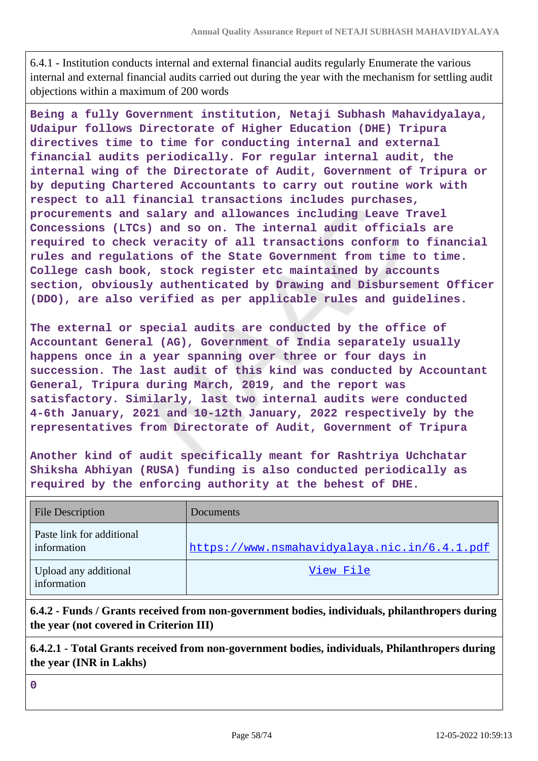6.4.1 - Institution conducts internal and external financial audits regularly Enumerate the various internal and external financial audits carried out during the year with the mechanism for settling audit objections within a maximum of 200 words

**Being a fully Government institution, Netaji Subhash Mahavidyalaya, Udaipur follows Directorate of Higher Education (DHE) Tripura directives time to time for conducting internal and external financial audits periodically. For regular internal audit, the internal wing of the Directorate of Audit, Government of Tripura or by deputing Chartered Accountants to carry out routine work with respect to all financial transactions includes purchases, procurements and salary and allowances including Leave Travel Concessions (LTCs) and so on. The internal audit officials are required to check veracity of all transactions conform to financial rules and regulations of the State Government from time to time. College cash book, stock register etc maintained by accounts section, obviously authenticated by Drawing and Disbursement Officer (DDO), are also verified as per applicable rules and guidelines.**

**The external or special audits are conducted by the office of Accountant General (AG), Government of India separately usually happens once in a year spanning over three or four days in succession. The last audit of this kind was conducted by Accountant General, Tripura during March, 2019, and the report was satisfactory. Similarly, last two internal audits were conducted 4-6th January, 2021 and 10-12th January, 2022 respectively by the representatives from Directorate of Audit, Government of Tripura**

**Another kind of audit specifically meant for Rashtriya Uchchatar Shiksha Abhiyan (RUSA) funding is also conducted periodically as required by the enforcing authority at the behest of DHE.**

| <b>File Description</b>                  | Documents                                    |
|------------------------------------------|----------------------------------------------|
| Paste link for additional<br>information | https://www.nsmahavidyalaya.nic.in/6.4.1.pdf |
| Upload any additional<br>information     | View File                                    |

**6.4.2 - Funds / Grants received from non-government bodies, individuals, philanthropers during the year (not covered in Criterion III)**

**6.4.2.1 - Total Grants received from non-government bodies, individuals, Philanthropers during the year (INR in Lakhs)**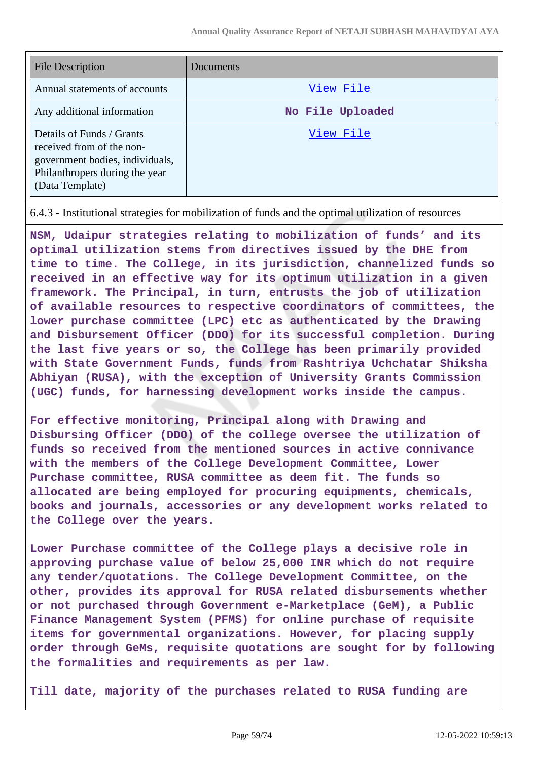| File Description                                                                                                                               | Documents        |
|------------------------------------------------------------------------------------------------------------------------------------------------|------------------|
| Annual statements of accounts                                                                                                                  | View File        |
| Any additional information                                                                                                                     | No File Uploaded |
| Details of Funds / Grants<br>received from of the non-<br>government bodies, individuals,<br>Philanthropers during the year<br>(Data Template) | View File        |

6.4.3 - Institutional strategies for mobilization of funds and the optimal utilization of resources

**NSM, Udaipur strategies relating to mobilization of funds' and its optimal utilization stems from directives issued by the DHE from time to time. The College, in its jurisdiction, channelized funds so received in an effective way for its optimum utilization in a given framework. The Principal, in turn, entrusts the job of utilization of available resources to respective coordinators of committees, the lower purchase committee (LPC) etc as authenticated by the Drawing and Disbursement Officer (DDO) for its successful completion. During the last five years or so, the College has been primarily provided with State Government Funds, funds from Rashtriya Uchchatar Shiksha Abhiyan (RUSA), with the exception of University Grants Commission (UGC) funds, for harnessing development works inside the campus.**

**For effective monitoring, Principal along with Drawing and Disbursing Officer (DDO) of the college oversee the utilization of funds so received from the mentioned sources in active connivance with the members of the College Development Committee, Lower Purchase committee, RUSA committee as deem fit. The funds so allocated are being employed for procuring equipments, chemicals, books and journals, accessories or any development works related to the College over the years.**

**Lower Purchase committee of the College plays a decisive role in approving purchase value of below 25,000 INR which do not require any tender/quotations. The College Development Committee, on the other, provides its approval for RUSA related disbursements whether or not purchased through Government e-Marketplace (GeM), a Public Finance Management System (PFMS) for online purchase of requisite items for governmental organizations. However, for placing supply order through GeMs, requisite quotations are sought for by following the formalities and requirements as per law.**

**Till date, majority of the purchases related to RUSA funding are**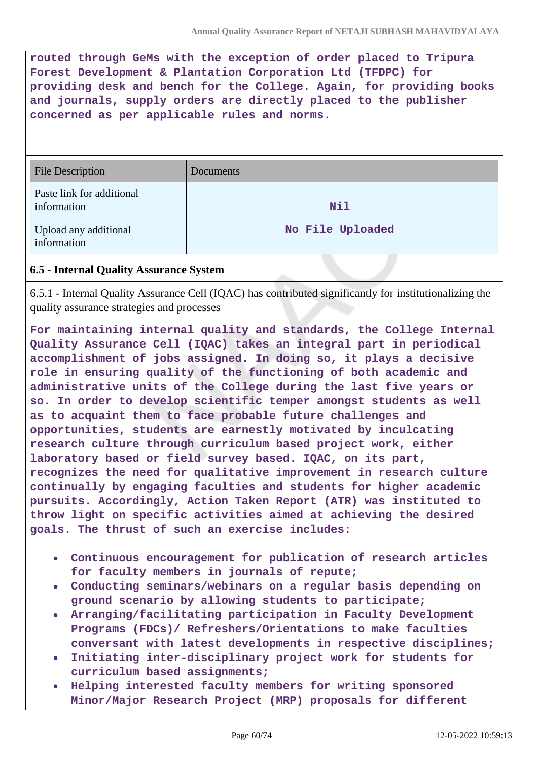**routed through GeMs with the exception of order placed to Tripura Forest Development & Plantation Corporation Ltd (TFDPC) for providing desk and bench for the College. Again, for providing books and journals, supply orders are directly placed to the publisher concerned as per applicable rules and norms.**

| <b>File Description</b>                  | Documents        |
|------------------------------------------|------------------|
| Paste link for additional<br>information | Nil              |
| Upload any additional<br>information     | No File Uploaded |

## **6.5 - Internal Quality Assurance System**

6.5.1 - Internal Quality Assurance Cell (IQAC) has contributed significantly for institutionalizing the quality assurance strategies and processes

**For maintaining internal quality and standards, the College Internal Quality Assurance Cell (IQAC) takes an integral part in periodical accomplishment of jobs assigned. In doing so, it plays a decisive role in ensuring quality of the functioning of both academic and administrative units of the College during the last five years or so. In order to develop scientific temper amongst students as well as to acquaint them to face probable future challenges and opportunities, students are earnestly motivated by inculcating research culture through curriculum based project work, either laboratory based or field survey based. IQAC, on its part, recognizes the need for qualitative improvement in research culture continually by engaging faculties and students for higher academic pursuits. Accordingly, Action Taken Report (ATR) was instituted to throw light on specific activities aimed at achieving the desired goals. The thrust of such an exercise includes:**

- **Continuous encouragement for publication of research articles for faculty members in journals of repute;**
- **Conducting seminars/webinars on a regular basis depending on ground scenario by allowing students to participate;**
- **Arranging/facilitating participation in Faculty Development Programs (FDCs)/ Refreshers/Orientations to make faculties conversant with latest developments in respective disciplines;**
- **Initiating inter-disciplinary project work for students for curriculum based assignments;**
- **Helping interested faculty members for writing sponsored Minor/Major Research Project (MRP) proposals for different**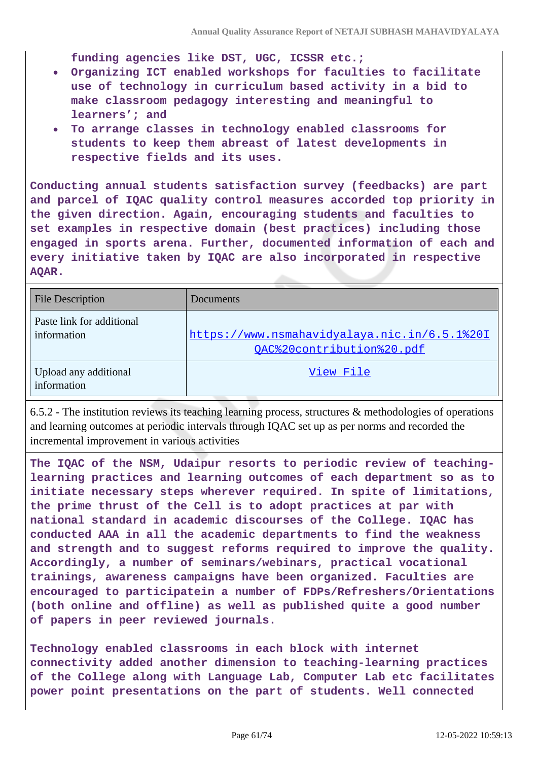**funding agencies like DST, UGC, ICSSR etc.;**

- **Organizing ICT enabled workshops for faculties to facilitate use of technology in curriculum based activity in a bid to make classroom pedagogy interesting and meaningful to learners'; and**
- **To arrange classes in technology enabled classrooms for students to keep them abreast of latest developments in respective fields and its uses.**

**Conducting annual students satisfaction survey (feedbacks) are part and parcel of IQAC quality control measures accorded top priority in the given direction. Again, encouraging students and faculties to set examples in respective domain (best practices) including those engaged in sports arena. Further, documented information of each and every initiative taken by IQAC are also incorporated in respective AQAR.**

| <b>File Description</b>                  | Documents                                                                 |
|------------------------------------------|---------------------------------------------------------------------------|
| Paste link for additional<br>information | https://www.nsmahavidyalaya.nic.in/6.5.1%201<br>QAC%20contribution%20.pdf |
| Upload any additional<br>information     | View File                                                                 |

6.5.2 - The institution reviews its teaching learning process, structures & methodologies of operations and learning outcomes at periodic intervals through IQAC set up as per norms and recorded the incremental improvement in various activities

**The IQAC of the NSM, Udaipur resorts to periodic review of teachinglearning practices and learning outcomes of each department so as to initiate necessary steps wherever required. In spite of limitations, the prime thrust of the Cell is to adopt practices at par with national standard in academic discourses of the College. IQAC has conducted AAA in all the academic departments to find the weakness and strength and to suggest reforms required to improve the quality. Accordingly, a number of seminars/webinars, practical vocational trainings, awareness campaigns have been organized. Faculties are encouraged to participatein a number of FDPs/Refreshers/Orientations (both online and offline) as well as published quite a good number of papers in peer reviewed journals.**

**Technology enabled classrooms in each block with internet connectivity added another dimension to teaching-learning practices of the College along with Language Lab, Computer Lab etc facilitates power point presentations on the part of students. Well connected**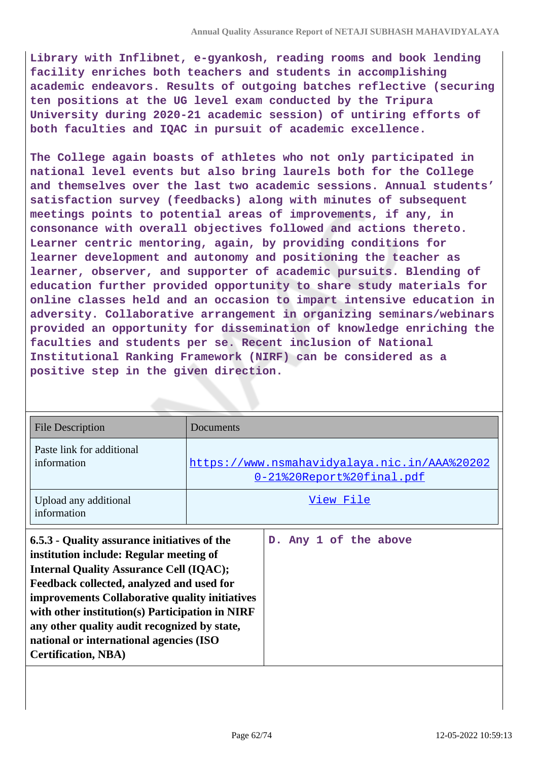**Library with Inflibnet, e-gyankosh, reading rooms and book lending facility enriches both teachers and students in accomplishing academic endeavors. Results of outgoing batches reflective (securing ten positions at the UG level exam conducted by the Tripura University during 2020-21 academic session) of untiring efforts of both faculties and IQAC in pursuit of academic excellence.**

**The College again boasts of athletes who not only participated in national level events but also bring laurels both for the College and themselves over the last two academic sessions. Annual students' satisfaction survey (feedbacks) along with minutes of subsequent meetings points to potential areas of improvements, if any, in consonance with overall objectives followed and actions thereto. Learner centric mentoring, again, by providing conditions for learner development and autonomy and positioning the teacher as learner, observer, and supporter of academic pursuits. Blending of education further provided opportunity to share study materials for online classes held and an occasion to impart intensive education in adversity. Collaborative arrangement in organizing seminars/webinars provided an opportunity for dissemination of knowledge enriching the faculties and students per se. Recent inclusion of National Institutional Ranking Framework (NIRF) can be considered as a positive step in the given direction.**

| <b>File Description</b>                                                                                                                                                                                                                                                                                                                                                                                              | Documents                                                                 |                       |  |  |  |  |
|----------------------------------------------------------------------------------------------------------------------------------------------------------------------------------------------------------------------------------------------------------------------------------------------------------------------------------------------------------------------------------------------------------------------|---------------------------------------------------------------------------|-----------------------|--|--|--|--|
| Paste link for additional<br>information                                                                                                                                                                                                                                                                                                                                                                             | https://www.nsmahavidyalaya.nic.in/AAA%20202<br>0-21%20Report%20final.pdf |                       |  |  |  |  |
| Upload any additional<br>information                                                                                                                                                                                                                                                                                                                                                                                 | View File                                                                 |                       |  |  |  |  |
| 6.5.3 - Quality assurance initiatives of the<br>institution include: Regular meeting of<br><b>Internal Quality Assurance Cell (IQAC);</b><br>Feedback collected, analyzed and used for<br>improvements Collaborative quality initiatives<br>with other institution(s) Participation in NIRF<br>any other quality audit recognized by state,<br>national or international agencies (ISO<br><b>Certification, NBA)</b> |                                                                           | D. Any 1 of the above |  |  |  |  |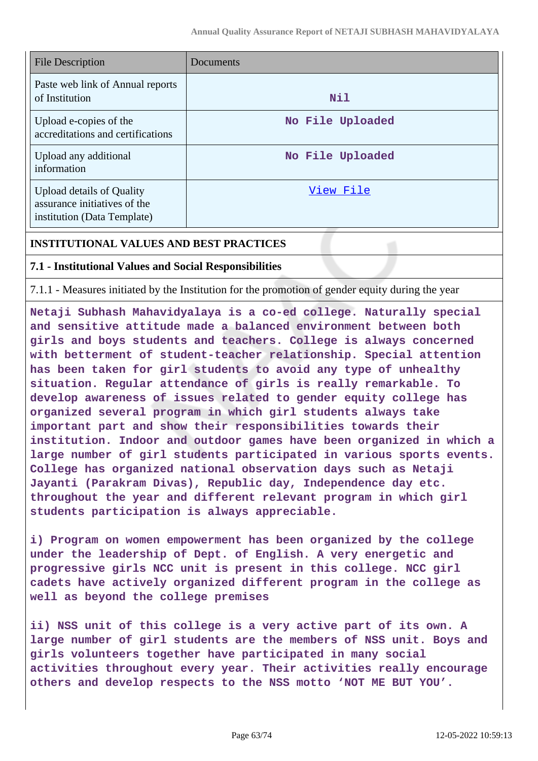| File Description                                                                                | Documents        |
|-------------------------------------------------------------------------------------------------|------------------|
| Paste web link of Annual reports<br>of Institution                                              | <b>Nil</b>       |
| Upload e-copies of the<br>accreditations and certifications                                     | No File Uploaded |
| Upload any additional<br>information                                                            | No File Uploaded |
| <b>Upload details of Quality</b><br>assurance initiatives of the<br>institution (Data Template) | View File        |

### **INSTITUTIONAL VALUES AND BEST PRACTICES**

### **7.1 - Institutional Values and Social Responsibilities**

7.1.1 - Measures initiated by the Institution for the promotion of gender equity during the year

**Netaji Subhash Mahavidyalaya is a co-ed college. Naturally special and sensitive attitude made a balanced environment between both girls and boys students and teachers. College is always concerned with betterment of student-teacher relationship. Special attention has been taken for girl students to avoid any type of unhealthy situation. Regular attendance of girls is really remarkable. To develop awareness of issues related to gender equity college has organized several program in which girl students always take important part and show their responsibilities towards their institution. Indoor and outdoor games have been organized in which a large number of girl students participated in various sports events. College has organized national observation days such as Netaji Jayanti (Parakram Divas), Republic day, Independence day etc. throughout the year and different relevant program in which girl students participation is always appreciable.**

**i) Program on women empowerment has been organized by the college under the leadership of Dept. of English. A very energetic and progressive girls NCC unit is present in this college. NCC girl cadets have actively organized different program in the college as well as beyond the college premises**

**ii) NSS unit of this college is a very active part of its own. A large number of girl students are the members of NSS unit. Boys and girls volunteers together have participated in many social activities throughout every year. Their activities really encourage others and develop respects to the NSS motto 'NOT ME BUT YOU'.**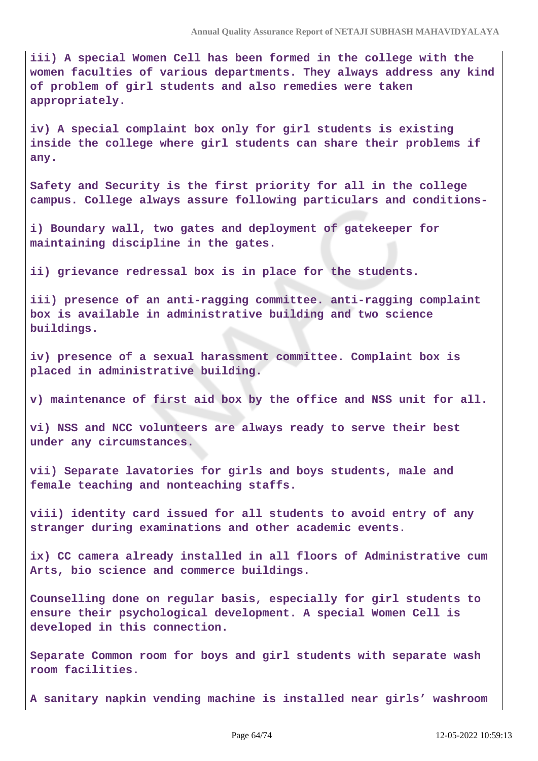**iii) A special Women Cell has been formed in the college with the women faculties of various departments. They always address any kind of problem of girl students and also remedies were taken appropriately.**

**iv) A special complaint box only for girl students is existing inside the college where girl students can share their problems if any.**

**Safety and Security is the first priority for all in the college campus. College always assure following particulars and conditions-**

**i) Boundary wall, two gates and deployment of gatekeeper for maintaining discipline in the gates.**

**ii) grievance redressal box is in place for the students.**

**iii) presence of an anti-ragging committee. anti-ragging complaint box is available in administrative building and two science buildings.**

**iv) presence of a sexual harassment committee. Complaint box is placed in administrative building.**

**v) maintenance of first aid box by the office and NSS unit for all.**

**vi) NSS and NCC volunteers are always ready to serve their best under any circumstances.**

**vii) Separate lavatories for girls and boys students, male and female teaching and nonteaching staffs.**

**viii) identity card issued for all students to avoid entry of any stranger during examinations and other academic events.**

**ix) CC camera already installed in all floors of Administrative cum Arts, bio science and commerce buildings.**

**Counselling done on regular basis, especially for girl students to ensure their psychological development. A special Women Cell is developed in this connection.**

**Separate Common room for boys and girl students with separate wash room facilities.**

**A sanitary napkin vending machine is installed near girls' washroom**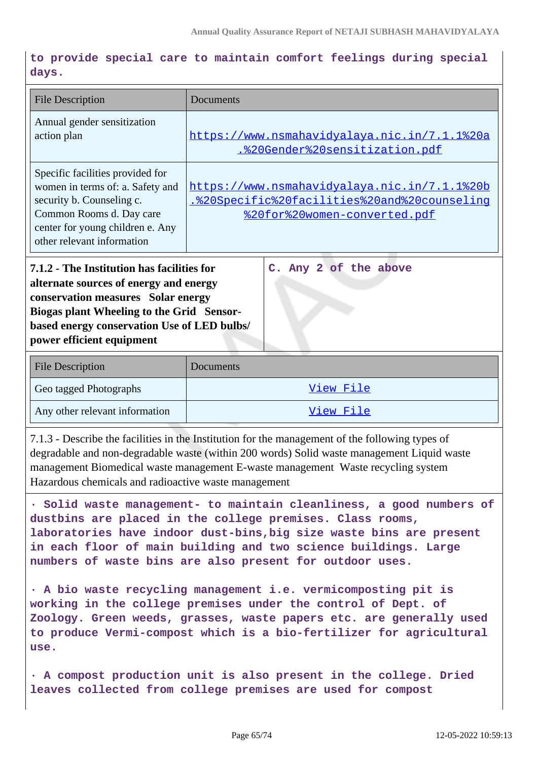**to provide special care to maintain comfort feelings during special days.**

| <b>File Description</b>                                                                                                                                                                                                                             | Documents                                                                                                                    |  |  |  |  |
|-----------------------------------------------------------------------------------------------------------------------------------------------------------------------------------------------------------------------------------------------------|------------------------------------------------------------------------------------------------------------------------------|--|--|--|--|
| Annual gender sensitization<br>action plan                                                                                                                                                                                                          | https://www.nsmahavidyalaya.nic.in/7.1.1%20a<br>.%20Gender%20sensitization.pdf                                               |  |  |  |  |
| Specific facilities provided for<br>women in terms of: a. Safety and<br>security b. Counseling c.<br>Common Rooms d. Day care<br>center for young children e. Any<br>other relevant information                                                     | https://www.nsmahavidyalaya.nic.in/7.1.1%20b<br>.%20Specific%20facilities%20and%20counseling<br>%20for%20women-converted.pdf |  |  |  |  |
| 7.1.2 - The Institution has facilities for<br>alternate sources of energy and energy<br>conservation measures Solar energy<br>Biogas plant Wheeling to the Grid Sensor-<br>based energy conservation Use of LED bulbs/<br>power efficient equipment | C. Any 2 of the above                                                                                                        |  |  |  |  |
| <b>File Description</b>                                                                                                                                                                                                                             | Documents                                                                                                                    |  |  |  |  |
| Geo tagged Photographs                                                                                                                                                                                                                              | View File                                                                                                                    |  |  |  |  |
| Any other relevant information                                                                                                                                                                                                                      | View File                                                                                                                    |  |  |  |  |

7.1.3 - Describe the facilities in the Institution for the management of the following types of degradable and non-degradable waste (within 200 words) Solid waste management Liquid waste management Biomedical waste management E-waste management Waste recycling system Hazardous chemicals and radioactive waste management

**· Solid waste management- to maintain cleanliness, a good numbers of dustbins are placed in the college premises. Class rooms, laboratories have indoor dust-bins,big size waste bins are present in each floor of main building and two science buildings. Large numbers of waste bins are also present for outdoor uses.**

**· A bio waste recycling management i.e. vermicomposting pit is working in the college premises under the control of Dept. of Zoology. Green weeds, grasses, waste papers etc. are generally used to produce Vermi-compost which is a bio-fertilizer for agricultural use.**

**· A compost production unit is also present in the college. Dried leaves collected from college premises are used for compost**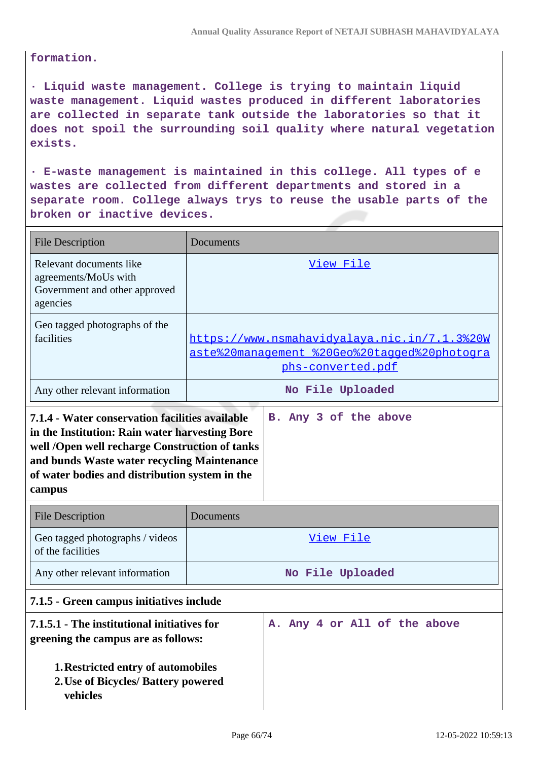### **formation.**

**· Liquid waste management. College is trying to maintain liquid waste management. Liquid wastes produced in different laboratories are collected in separate tank outside the laboratories so that it does not spoil the surrounding soil quality where natural vegetation exists.**

**· E-waste management is maintained in this college. All types of e wastes are collected from different departments and stored in a separate room. College always trys to reuse the usable parts of the broken or inactive devices.**

| <b>File Description</b>                                                                      | Documents                                                                                                         |
|----------------------------------------------------------------------------------------------|-------------------------------------------------------------------------------------------------------------------|
| Relevant documents like<br>agreements/MoUs with<br>Government and other approved<br>agencies | View File                                                                                                         |
| Geo tagged photographs of the<br>facilities                                                  | https://www.nsmahavidyalaya.nic.in/7.1.3%20W<br>aste%20management %20Geo%20tagged%20photogra<br>phs-converted.pdf |
| Any other relevant information                                                               | No File Uploaded                                                                                                  |

| 7.1.4 - Water conservation facilities available |  |  | B. Any 3 of the above |
|-------------------------------------------------|--|--|-----------------------|
| in the Institution: Rain water harvesting Bore  |  |  |                       |
| well /Open well recharge Construction of tanks  |  |  |                       |
| and bunds Waste water recycling Maintenance     |  |  |                       |
| of water bodies and distribution system in the  |  |  |                       |
| campus                                          |  |  |                       |

| <b>File Description</b>                              | <b>Documents</b> |
|------------------------------------------------------|------------------|
| Geo tagged photographs / videos<br>of the facilities | View File        |
| Any other relevant information                       | No File Uploaded |

# **7.1.5 - Green campus initiatives include**

| 7.1.5.1 - The institutional initiatives for<br>greening the campus are as follows: |  |  |  | A. Any 4 or All of the above |  |
|------------------------------------------------------------------------------------|--|--|--|------------------------------|--|
| 1. Restricted entry of automobiles                                                 |  |  |  |                              |  |
| 2. Use of Bicycles/ Battery powered                                                |  |  |  |                              |  |
| vehicles                                                                           |  |  |  |                              |  |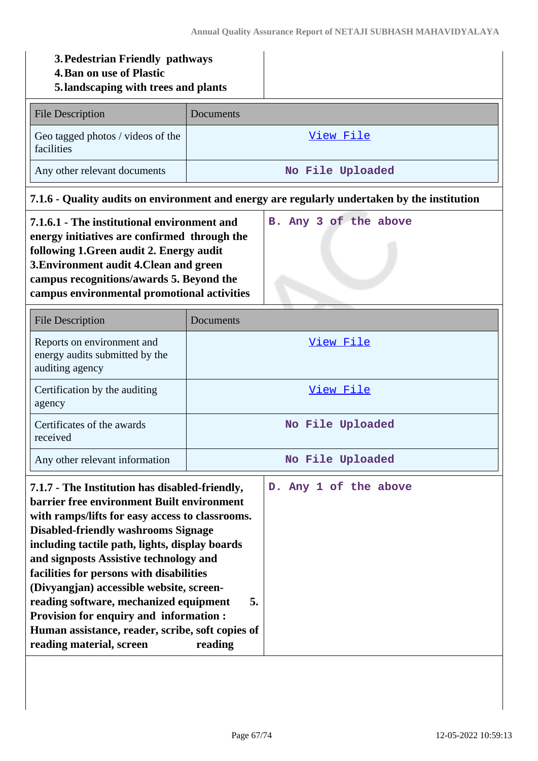| 3. Pedestrian Friendly pathways<br><b>4. Ban on use of Plastic</b><br>5. landscaping with trees and plants                                                                                                                                                                                                                                                                                                                                                                                                                                             |               |                                                                                              |  |  |
|--------------------------------------------------------------------------------------------------------------------------------------------------------------------------------------------------------------------------------------------------------------------------------------------------------------------------------------------------------------------------------------------------------------------------------------------------------------------------------------------------------------------------------------------------------|---------------|----------------------------------------------------------------------------------------------|--|--|
| <b>File Description</b>                                                                                                                                                                                                                                                                                                                                                                                                                                                                                                                                | Documents     |                                                                                              |  |  |
| Geo tagged photos / videos of the<br>facilities                                                                                                                                                                                                                                                                                                                                                                                                                                                                                                        |               | <u>View File</u>                                                                             |  |  |
| Any other relevant documents                                                                                                                                                                                                                                                                                                                                                                                                                                                                                                                           |               | No File Uploaded                                                                             |  |  |
|                                                                                                                                                                                                                                                                                                                                                                                                                                                                                                                                                        |               | 7.1.6 - Quality audits on environment and energy are regularly undertaken by the institution |  |  |
| 7.1.6.1 - The institutional environment and<br>energy initiatives are confirmed through the<br>following 1. Green audit 2. Energy audit<br>3. Environment audit 4. Clean and green<br>campus recognitions/awards 5. Beyond the<br>campus environmental promotional activities                                                                                                                                                                                                                                                                          |               | B. Any 3 of the above                                                                        |  |  |
| <b>File Description</b>                                                                                                                                                                                                                                                                                                                                                                                                                                                                                                                                | Documents     |                                                                                              |  |  |
| Reports on environment and<br>energy audits submitted by the<br>auditing agency                                                                                                                                                                                                                                                                                                                                                                                                                                                                        | View File     |                                                                                              |  |  |
| Certification by the auditing<br>agency                                                                                                                                                                                                                                                                                                                                                                                                                                                                                                                | View File     |                                                                                              |  |  |
| Certificates of the awards<br>received                                                                                                                                                                                                                                                                                                                                                                                                                                                                                                                 |               | No File Uploaded                                                                             |  |  |
| Any other relevant information                                                                                                                                                                                                                                                                                                                                                                                                                                                                                                                         |               | No File Uploaded                                                                             |  |  |
| 7.1.7 - The Institution has disabled-friendly,<br>barrier free environment Built environment<br>with ramps/lifts for easy access to classrooms.<br><b>Disabled-friendly washrooms Signage</b><br>including tactile path, lights, display boards<br>and signposts Assistive technology and<br>facilities for persons with disabilities<br>(Divyangjan) accessible website, screen-<br>reading software, mechanized equipment<br>Provision for enquiry and information :<br>Human assistance, reader, scribe, soft copies of<br>reading material, screen | 5.<br>reading | D. Any 1 of the above                                                                        |  |  |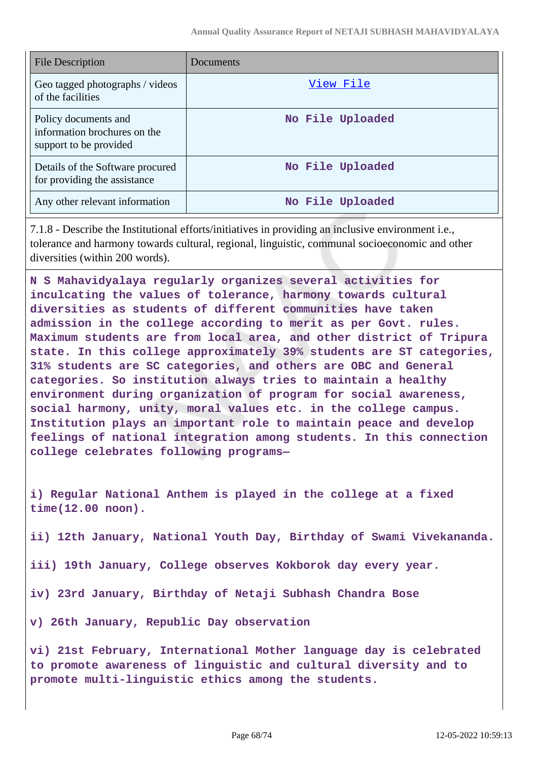| File Description                                                               | Documents        |
|--------------------------------------------------------------------------------|------------------|
| Geo tagged photographs / videos<br>of the facilities                           | View File        |
| Policy documents and<br>information brochures on the<br>support to be provided | No File Uploaded |
| Details of the Software procured<br>for providing the assistance               | No File Uploaded |
| Any other relevant information                                                 | No File Uploaded |

7.1.8 - Describe the Institutional efforts/initiatives in providing an inclusive environment i.e., tolerance and harmony towards cultural, regional, linguistic, communal socioeconomic and other diversities (within 200 words).

**N S Mahavidyalaya regularly organizes several activities for inculcating the values of tolerance, harmony towards cultural diversities as students of different communities have taken admission in the college according to merit as per Govt. rules. Maximum students are from local area, and other district of Tripura state. In this college approximately 39% students are ST categories, 31% students are SC categories, and others are OBC and General categories. So institution always tries to maintain a healthy environment during organization of program for social awareness, social harmony, unity, moral values etc. in the college campus. Institution plays an important role to maintain peace and develop feelings of national integration among students. In this connection college celebrates following programs—**

**i) Regular National Anthem is played in the college at a fixed time(12.00 noon).**

**ii) 12th January, National Youth Day, Birthday of Swami Vivekananda.**

**iii) 19th January, College observes Kokborok day every year.**

**iv) 23rd January, Birthday of Netaji Subhash Chandra Bose**

**v) 26th January, Republic Day observation**

**vi) 21st February, International Mother language day is celebrated to promote awareness of linguistic and cultural diversity and to promote multi-linguistic ethics among the students.**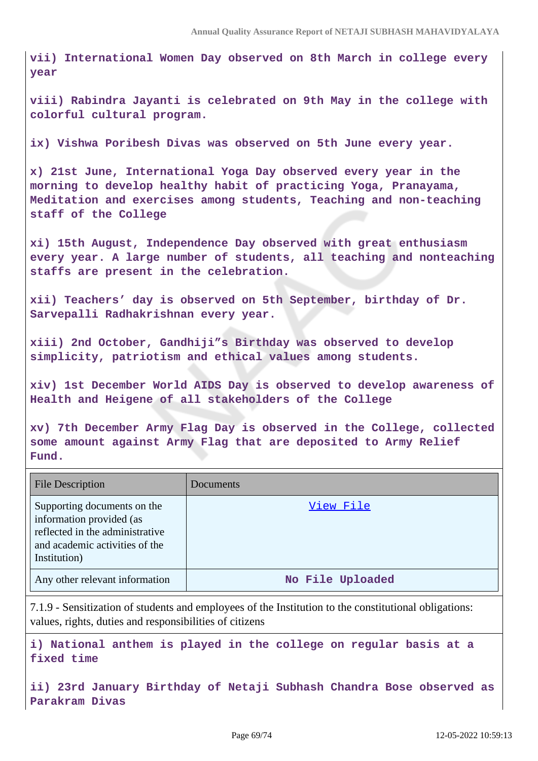**vii) International Women Day observed on 8th March in college every year**

**viii) Rabindra Jayanti is celebrated on 9th May in the college with colorful cultural program.**

**ix) Vishwa Poribesh Divas was observed on 5th June every year.**

**x) 21st June, International Yoga Day observed every year in the morning to develop healthy habit of practicing Yoga, Pranayama, Meditation and exercises among students, Teaching and non-teaching staff of the College**

**xi) 15th August, Independence Day observed with great enthusiasm every year. A large number of students, all teaching and nonteaching staffs are present in the celebration.**

**xii) Teachers' day is observed on 5th September, birthday of Dr. Sarvepalli Radhakrishnan every year.**

**xiii) 2nd October, Gandhiji"s Birthday was observed to develop simplicity, patriotism and ethical values among students.**

**xiv) 1st December World AIDS Day is observed to develop awareness of Health and Heigene of all stakeholders of the College**

**xv) 7th December Army Flag Day is observed in the College, collected some amount against Army Flag that are deposited to Army Relief Fund.**

| <b>File Description</b>                                                                                                                      | Documents        |
|----------------------------------------------------------------------------------------------------------------------------------------------|------------------|
| Supporting documents on the<br>information provided (as<br>reflected in the administrative<br>and academic activities of the<br>Institution) | View File        |
| Any other relevant information                                                                                                               | No File Uploaded |

7.1.9 - Sensitization of students and employees of the Institution to the constitutional obligations: values, rights, duties and responsibilities of citizens

**i) National anthem is played in the college on regular basis at a fixed time**

**ii) 23rd January Birthday of Netaji Subhash Chandra Bose observed as Parakram Divas**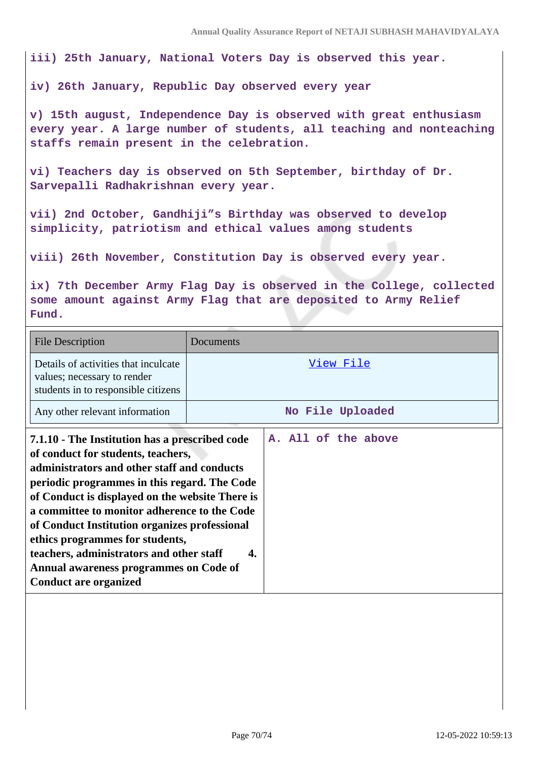**iii) 25th January, National Voters Day is observed this year.**

**iv) 26th January, Republic Day observed every year**

**v) 15th august, Independence Day is observed with great enthusiasm every year. A large number of students, all teaching and nonteaching staffs remain present in the celebration.**

**vi) Teachers day is observed on 5th September, birthday of Dr. Sarvepalli Radhakrishnan every year.**

**vii) 2nd October, Gandhiji"s Birthday was observed to develop simplicity, patriotism and ethical values among students**

**viii) 26th November, Constitution Day is observed every year.**

**ix) 7th December Army Flag Day is observed in the College, collected some amount against Army Flag that are deposited to Army Relief Fund.**

| <b>File Description</b>                                                                                                                                                                                                                                                                                                                                                                                                                                                                          | Documents                 |
|--------------------------------------------------------------------------------------------------------------------------------------------------------------------------------------------------------------------------------------------------------------------------------------------------------------------------------------------------------------------------------------------------------------------------------------------------------------------------------------------------|---------------------------|
| Details of activities that inculcate<br>values; necessary to render<br>students in to responsible citizens                                                                                                                                                                                                                                                                                                                                                                                       | View File                 |
| Any other relevant information                                                                                                                                                                                                                                                                                                                                                                                                                                                                   | No File Uploaded          |
| 7.1.10 - The Institution has a prescribed code<br>of conduct for students, teachers,<br>administrators and other staff and conducts<br>periodic programmes in this regard. The Code<br>of Conduct is displayed on the website There is<br>a committee to monitor adherence to the Code<br>of Conduct Institution organizes professional<br>ethics programmes for students,<br>teachers, administrators and other staff<br>Annual awareness programmes on Code of<br><b>Conduct are organized</b> | A. All of the above<br>4. |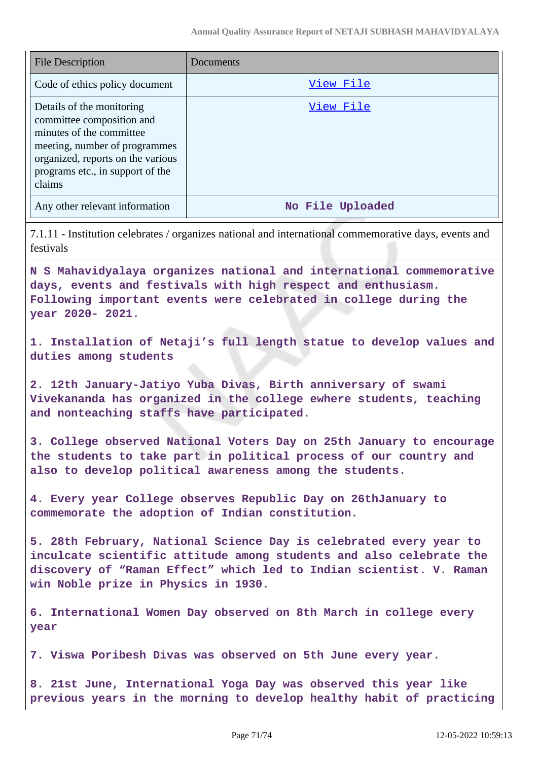| <b>File Description</b>                                                                                                                                                                                | Documents        |
|--------------------------------------------------------------------------------------------------------------------------------------------------------------------------------------------------------|------------------|
| Code of ethics policy document                                                                                                                                                                         | View File        |
| Details of the monitoring<br>committee composition and<br>minutes of the committee<br>meeting, number of programmes<br>organized, reports on the various<br>programs etc., in support of the<br>claims | View File        |
| Any other relevant information                                                                                                                                                                         | No File Uploaded |
| 7.1.11 - Institution celebrates / organizes national and international commemorative days, events and                                                                                                  |                  |

7.1.11 - Institution celebrates / organizes national and international commemorative days, events and festivals

**N S Mahavidyalaya organizes national and international commemorative days, events and festivals with high respect and enthusiasm. Following important events were celebrated in college during the year 2020- 2021.**

**1. Installation of Netaji's full length statue to develop values and duties among students**

**2. 12th January-Jatiyo Yuba Divas, Birth anniversary of swami Vivekananda has organized in the college ewhere students, teaching and nonteaching staffs have participated.**

**3. College observed National Voters Day on 25th January to encourage the students to take part in political process of our country and also to develop political awareness among the students.**

**4. Every year College observes Republic Day on 26thJanuary to commemorate the adoption of Indian constitution.**

**5. 28th February, National Science Day is celebrated every year to inculcate scientific attitude among students and also celebrate the discovery of "Raman Effect" which led to Indian scientist. V. Raman win Noble prize in Physics in 1930.**

**6. International Women Day observed on 8th March in college every year**

**7. Viswa Poribesh Divas was observed on 5th June every year.**

**8. 21st June, International Yoga Day was observed this year like previous years in the morning to develop healthy habit of practicing**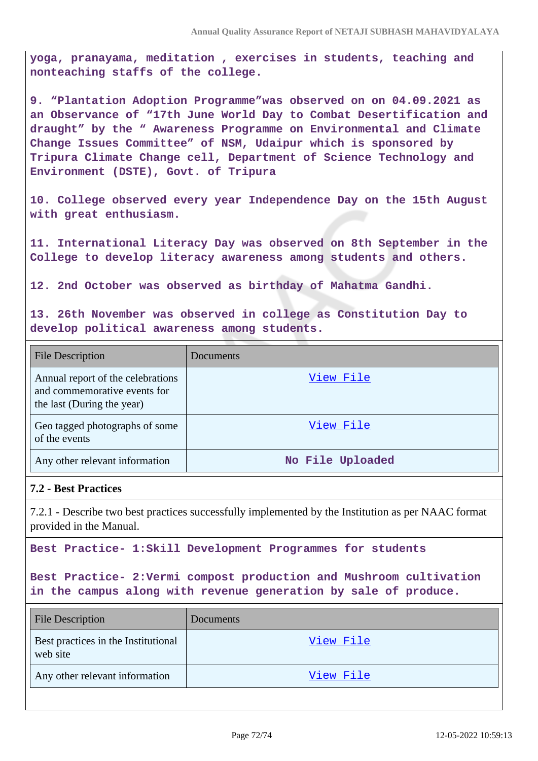**yoga, pranayama, meditation , exercises in students, teaching and nonteaching staffs of the college.**

**9. "Plantation Adoption Programme"was observed on on 04.09.2021 as an Observance of "17th June World Day to Combat Desertification and draught" by the " Awareness Programme on Environmental and Climate Change Issues Committee" of NSM, Udaipur which is sponsored by Tripura Climate Change cell, Department of Science Technology and Environment (DSTE), Govt. of Tripura**

**10. College observed every year Independence Day on the 15th August with great enthusiasm.**

**11. International Literacy Day was observed on 8th September in the College to develop literacy awareness among students and others.**

**12. 2nd October was observed as birthday of Mahatma Gandhi.**

**13. 26th November was observed in college as Constitution Day to develop political awareness among students.**

| <b>File Description</b>                                                                         | Documents        |
|-------------------------------------------------------------------------------------------------|------------------|
| Annual report of the celebrations<br>and commemorative events for<br>the last (During the year) | View File        |
| Geo tagged photographs of some<br>of the events                                                 | View File        |
| Any other relevant information                                                                  | No File Uploaded |

### **7.2 - Best Practices**

7.2.1 - Describe two best practices successfully implemented by the Institution as per NAAC format provided in the Manual.

**Best Practice- 1:Skill Development Programmes for students**

**Best Practice- 2:Vermi compost production and Mushroom cultivation in the campus along with revenue generation by sale of produce.**

| <b>File Description</b>                         | Documents |
|-------------------------------------------------|-----------|
| Best practices in the Institutional<br>web site | View File |
| Any other relevant information                  | View File |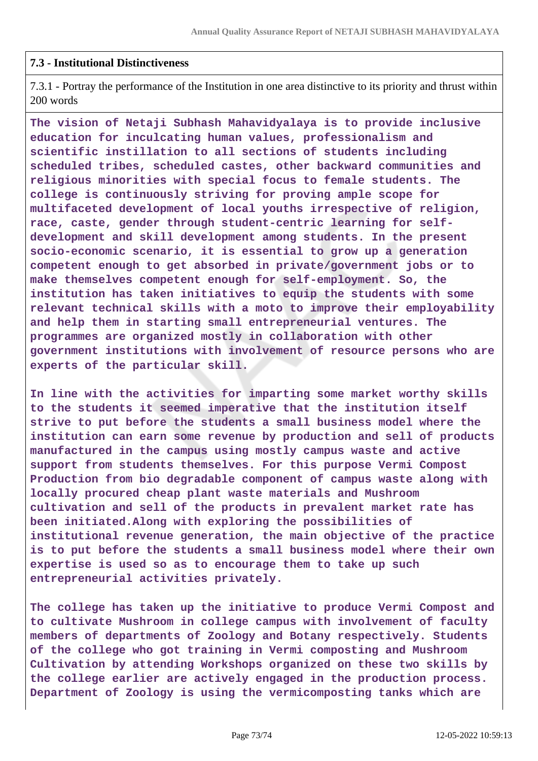## **7.3 - Institutional Distinctiveness**

7.3.1 - Portray the performance of the Institution in one area distinctive to its priority and thrust within 200 words

**The vision of Netaji Subhash Mahavidyalaya is to provide inclusive education for inculcating human values, professionalism and scientific instillation to all sections of students including scheduled tribes, scheduled castes, other backward communities and religious minorities with special focus to female students. The college is continuously striving for proving ample scope for multifaceted development of local youths irrespective of religion, race, caste, gender through student-centric learning for selfdevelopment and skill development among students. In the present socio-economic scenario, it is essential to grow up a generation competent enough to get absorbed in private/government jobs or to make themselves competent enough for self-employment. So, the institution has taken initiatives to equip the students with some relevant technical skills with a moto to improve their employability and help them in starting small entrepreneurial ventures. The programmes are organized mostly in collaboration with other government institutions with involvement of resource persons who are experts of the particular skill.**

**In line with the activities for imparting some market worthy skills to the students it seemed imperative that the institution itself strive to put before the students a small business model where the institution can earn some revenue by production and sell of products manufactured in the campus using mostly campus waste and active support from students themselves. For this purpose Vermi Compost Production from bio degradable component of campus waste along with locally procured cheap plant waste materials and Mushroom cultivation and sell of the products in prevalent market rate has been initiated.Along with exploring the possibilities of institutional revenue generation, the main objective of the practice is to put before the students a small business model where their own expertise is used so as to encourage them to take up such entrepreneurial activities privately.**

**The college has taken up the initiative to produce Vermi Compost and to cultivate Mushroom in college campus with involvement of faculty members of departments of Zoology and Botany respectively. Students of the college who got training in Vermi composting and Mushroom Cultivation by attending Workshops organized on these two skills by the college earlier are actively engaged in the production process. Department of Zoology is using the vermicomposting tanks which are**